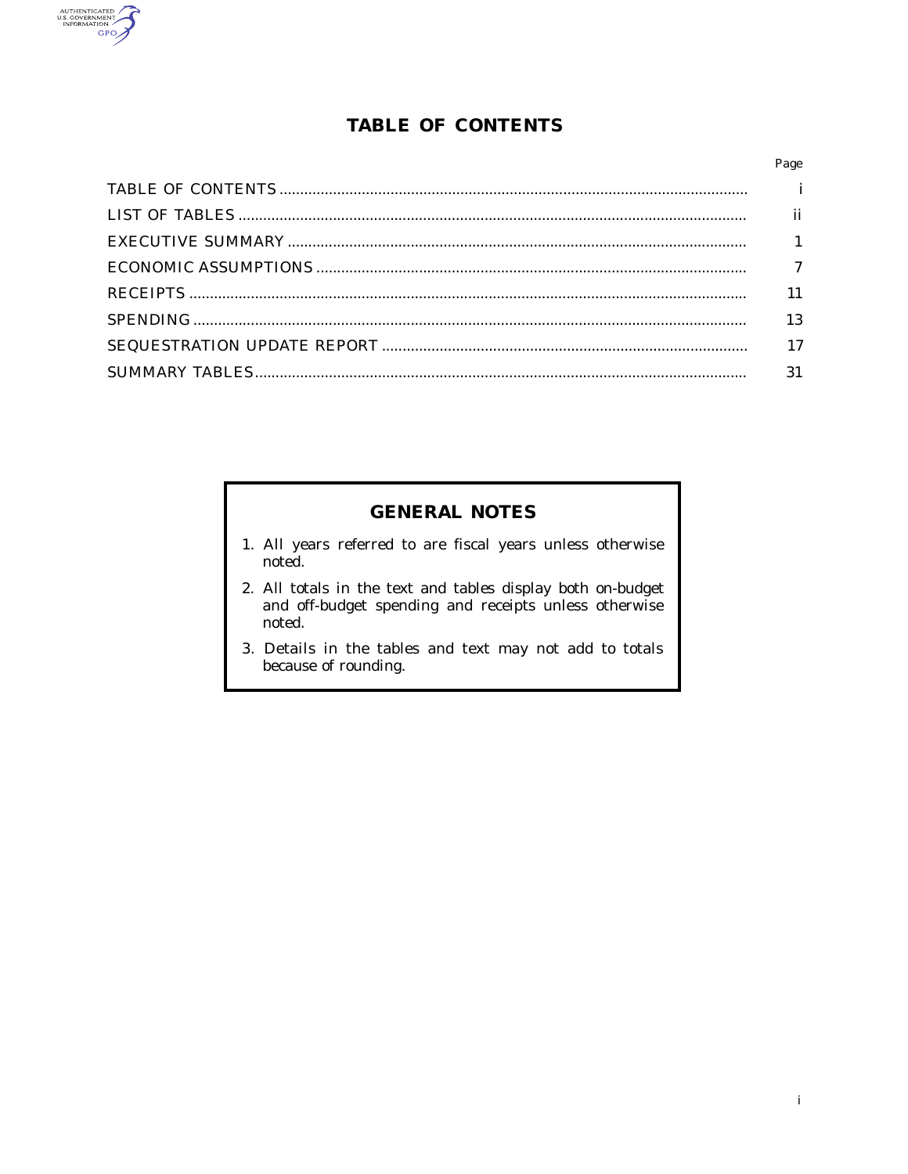

# **TABLE OF CONTENTS**

| Page |
|------|
|      |
| ii   |
|      |
|      |
| 11   |
| 13   |
| 17   |
| 31   |
|      |

# **GENERAL NOTES**

- 1. All years referred to are fiscal years unless otherwise noted.
- 2. All totals in the text and tables display both on-budget and off-budget spending and receipts unless otherwise noted.
- 3. Details in the tables and text may not add to totals because of rounding.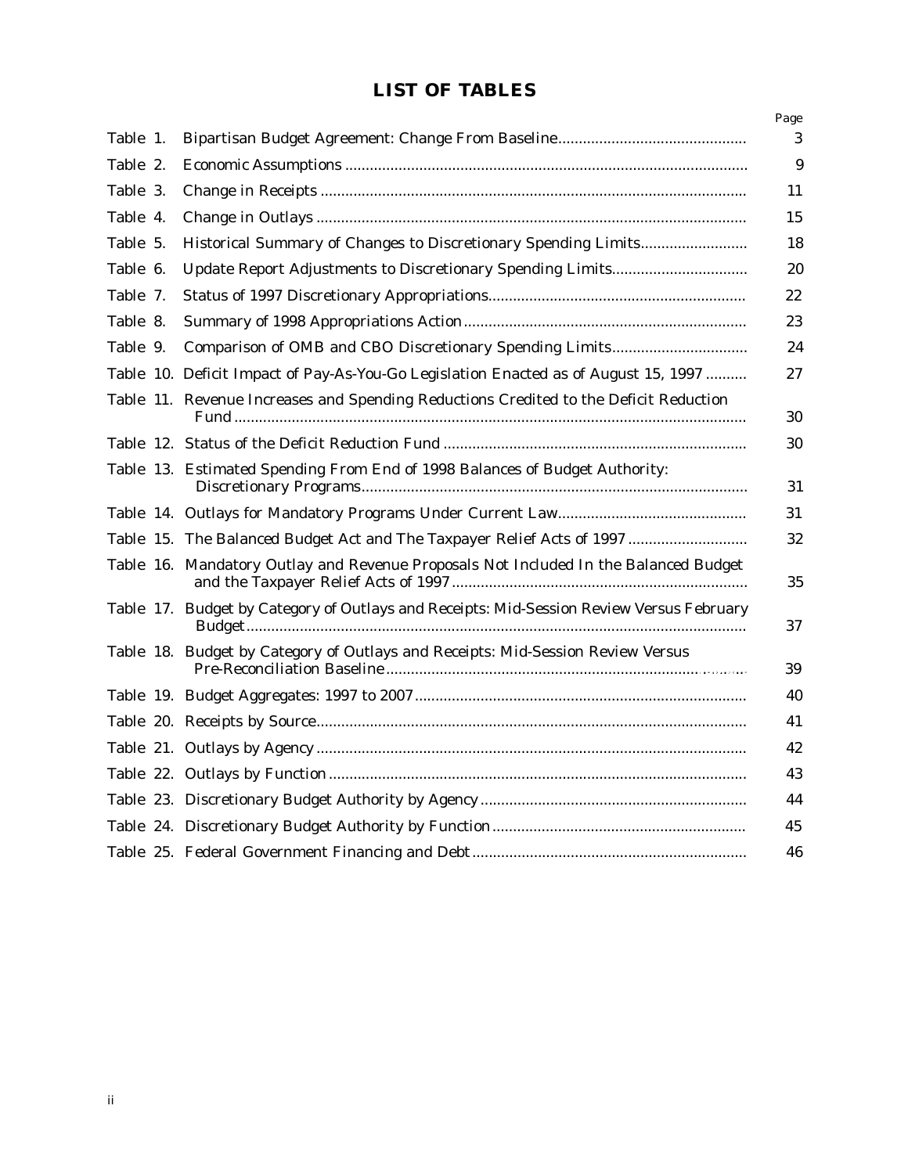# **LIST OF TABLES**

|          |                                                                                          | Page |
|----------|------------------------------------------------------------------------------------------|------|
| Table 1. |                                                                                          | 3    |
| Table 2. |                                                                                          | 9    |
| Table 3. |                                                                                          | 11   |
| Table 4. |                                                                                          | 15   |
| Table 5. |                                                                                          | 18   |
| Table 6. |                                                                                          | 20   |
| Table 7. |                                                                                          | 22   |
| Table 8. |                                                                                          | 23   |
| Table 9. | Comparison of OMB and CBO Discretionary Spending Limits                                  | 24   |
|          | Table 10. Deficit Impact of Pay-As-You-Go Legislation Enacted as of August 15, 1997      | 27   |
|          | Table 11. Revenue Increases and Spending Reductions Credited to the Deficit Reduction    | 30   |
|          |                                                                                          | 30   |
|          | Table 13. Estimated Spending From End of 1998 Balances of Budget Authority:              | 31   |
|          |                                                                                          | 31   |
|          | Table 15. The Balanced Budget Act and The Taxpayer Relief Acts of 1997                   | 32   |
|          | Table 16. Mandatory Outlay and Revenue Proposals Not Included In the Balanced Budget     | 35   |
|          | Table 17. Budget by Category of Outlays and Receipts: Mid-Session Review Versus February | 37   |
|          | Table 18. Budget by Category of Outlays and Receipts: Mid-Session Review Versus          | 39   |
|          |                                                                                          | 40   |
|          |                                                                                          | 41   |
|          |                                                                                          | 42   |
|          |                                                                                          | 43   |
|          |                                                                                          | 44   |
|          |                                                                                          | 45   |
|          |                                                                                          | 46   |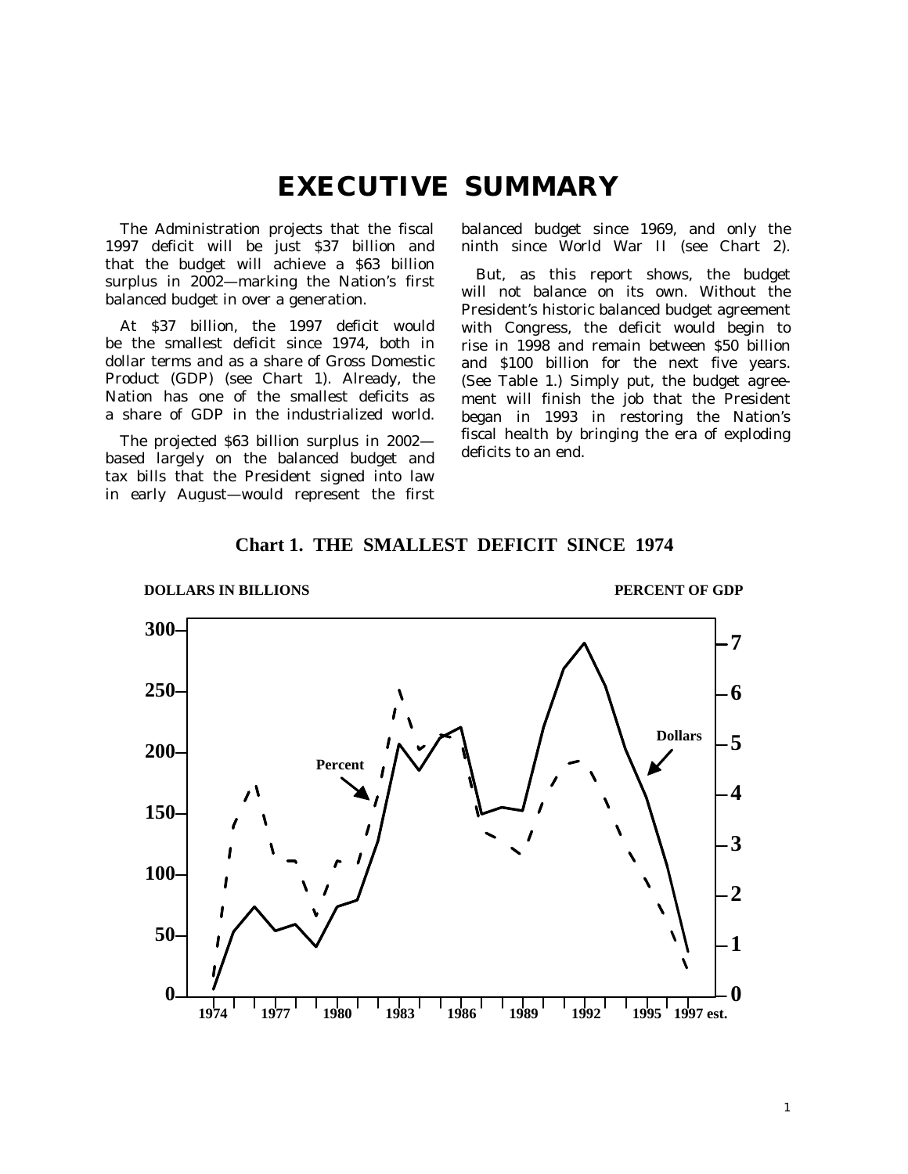# **EXECUTIVE SUMMARY**

The Administration projects that the fiscal 1997 deficit will be just \$37 billion and that the budget will achieve a \$63 billion surplus in 2002—marking the Nation's first balanced budget in over a generation.

At \$37 billion, the 1997 deficit would be the smallest deficit since 1974, both in dollar terms and as a share of Gross Domestic Product (GDP) (see Chart 1). Already, the Nation has one of the smallest deficits as a share of GDP in the industrialized world.

The projected \$63 billion surplus in 2002 based largely on the balanced budget and tax bills that the President signed into law in early August—would represent the first balanced budget since 1969, and only the ninth since World War II (see Chart 2).

But, as this report shows, the budget will not balance on its own. Without the President's historic balanced budget agreement with Congress, the deficit would begin to rise in 1998 and remain between \$50 billion and \$100 billion for the next five years. (See Table 1.) Simply put, the budget agreement will finish the job that the President began in 1993 in restoring the Nation's fiscal health by bringing the era of exploding deficits to an end.



**Chart 1. THE SMALLEST DEFICIT SINCE 1974**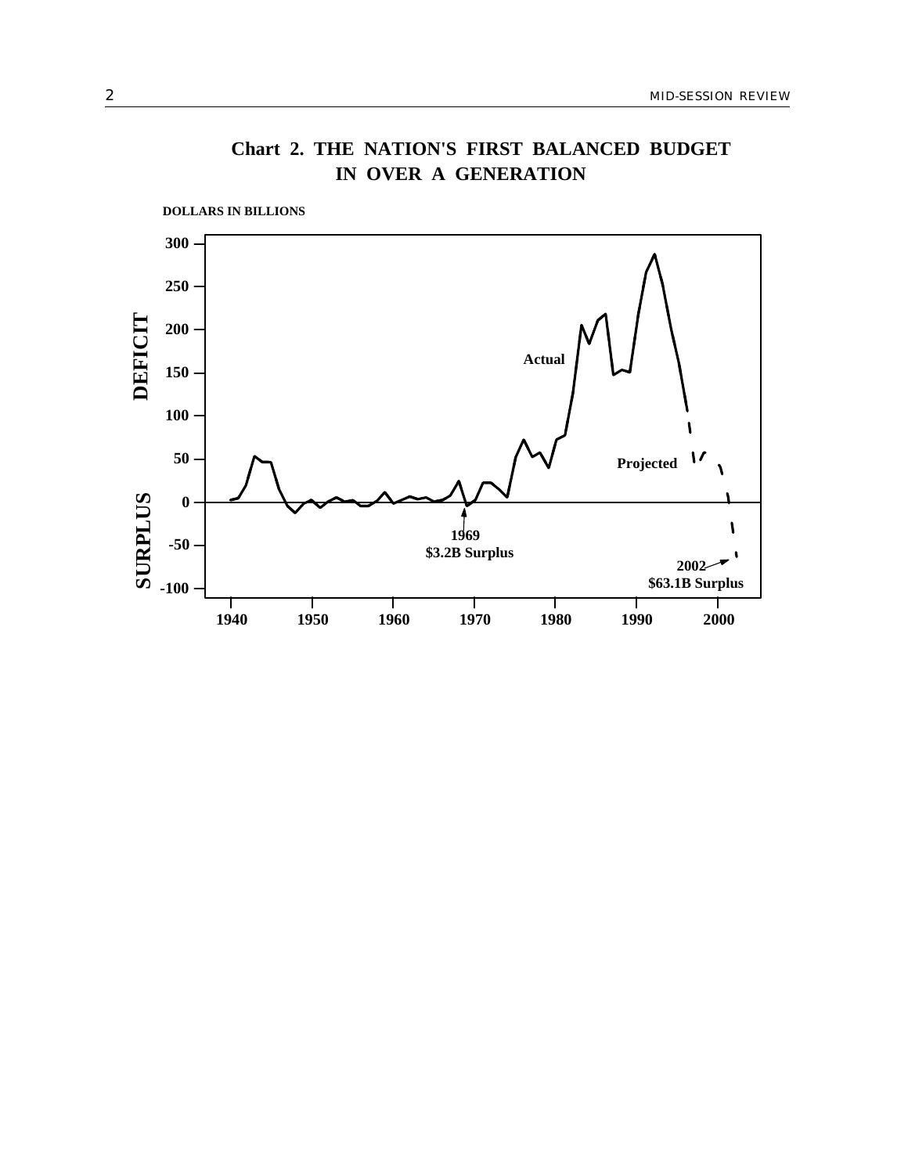

**IN OVER A GENERATION Chart 2. THE NATION'S FIRST BALANCED BUDGET**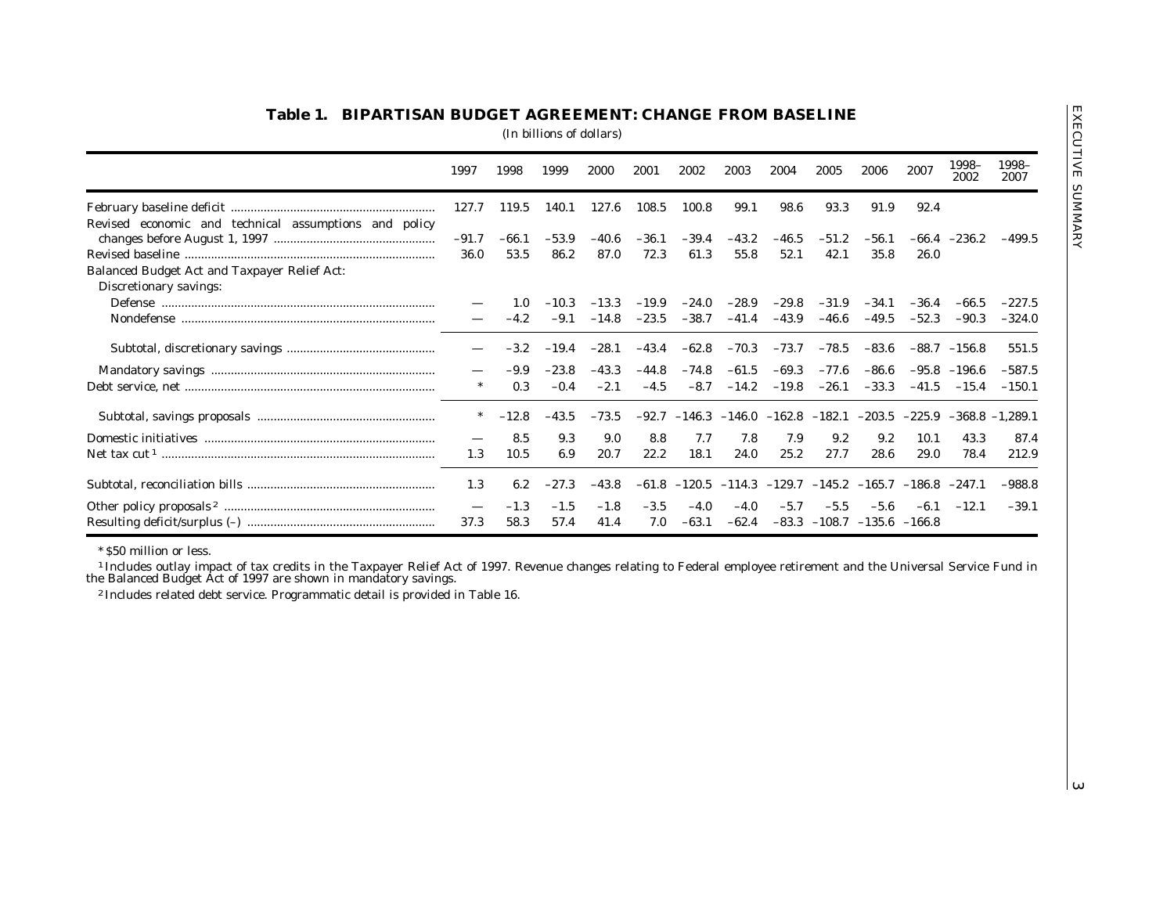|                                                                        | 1997                     | 1998         | 1999        | 2000         | 2001        | 2002            | 2003                                        | 2004    | 2005    | 2006                                       | 2007                                                           | 1998-<br>2002                                                                                                                                                                            | 1998-<br>2007 |
|------------------------------------------------------------------------|--------------------------|--------------|-------------|--------------|-------------|-----------------|---------------------------------------------|---------|---------|--------------------------------------------|----------------------------------------------------------------|------------------------------------------------------------------------------------------------------------------------------------------------------------------------------------------|---------------|
|                                                                        | 127.7                    | 119.5        | 140.1       | 127.6        | 108.5       | 100.8           | 99.1                                        | 98.6    | 93.3    | 91.9                                       | 92.4                                                           |                                                                                                                                                                                          |               |
| Revised economic and technical assumptions and policy                  |                          |              |             |              |             |                 |                                             |         |         |                                            |                                                                |                                                                                                                                                                                          |               |
|                                                                        | $-91.7$                  | $-66.1$      | $-53.9$     | $-40.6$      | $-36.1$     | $-39.4$         | $-43.2$                                     | $-46.5$ | $-51.2$ | $-56.1$                                    | $-66.4$                                                        | $-236.2$                                                                                                                                                                                 | $-499.5$      |
|                                                                        | 36.0                     | 53.5         | 86.2        | 87.0         | 72.3        | 61.3            | 55.8                                        | 52.1    | 42.1    | 35.8                                       | 26.0                                                           |                                                                                                                                                                                          |               |
| Balanced Budget Act and Taxpayer Relief Act:<br>Discretionary savings: |                          |              |             |              |             |                 |                                             |         |         |                                            |                                                                |                                                                                                                                                                                          |               |
|                                                                        |                          | 1.0          | $-10.3$     | $-13.3$      | $-19.9$     | $-24.0$         | $-28.9$                                     | $-29.8$ | $-31.9$ | $-34.1$                                    | $-36.4$                                                        | $-66.5$                                                                                                                                                                                  | $-227.5$      |
|                                                                        |                          | $-4.2$       | $-9.1$      | $-14.8$      | $-23.5$     | $-38.7$         | $-41.4$                                     | $-43.9$ | $-46.6$ | $-49.5$                                    | $-52.3$                                                        | $-90.3$                                                                                                                                                                                  | $-324.0$      |
|                                                                        |                          |              |             |              |             |                 |                                             |         |         |                                            |                                                                |                                                                                                                                                                                          |               |
|                                                                        | $\overline{\phantom{0}}$ | $-3.2$       | $-19.4$     | $-28.1$      | $-43.4$     | $-62.8$         | $-70.3$                                     | $-73.7$ | $-78.5$ | $-83.6$                                    |                                                                | $-88.7 -156.8$                                                                                                                                                                           | 551.5         |
|                                                                        |                          | -9.9         | $-23.8$     | $-43.3$      | $-44.8$     | $-74.8$         | $-61.5$                                     | $-69.3$ | $-77.6$ | $-86.6$                                    |                                                                | $-95.8$ $-196.6$                                                                                                                                                                         | $-587.5$      |
|                                                                        | $\ast$                   | 0.3          | $-0.4$      | $-2.1$       | $-4.5$      | $-8.7$          | $-14.2$                                     | $-19.8$ | $-26.1$ | $-33.3$                                    | $-41.5$                                                        | $-15.4$                                                                                                                                                                                  | $-150.1$      |
|                                                                        |                          |              |             |              |             |                 |                                             |         |         |                                            |                                                                |                                                                                                                                                                                          |               |
|                                                                        | $\ast$                   | $-12.8$      | $-43.5$     | $-73.5$      |             |                 | $-92.7$ $-146.3$ $-146.0$ $-162.8$ $-182.1$ |         |         | $-203.5$                                   | $-225.9$                                                       | $-368.8 -1,289.1$                                                                                                                                                                        |               |
|                                                                        |                          | 8.5          | 9.3         | 9.0          | 8.8         | 7.7             | 7.8                                         | 7.9     | 9.2     | 9.2                                        | 10.1                                                           | 43.3                                                                                                                                                                                     | 87.4          |
|                                                                        |                          |              |             |              |             |                 |                                             |         |         |                                            |                                                                |                                                                                                                                                                                          | 212.9         |
|                                                                        |                          |              |             |              |             |                 |                                             |         |         |                                            |                                                                |                                                                                                                                                                                          |               |
|                                                                        | 1.3                      | 6.2          | $-27.3$     | $-43.8$      | $-61.8$     |                 |                                             |         |         |                                            | $-120.5$ $-114.3$ $-129.7$ $-145.2$ $-165.7$ $-186.8$ $-247.1$ |                                                                                                                                                                                          | $-988.8$      |
|                                                                        | $\overline{\phantom{m}}$ | $-1.3$       | $-1.5$      | $-1.8$       | $-3.5$      | $-4.0$          | $-4.0$                                      | $-5.7$  | $-5.5$  | $-5.6$                                     | $-6.1$                                                         | $-12.1$                                                                                                                                                                                  | $-39.1$       |
|                                                                        |                          |              |             |              |             |                 |                                             |         |         |                                            |                                                                |                                                                                                                                                                                          |               |
| * \$50 million or less.                                                | 1.3<br>37.3              | 10.5<br>58.3 | 6.9<br>57.4 | 20.7<br>41.4 | 22.2<br>7.0 | 18.1<br>$-63.1$ | 24.0<br>$-62.4$                             | 25.2    | 27.7    | 28.6<br>$-83.3$ $-108.7$ $-135.6$ $-166.8$ | 29.0                                                           | 78.4<br><sup>1</sup> Includes outlay impact of tax credits in the Taxpayer Relief Act of 1997. Revenue changes relating to Federal employee retirement and the Universal Service Fund in |               |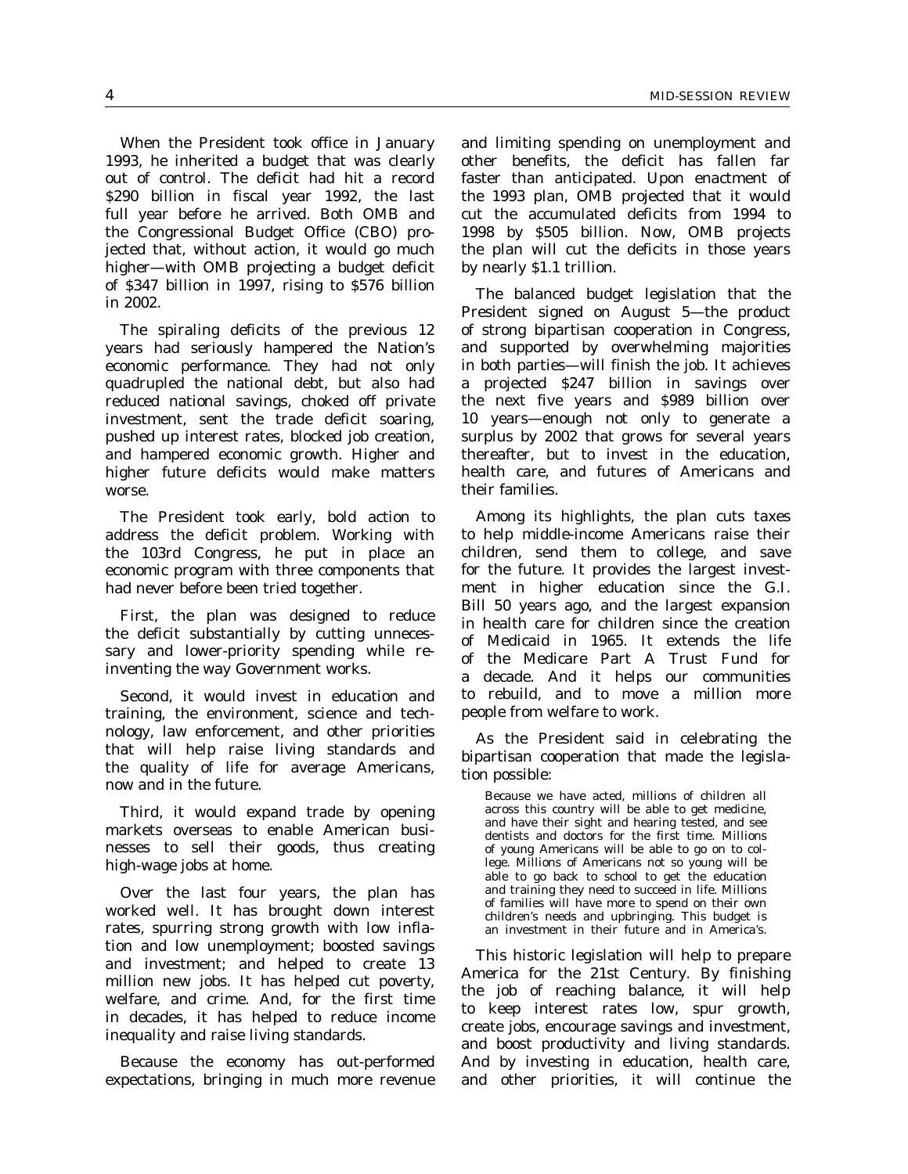When the President took office in January 1993, he inherited a budget that was clearly out of control. The deficit had hit a record \$290 billion in fiscal year 1992, the last full year before he arrived. Both OMB and the Congressional Budget Office (CBO) projected that, without action, it would go much higher—with OMB projecting a budget deficit of \$347 billion in 1997, rising to \$576 billion in 2002.

The spiraling deficits of the previous 12 years had seriously hampered the Nation's economic performance. They had not only quadrupled the national debt, but also had reduced national savings, choked off private investment, sent the trade deficit soaring, pushed up interest rates, blocked job creation, and hampered economic growth. Higher and higher future deficits would make matters worse.

The President took early, bold action to address the deficit problem. Working with the 103rd Congress, he put in place an economic program with three components that had never before been tried together.

First, the plan was designed to reduce the deficit substantially by cutting unnecessary and lower-priority spending while reinventing the way Government works.

Second, it would invest in education and training, the environment, science and technology, law enforcement, and other priorities that will help raise living standards and the quality of life for average Americans, now and in the future.

Third, it would expand trade by opening markets overseas to enable American businesses to sell their goods, thus creating high-wage jobs at home.

Over the last four years, the plan has worked well. It has brought down interest rates, spurring strong growth with low inflation and low unemployment; boosted savings and investment; and helped to create 13 million new jobs. It has helped cut poverty, welfare, and crime. And, for the first time in decades, it has helped to reduce income inequality and raise living standards.

Because the economy has out-performed expectations, bringing in much more revenue

and limiting spending on unemployment and other benefits, the deficit has fallen far faster than anticipated. Upon enactment of the 1993 plan, OMB projected that it would cut the accumulated deficits from 1994 to 1998 by \$505 billion. Now, OMB projects the plan will cut the deficits in those years by nearly \$1.1 trillion.

The balanced budget legislation that the President signed on August 5—the product of strong bipartisan cooperation in Congress, and supported by overwhelming majorities in both parties—will finish the job. It achieves a projected \$247 billion in savings over the next five years and \$989 billion over 10 years—enough not only to generate a surplus by 2002 that grows for several years thereafter, but to invest in the education, health care, and futures of Americans and their families.

Among its highlights, the plan cuts taxes to help middle-income Americans raise their children, send them to college, and save for the future. It provides the largest investment in higher education since the G.I. Bill 50 years ago, and the largest expansion in health care for children since the creation of Medicaid in 1965. It extends the life of the Medicare Part A Trust Fund for a decade. And it helps our communities to rebuild, and to move a million more people from welfare to work.

As the President said in celebrating the bipartisan cooperation that made the legislation possible:

Because we have acted, millions of children all across this country will be able to get medicine, and have their sight and hearing tested, and see dentists and doctors for the first time. Millions of young Americans will be able to go on to college. Millions of Americans not so young will be able to go back to school to get the education and training they need to succeed in life. Millions of families will have more to spend on their own children's needs and upbringing. This budget is an investment in their future and in America's.

This historic legislation will help to prepare America for the 21st Century. By finishing the job of reaching balance, it will help to keep interest rates low, spur growth, create jobs, encourage savings and investment, and boost productivity and living standards. And by investing in education, health care, and other priorities, it will continue the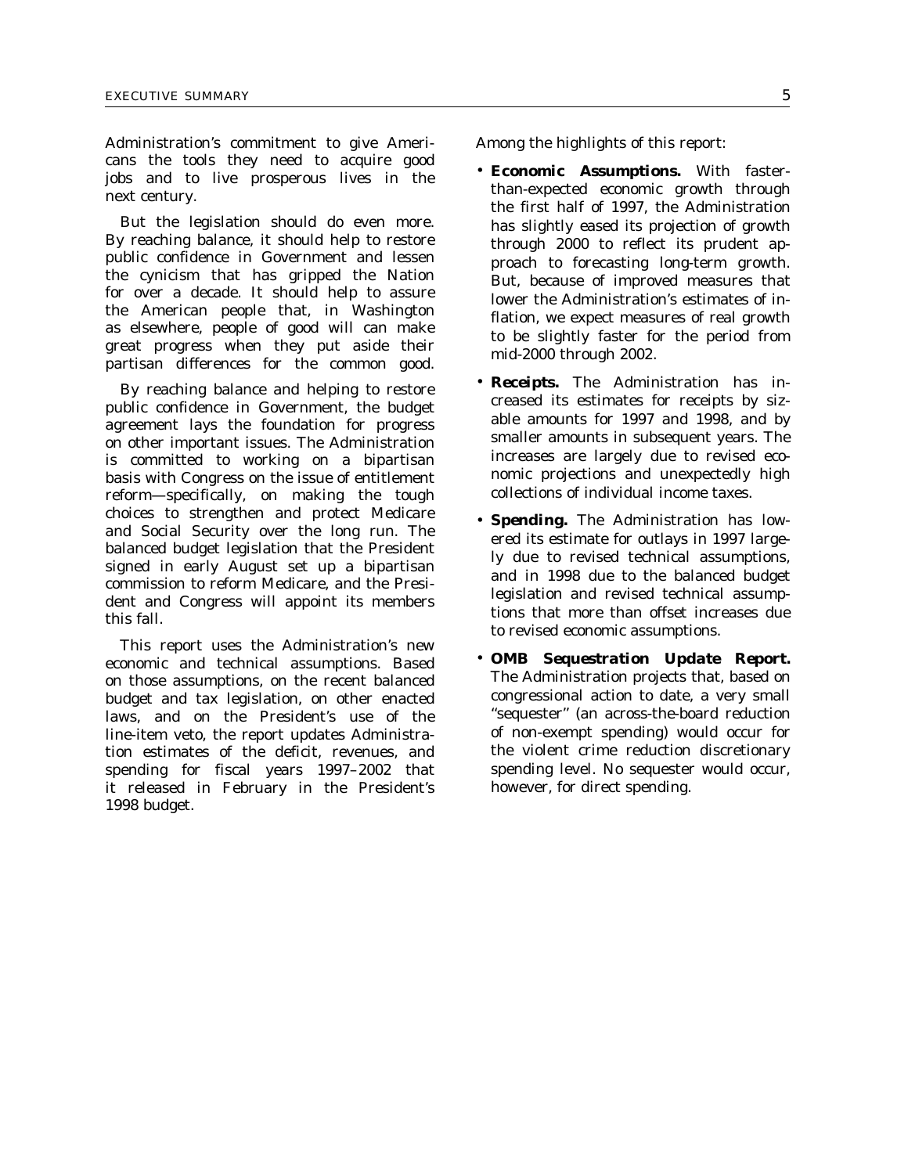Administration's commitment to give Americans the tools they need to acquire good jobs and to live prosperous lives in the next century.

But the legislation should do even more. By reaching balance, it should help to restore public confidence in Government and lessen the cynicism that has gripped the Nation for over a decade. It should help to assure the American people that, in Washington as elsewhere, people of good will can make great progress when they put aside their partisan differences for the common good.

By reaching balance and helping to restore public confidence in Government, the budget agreement lays the foundation for progress on other important issues. The Administration is committed to working on a bipartisan basis with Congress on the issue of entitlement reform—specifically, on making the tough choices to strengthen and protect Medicare and Social Security over the long run. The balanced budget legislation that the President signed in early August set up a bipartisan commission to reform Medicare, and the President and Congress will appoint its members this fall.

This report uses the Administration's new economic and technical assumptions. Based on those assumptions, on the recent balanced budget and tax legislation, on other enacted laws, and on the President's use of the line-item veto, the report updates Administration estimates of the deficit, revenues, and spending for fiscal years 1997–2002 that it released in February in the President's 1998 budget.

Among the highlights of this report:

- *Economic Assumptions.* With fasterthan-expected economic growth through the first half of 1997, the Administration has slightly eased its projection of growth through 2000 to reflect its prudent approach to forecasting long-term growth. But, because of improved measures that lower the Administration's estimates of inflation, we expect measures of real growth to be slightly faster for the period from mid-2000 through 2002.
- *Receipts.* The Administration has increased its estimates for receipts by sizable amounts for 1997 and 1998, and by smaller amounts in subsequent years. The increases are largely due to revised economic projections and unexpectedly high collections of individual income taxes.
- *Spending.* The Administration has lowered its estimate for outlays in 1997 largely due to revised technical assumptions, and in 1998 due to the balanced budget legislation and revised technical assumptions that more than offset increases due to revised economic assumptions.
- *OMB Sequestration Update Report.* The Administration projects that, based on congressional action to date, a very small ''sequester'' (an across-the-board reduction of non-exempt spending) would occur for the violent crime reduction discretionary spending level. No sequester would occur, however, for direct spending.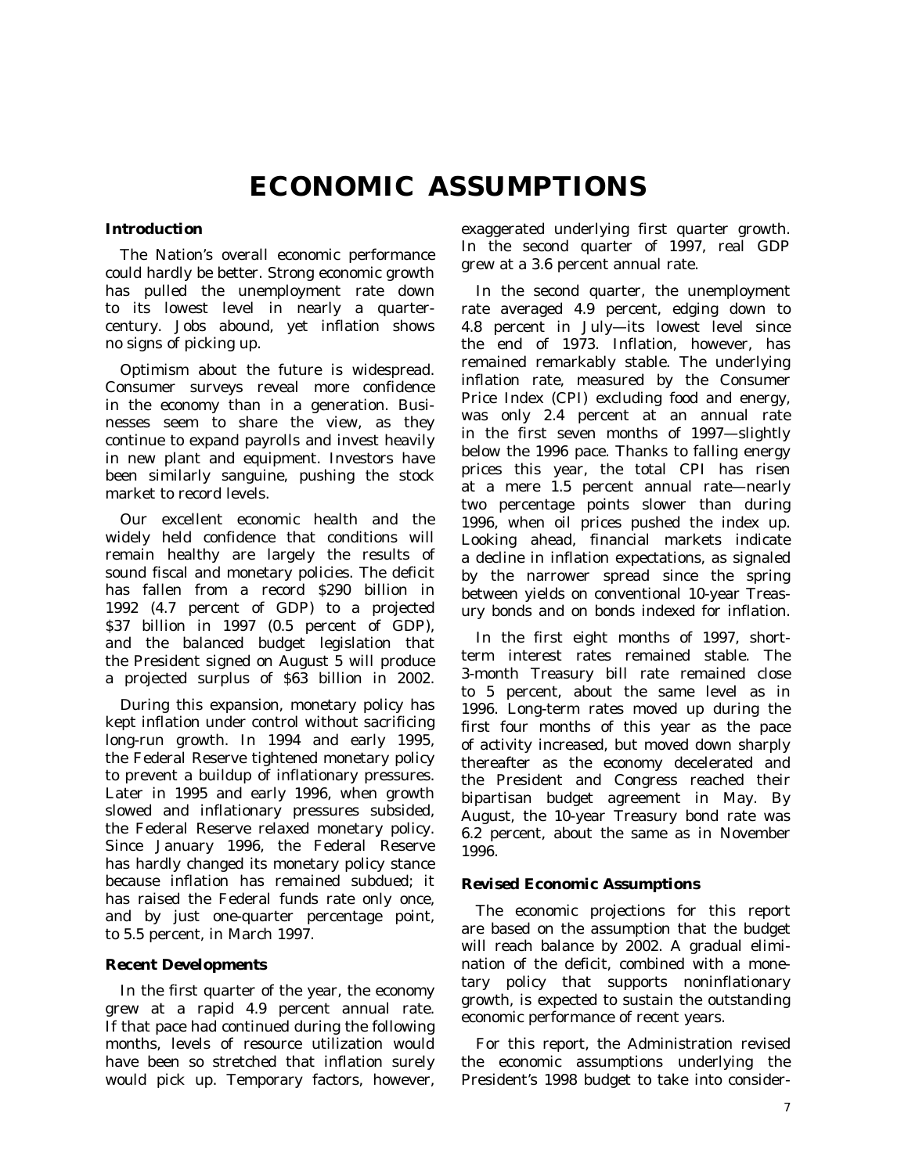# **ECONOMIC ASSUMPTIONS**

## *Introduction*

The Nation's overall economic performance could hardly be better. Strong economic growth has pulled the unemployment rate down to its lowest level in nearly a quartercentury. Jobs abound, yet inflation shows no signs of picking up.

Optimism about the future is widespread. Consumer surveys reveal more confidence in the economy than in a generation. Businesses seem to share the view, as they continue to expand payrolls and invest heavily in new plant and equipment. Investors have been similarly sanguine, pushing the stock market to record levels.

Our excellent economic health and the widely held confidence that conditions will remain healthy are largely the results of sound fiscal and monetary policies. The deficit has fallen from a record \$290 billion in 1992 (4.7 percent of GDP) to a projected \$37 billion in 1997 (0.5 percent of GDP), and the balanced budget legislation that the President signed on August 5 will produce a projected surplus of \$63 billion in 2002.

During this expansion, monetary policy has kept inflation under control without sacrificing long-run growth. In 1994 and early 1995, the Federal Reserve tightened monetary policy to prevent a buildup of inflationary pressures. Later in 1995 and early 1996, when growth slowed and inflationary pressures subsided, the Federal Reserve relaxed monetary policy. Since January 1996, the Federal Reserve has hardly changed its monetary policy stance because inflation has remained subdued; it has raised the Federal funds rate only once, and by just one-quarter percentage point, to 5.5 percent, in March 1997.

### *Recent Developments*

In the first quarter of the year, the economy grew at a rapid 4.9 percent annual rate. If that pace had continued during the following months, levels of resource utilization would have been so stretched that inflation surely would pick up. Temporary factors, however, exaggerated underlying first quarter growth. In the second quarter of 1997, real GDP grew at a 3.6 percent annual rate.

In the second quarter, the unemployment rate averaged 4.9 percent, edging down to 4.8 percent in July—its lowest level since the end of 1973. Inflation, however, has remained remarkably stable. The underlying inflation rate, measured by the Consumer Price Index (CPI) excluding food and energy, was only 2.4 percent at an annual rate in the first seven months of 1997—slightly below the 1996 pace. Thanks to falling energy prices this year, the total CPI has risen at a mere 1.5 percent annual rate—nearly two percentage points slower than during 1996, when oil prices pushed the index up. Looking ahead, financial markets indicate a decline in inflation expectations, as signaled by the narrower spread since the spring between yields on conventional 10-year Treasury bonds and on bonds indexed for inflation.

In the first eight months of 1997, shortterm interest rates remained stable. The 3-month Treasury bill rate remained close to 5 percent, about the same level as in 1996. Long-term rates moved up during the first four months of this year as the pace of activity increased, but moved down sharply thereafter as the economy decelerated and the President and Congress reached their bipartisan budget agreement in May. By August, the 10-year Treasury bond rate was 6.2 percent, about the same as in November 1996.

### *Revised Economic Assumptions*

The economic projections for this report are based on the assumption that the budget will reach balance by 2002. A gradual elimination of the deficit, combined with a monetary policy that supports noninflationary growth, is expected to sustain the outstanding economic performance of recent years.

For this report, the Administration revised the economic assumptions underlying the President's 1998 budget to take into consider-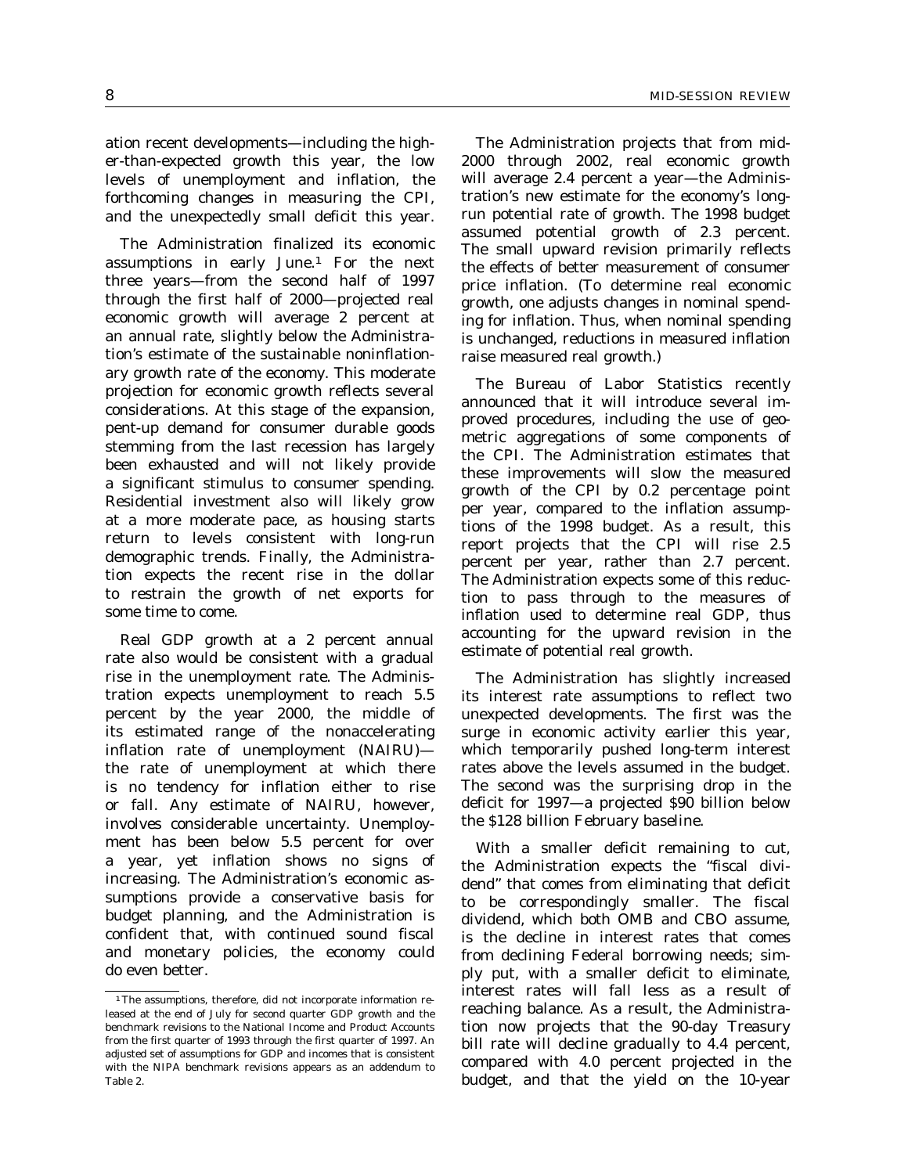ation recent developments—including the higher-than-expected growth this year, the low levels of unemployment and inflation, the forthcoming changes in measuring the CPI, and the unexpectedly small deficit this year.

The Administration finalized its economic assumptions in early June.1 For the next three years—from the second half of 1997 through the first half of 2000—projected real economic growth will average 2 percent at an annual rate, slightly below the Administration's estimate of the sustainable noninflationary growth rate of the economy. This moderate projection for economic growth reflects several considerations. At this stage of the expansion, pent-up demand for consumer durable goods stemming from the last recession has largely been exhausted and will not likely provide a significant stimulus to consumer spending. Residential investment also will likely grow at a more moderate pace, as housing starts return to levels consistent with long-run demographic trends. Finally, the Administration expects the recent rise in the dollar to restrain the growth of net exports for some time to come.

Real GDP growth at a 2 percent annual rate also would be consistent with a gradual rise in the unemployment rate. The Administration expects unemployment to reach 5.5 percent by the year 2000, the middle of its estimated range of the nonaccelerating inflation rate of unemployment (NAIRU) the rate of unemployment at which there is no tendency for inflation either to rise or fall. Any estimate of NAIRU, however, involves considerable uncertainty. Unemployment has been below 5.5 percent for over a year, yet inflation shows no signs of increasing. The Administration's economic assumptions provide a conservative basis for budget planning, and the Administration is confident that, with continued sound fiscal and monetary policies, the economy could do even better.

The Administration projects that from mid-2000 through 2002, real economic growth will average 2.4 percent a year—the Administration's new estimate for the economy's longrun potential rate of growth. The 1998 budget assumed potential growth of 2.3 percent. The small upward revision primarily reflects the effects of better measurement of consumer price inflation. (To determine real economic growth, one adjusts changes in nominal spending for inflation. Thus, when nominal spending is unchanged, reductions in measured inflation raise measured real growth.)

The Bureau of Labor Statistics recently announced that it will introduce several improved procedures, including the use of geometric aggregations of some components of the CPI. The Administration estimates that these improvements will slow the measured growth of the CPI by 0.2 percentage point per year, compared to the inflation assumptions of the 1998 budget. As a result, this report projects that the CPI will rise 2.5 percent per year, rather than 2.7 percent. The Administration expects some of this reduction to pass through to the measures of inflation used to determine real GDP, thus accounting for the upward revision in the estimate of potential real growth.

The Administration has slightly increased its interest rate assumptions to reflect two unexpected developments. The first was the surge in economic activity earlier this year, which temporarily pushed long-term interest rates above the levels assumed in the budget. The second was the surprising drop in the deficit for 1997—a projected \$90 billion below the \$128 billion February baseline.

With a smaller deficit remaining to cut, the Administration expects the ''fiscal dividend'' that comes from eliminating that deficit to be correspondingly smaller. The fiscal dividend, which both OMB and CBO assume, is the decline in interest rates that comes from declining Federal borrowing needs; simply put, with a smaller deficit to eliminate, interest rates will fall less as a result of reaching balance. As a result, the Administration now projects that the 90-day Treasury bill rate will decline gradually to 4.4 percent, compared with 4.0 percent projected in the budget, and that the yield on the 10-year

<sup>1</sup>The assumptions, therefore, did not incorporate information released at the end of July for second quarter GDP growth and the benchmark revisions to the National Income and Product Accounts from the first quarter of 1993 through the first quarter of 1997. An adjusted set of assumptions for GDP and incomes that is consistent with the NIPA benchmark revisions appears as an addendum to Table 2.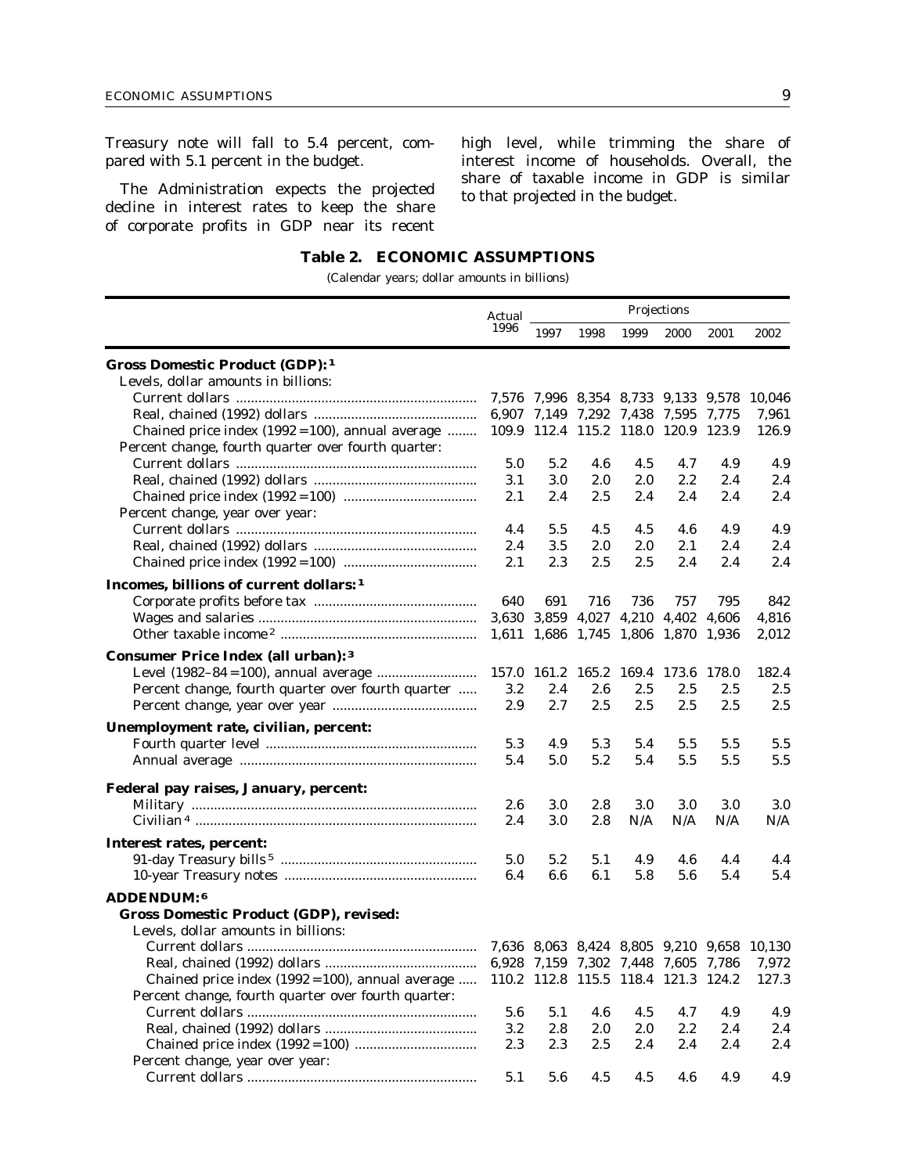Treasury note will fall to 5.4 percent, compared with 5.1 percent in the budget.

The Administration expects the projected decline in interest rates to keep the share of corporate profits in GDP near its recent

high level, while trimming the share of interest income of households. Overall, the share of taxable income in GDP is similar to that projected in the budget.

## **Table 2. ECONOMIC ASSUMPTIONS**

(Calendar years; dollar amounts in billions)

|                                                                                       | Actual | Projections                         |      |                         |      |      |                                            |  |  |
|---------------------------------------------------------------------------------------|--------|-------------------------------------|------|-------------------------|------|------|--------------------------------------------|--|--|
|                                                                                       | 1996   | 1997                                | 1998 | 1999                    | 2000 | 2001 | 2002                                       |  |  |
| <b>Gross Domestic Product (GDP): 1</b>                                                |        |                                     |      |                         |      |      |                                            |  |  |
| Levels, dollar amounts in billions:                                                   |        |                                     |      |                         |      |      |                                            |  |  |
|                                                                                       |        | 7,576 7,996 8,354 8,733 9,133 9,578 |      |                         |      |      | 10,046                                     |  |  |
|                                                                                       |        | 6,907 7,149 7,292 7,438 7,595 7,775 |      |                         |      |      | 7,961                                      |  |  |
| Chained price index $(1992 = 100)$ , annual average                                   |        | 109.9 112.4 115.2 118.0 120.9 123.9 |      |                         |      |      | 126.9                                      |  |  |
| Percent change, fourth quarter over fourth quarter:                                   | 5.0    | 5.2                                 | 4.6  | 4.5                     | 4.7  | 4.9  | 4.9                                        |  |  |
|                                                                                       | 3.1    | 3.0                                 | 2.0  | 2.0                     | 2.2  | 2.4  | 2.4                                        |  |  |
|                                                                                       | 2.1    | 2.4                                 | 2.5  | 2.4                     | 2.4  | 2.4  | 2.4                                        |  |  |
| Percent change, year over year:                                                       |        |                                     |      |                         |      |      |                                            |  |  |
|                                                                                       | 4.4    | 5.5                                 | 4.5  | 4.5                     | 4.6  | 4.9  | 4.9                                        |  |  |
|                                                                                       | 2.4    | 3.5                                 | 2.0  | $2.0\,$                 | 2.1  | 2.4  | 2.4                                        |  |  |
|                                                                                       | 2.1    | 2.3                                 | 2.5  | 2.5                     | 2.4  | 2.4  | 2.4                                        |  |  |
|                                                                                       |        |                                     |      |                         |      |      |                                            |  |  |
| Incomes, billions of current dollars: 1                                               |        |                                     |      |                         |      |      |                                            |  |  |
|                                                                                       | 640    | 691                                 | 716  | 736                     | 757  | 795  | 842                                        |  |  |
|                                                                                       |        | 3,630 3,859 4,027 4,210 4,402 4,606 |      |                         |      |      | 4,816                                      |  |  |
|                                                                                       |        | 1,611 1,686 1,745 1,806 1,870 1,936 |      |                         |      |      | 2,012                                      |  |  |
| <b>Consumer Price Index (all urban): 3</b>                                            |        |                                     |      |                         |      |      |                                            |  |  |
|                                                                                       | 157.0  | 161.2                               |      | 165.2 169.4 173.6 178.0 |      |      | 182.4                                      |  |  |
| Percent change, fourth quarter over fourth quarter                                    | 3.2    | 2.4                                 | 2.6  | 2.5                     | 2.5  | 2.5  | 2.5                                        |  |  |
|                                                                                       | 2.9    | 2.7                                 | 2.5  | 2.5                     | 2.5  | 2.5  | 2.5                                        |  |  |
| Unemployment rate, civilian, percent:                                                 |        |                                     |      |                         |      |      |                                            |  |  |
|                                                                                       | 5.3    | 4.9                                 | 5.3  | 5.4                     | 5.5  | 5.5  | 5.5                                        |  |  |
|                                                                                       | 5.4    | 5.0                                 | 5.2  | 5.4                     | 5.5  | 5.5  | 5.5                                        |  |  |
|                                                                                       |        |                                     |      |                         |      |      |                                            |  |  |
| Federal pay raises, January, percent:                                                 |        |                                     |      |                         |      |      |                                            |  |  |
|                                                                                       | 2.6    | 3.0                                 | 2.8  | 3.0                     | 3.0  | 3.0  | 3.0                                        |  |  |
|                                                                                       | 2.4    | 3.0                                 | 2.8  | N/A                     | N/A  | N/A  | N/A                                        |  |  |
| Interest rates, percent:                                                              |        |                                     |      |                         |      |      |                                            |  |  |
|                                                                                       | 5.0    | 5.2                                 | 5.1  | 4.9                     | 4.6  | 4.4  | 4.4                                        |  |  |
|                                                                                       | 6.4    | 6.6                                 | 6.1  | 5.8                     | 5.6  | 5.4  | 5.4                                        |  |  |
|                                                                                       |        |                                     |      |                         |      |      |                                            |  |  |
| ADDENDUM: 6                                                                           |        |                                     |      |                         |      |      |                                            |  |  |
| <b>Gross Domestic Product (GDP), revised:</b>                                         |        |                                     |      |                         |      |      |                                            |  |  |
| Levels, dollar amounts in billions:                                                   |        |                                     |      |                         |      |      |                                            |  |  |
|                                                                                       |        |                                     |      |                         |      |      | 7,636 8,063 8,424 8,805 9,210 9,658 10,130 |  |  |
|                                                                                       |        |                                     |      |                         |      |      |                                            |  |  |
| Chained price index (1992 = 100), annual average  110.2 112.8 115.5 118.4 121.3 124.2 |        |                                     |      |                         |      |      | 127.3                                      |  |  |
| Percent change, fourth quarter over fourth quarter:                                   |        |                                     |      |                         |      |      |                                            |  |  |
|                                                                                       | 5.6    | 5.1                                 | 4.6  | 4.5                     | 4.7  | 4.9  | 4.9                                        |  |  |
|                                                                                       | 3.2    | 2.8                                 | 2.0  | 2.0                     | 2.2  | 2.4  | 2.4                                        |  |  |
|                                                                                       | 2.3    | 2.3                                 | 2.5  | 2.4                     | 2.4  | 2.4  | 2.4                                        |  |  |
| Percent change, year over year:                                                       |        |                                     |      |                         |      |      |                                            |  |  |
|                                                                                       | 5.1    | 5.6                                 | 4.5  | 4.5                     | 4.6  | 4.9  | 4.9                                        |  |  |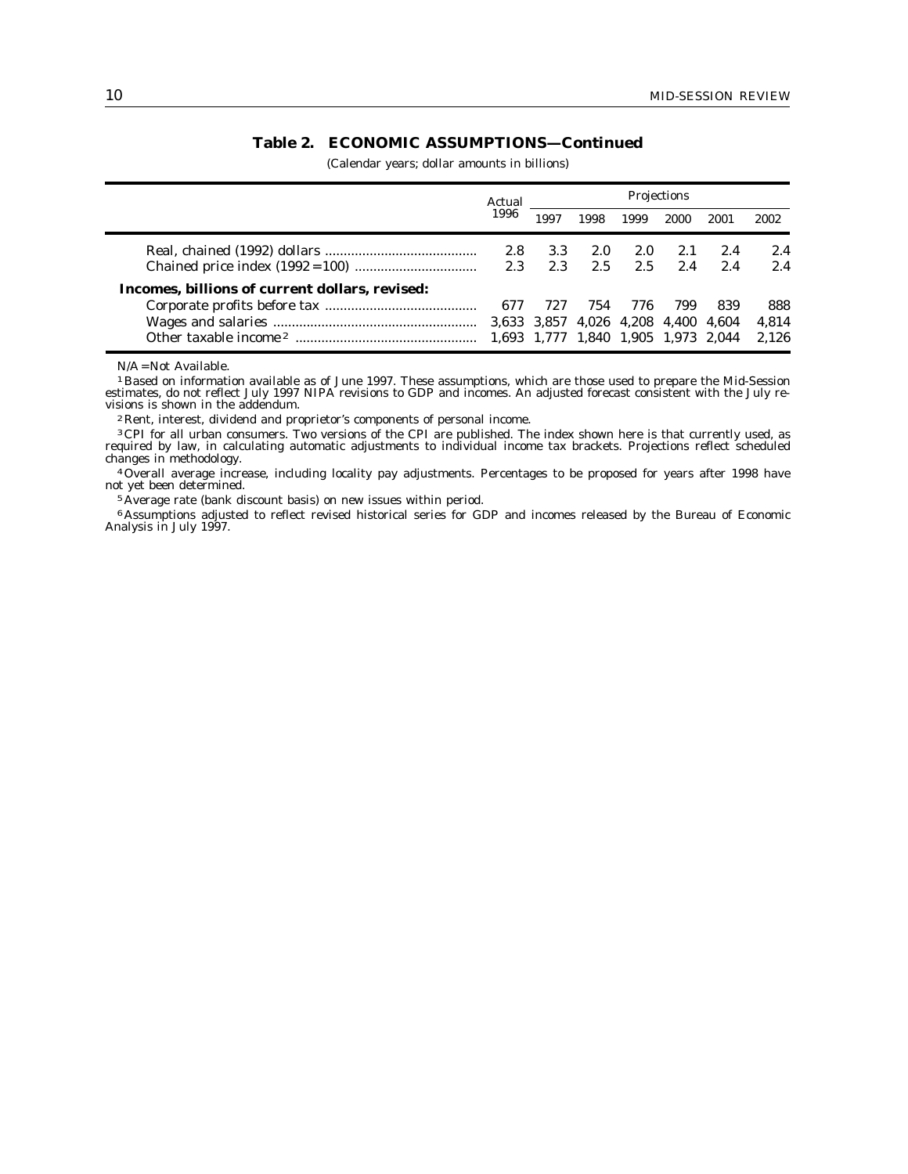# **Table 2. ECONOMIC ASSUMPTIONS—Continued**

(Calendar years; dollar amounts in billions)

|                                                | Actual<br>1996 |                                     |      |      |      |      |       |
|------------------------------------------------|----------------|-------------------------------------|------|------|------|------|-------|
|                                                |                | 1997                                | 1998 | 1999 | 2000 | 2001 | 2002  |
|                                                | 2.8            | 3.3                                 | 2.0  | 2.0  | 2.1  | 2.4  | 2.4   |
|                                                | 2.3            | 2.3                                 | 2.5  | 2.5  | 2.4  | 2.4  | 2.4   |
| Incomes, billions of current dollars, revised: |                |                                     |      |      |      |      |       |
|                                                | 677            | 727                                 | 754  | 776  | 799  | 839  | 888   |
|                                                |                | 3,633 3,857 4,026 4,208 4,400 4,604 |      |      |      |      | 4.814 |
|                                                |                | 1,693 1,777 1,840 1,905 1,973 2,044 |      |      |      |      | 2.126 |

N/A = Not Available.

1 Based on information available as of June 1997. These assumptions, which are those used to prepare the Mid-Session estimates, do not reflect July 1997 NIPA revisions to GDP and incomes. An adjusted forecast consistent with the July revisions is shown in the addendum.

2 Rent, interest, dividend and proprietor's components of personal income.

<sup>3</sup> CPI for all urban consumers. Two versions of the CPI are published. The index shown here is that currently used, as required by law, in calculating automatic adjustments to individual income tax brackets. Projections reflect scheduled changes in methodology.

4Overall average increase, including locality pay adjustments. Percentages to be proposed for years after 1998 have not yet been determined.

5 Average rate (bank discount basis) on new issues within period.

6 Assumptions adjusted to reflect revised historical series for GDP and incomes released by the Bureau of Economic Analysis in July 1997.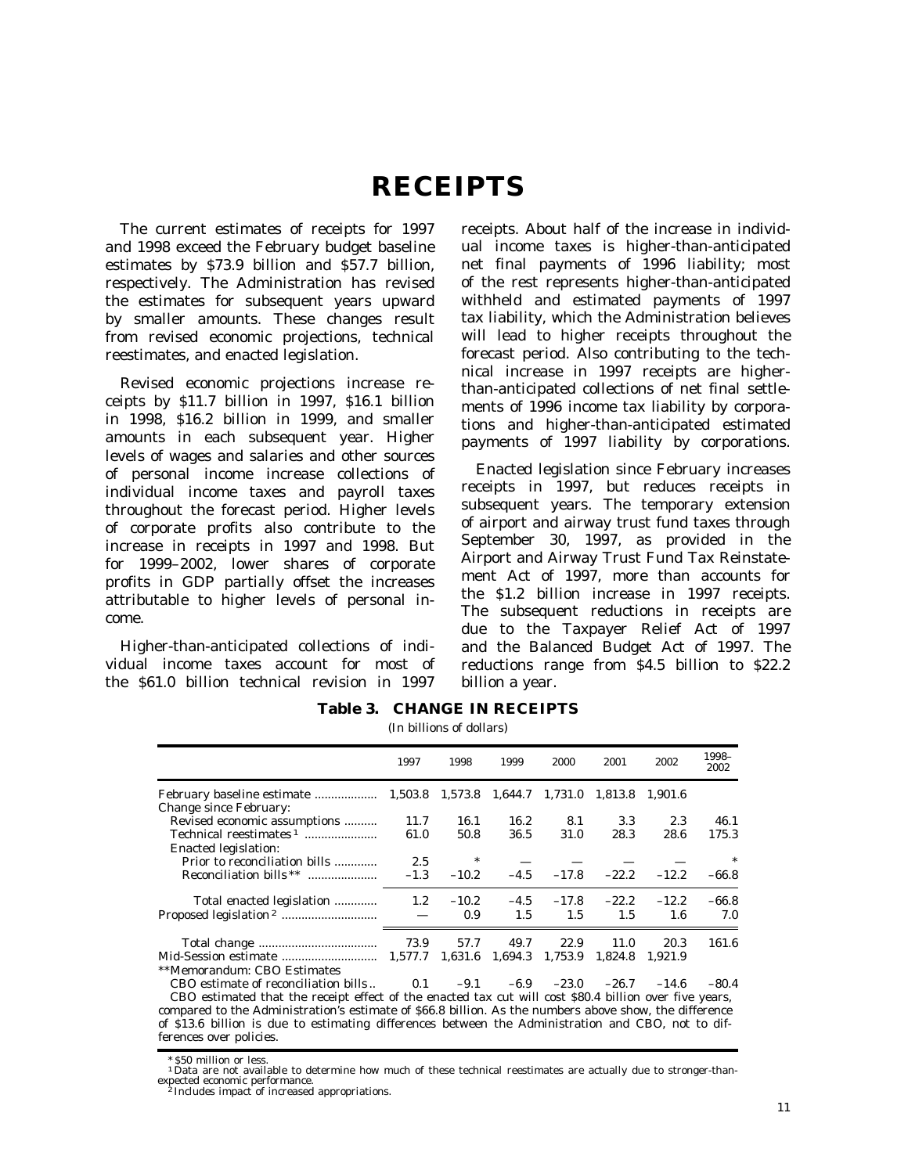# **RECEIPTS**

The current estimates of receipts for 1997 and 1998 exceed the February budget baseline estimates by \$73.9 billion and \$57.7 billion, respectively. The Administration has revised the estimates for subsequent years upward by smaller amounts. These changes result from revised economic projections, technical reestimates, and enacted legislation.

Revised economic projections increase receipts by \$11.7 billion in 1997, \$16.1 billion in 1998, \$16.2 billion in 1999, and smaller amounts in each subsequent year. Higher levels of wages and salaries and other sources of personal income increase collections of individual income taxes and payroll taxes throughout the forecast period. Higher levels of corporate profits also contribute to the increase in receipts in 1997 and 1998. But for 1999–2002, lower shares of corporate profits in GDP partially offset the increases attributable to higher levels of personal income.

Higher-than-anticipated collections of individual income taxes account for most of the \$61.0 billion technical revision in 1997

receipts. About half of the increase in individual income taxes is higher-than-anticipated net final payments of 1996 liability; most of the rest represents higher-than-anticipated withheld and estimated payments of 1997 tax liability, which the Administration believes will lead to higher receipts throughout the forecast period. Also contributing to the technical increase in 1997 receipts are higherthan-anticipated collections of net final settlements of 1996 income tax liability by corporations and higher-than-anticipated estimated payments of 1997 liability by corporations.

Enacted legislation since February increases receipts in 1997, but reduces receipts in subsequent years. The temporary extension of airport and airway trust fund taxes through September 30, 1997, as provided in the Airport and Airway Trust Fund Tax Reinstatement Act of 1997, more than accounts for the \$1.2 billion increase in 1997 receipts. The subsequent reductions in receipts are due to the Taxpayer Relief Act of 1997 and the Balanced Budget Act of 1997. The reductions range from \$4.5 billion to \$22.2 billion a year.

| 2001<br>1997<br>1998<br>1999<br>2000<br>2002                                                           | 1998-<br>2002 |
|--------------------------------------------------------------------------------------------------------|---------------|
| 1.901.6                                                                                                |               |
| <b>Change since February:</b>                                                                          |               |
| Revised economic assumptions<br>16.2<br>8.1<br>3.3<br>2.3<br>11.7<br>16.1                              | 46.1          |
| Technical reestimates <sup>1</sup><br>36.5<br>31.0<br>61.0<br>50.8<br>28.3<br>28.6                     | 175.3         |
| <b>Enacted legislation:</b>                                                                            |               |
| $\sim$ $\sim$<br>Prior to reconciliation bills<br>2.5                                                  |               |
| $-4.5$ $-17.8$ $-22.2$<br>Reconciliation bills **<br>$-12.2$<br>$-1.3$<br>$-10.2$                      | $-66.8$       |
| 1.2 $-10.2$ $-4.5$ $-17.8$ $-22.2$ $-12.2$<br>Total enacted legislation                                | $-66.8$       |
| $0.9 \qquad 1.5 \qquad 1.5$<br>1.5<br>1.6                                                              | 7.0           |
| 22.9<br>20.3<br>11.0                                                                                   | 161.6         |
| 1,824.8<br>1.921.9                                                                                     |               |
| **Memorandum: CBO Estimates                                                                            |               |
| CBO estimate of reconciliation bills $0.1 -9.1 -6.9 -23.0 -26.7 -14.6$                                 | $-80.4$       |
| CBO estimated that the receipt effect of the enacted tax cut will cost \$80.4 billion over five years, |               |
| compared to the Administration's estimate of \$66.8 billion. As the numbers above show, the difference |               |
| of \$13.6 billion is due to estimating differences between the Administration and CBO, not to dif-     |               |
| ferences over policies.                                                                                |               |

**Table 3. CHANGE IN RECEIPTS** (In billions of dollars)

\* \$50 million or less.

<sup>1</sup>Data are not available to determine how much of these technical reestimates are actually due to stronger-thanexpected economic performance. <sup>2</sup> Includes impact of increased appropriations.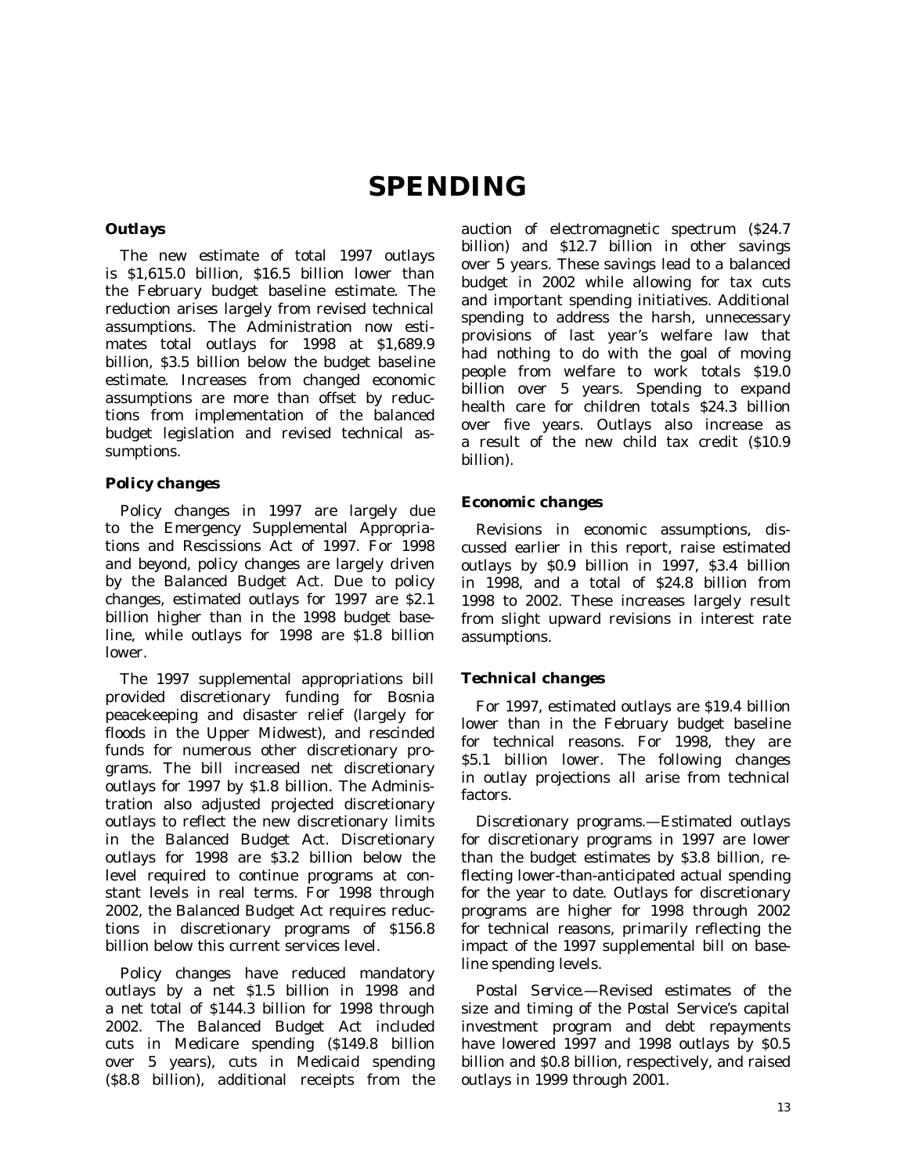# **SPENDING**

## *Outlays*

The new estimate of total 1997 outlays is \$1,615.0 billion, \$16.5 billion lower than the February budget baseline estimate. The reduction arises largely from revised technical assumptions. The Administration now estimates total outlays for 1998 at \$1,689.9 billion, \$3.5 billion below the budget baseline estimate. Increases from changed economic assumptions are more than offset by reductions from implementation of the balanced budget legislation and revised technical assumptions.

# *Policy changes*

Policy changes in 1997 are largely due to the Emergency Supplemental Appropriations and Rescissions Act of 1997. For 1998 and beyond, policy changes are largely driven by the Balanced Budget Act. Due to policy changes, estimated outlays for 1997 are \$2.1 billion higher than in the 1998 budget baseline, while outlays for 1998 are \$1.8 billion lower.

The 1997 supplemental appropriations bill provided discretionary funding for Bosnia peacekeeping and disaster relief (largely for floods in the Upper Midwest), and rescinded funds for numerous other discretionary programs. The bill increased net discretionary outlays for 1997 by \$1.8 billion. The Administration also adjusted projected discretionary outlays to reflect the new discretionary limits in the Balanced Budget Act. Discretionary outlays for 1998 are \$3.2 billion below the level required to continue programs at constant levels in real terms. For 1998 through 2002, the Balanced Budget Act requires reductions in discretionary programs of \$156.8 billion below this current services level.

Policy changes have reduced mandatory outlays by a net \$1.5 billion in 1998 and a net total of \$144.3 billion for 1998 through 2002. The Balanced Budget Act included cuts in Medicare spending (\$149.8 billion over 5 years), cuts in Medicaid spending (\$8.8 billion), additional receipts from the

auction of electromagnetic spectrum (\$24.7 billion) and \$12.7 billion in other savings over 5 years. These savings lead to a balanced budget in 2002 while allowing for tax cuts and important spending initiatives. Additional spending to address the harsh, unnecessary provisions of last year's welfare law that had nothing to do with the goal of moving people from welfare to work totals \$19.0 billion over 5 years. Spending to expand health care for children totals \$24.3 billion over five years. Outlays also increase as a result of the new child tax credit (\$10.9 billion).

# *Economic changes*

Revisions in economic assumptions, discussed earlier in this report, raise estimated outlays by \$0.9 billion in 1997, \$3.4 billion in 1998, and a total of \$24.8 billion from 1998 to 2002. These increases largely result from slight upward revisions in interest rate assumptions.

# *Technical changes*

For 1997, estimated outlays are \$19.4 billion lower than in the February budget baseline for technical reasons. For 1998, they are \$5.1 billion lower. The following changes in outlay projections all arise from technical factors.

*Discretionary programs.*—Estimated outlays for discretionary programs in 1997 are lower than the budget estimates by \$3.8 billion, reflecting lower-than-anticipated actual spending for the year to date. Outlays for discretionary programs are higher for 1998 through 2002 for technical reasons, primarily reflecting the impact of the 1997 supplemental bill on baseline spending levels.

*Postal Service.*—Revised estimates of the size and timing of the Postal Service's capital investment program and debt repayments have lowered 1997 and 1998 outlays by \$0.5 billion and \$0.8 billion, respectively, and raised outlays in 1999 through 2001.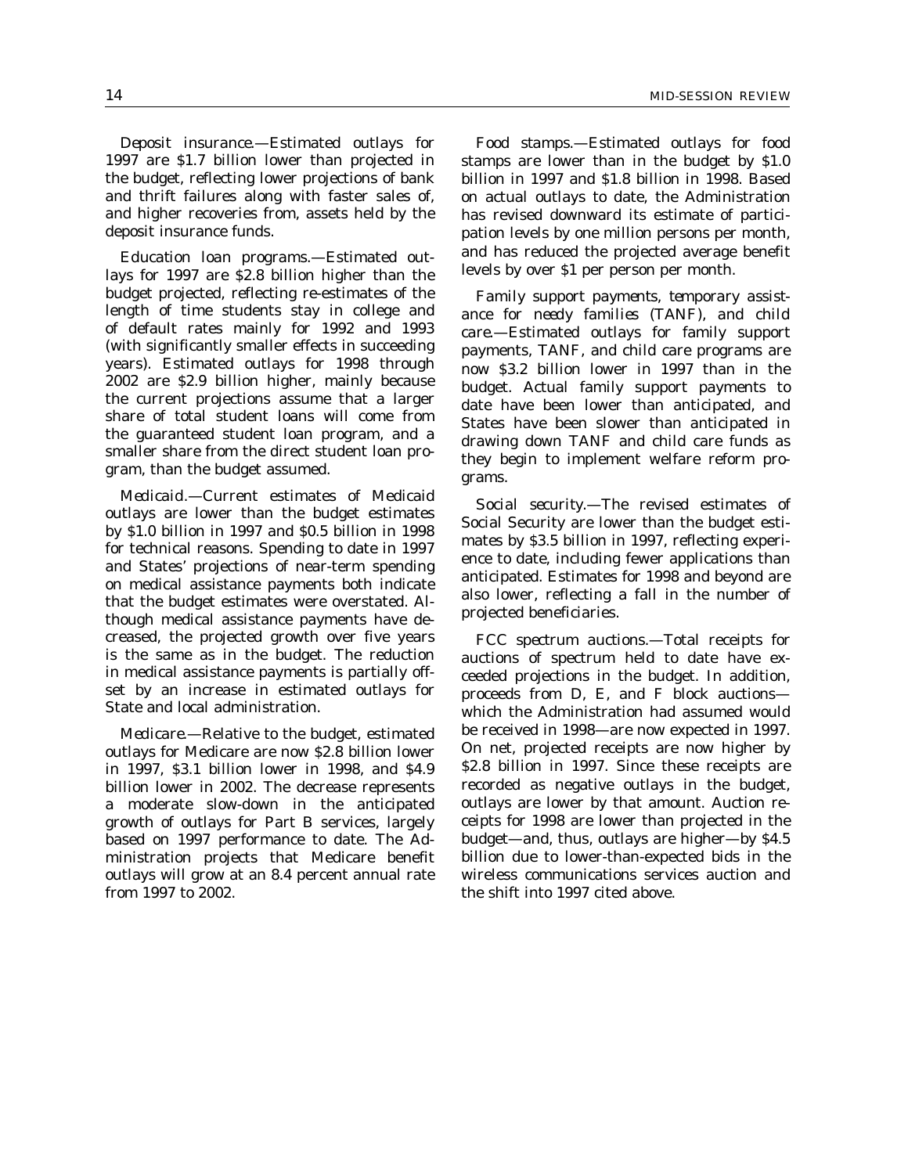*Deposit insurance.*—Estimated outlays for 1997 are \$1.7 billion lower than projected in the budget, reflecting lower projections of bank and thrift failures along with faster sales of, and higher recoveries from, assets held by the deposit insurance funds.

*Education loan programs.*—Estimated outlays for 1997 are \$2.8 billion higher than the budget projected, reflecting re-estimates of the length of time students stay in college and of default rates mainly for 1992 and 1993 (with significantly smaller effects in succeeding years). Estimated outlays for 1998 through 2002 are \$2.9 billion higher, mainly because the current projections assume that a larger share of total student loans will come from the guaranteed student loan program, and a smaller share from the direct student loan program, than the budget assumed.

*Medicaid.*—Current estimates of Medicaid outlays are lower than the budget estimates by \$1.0 billion in 1997 and \$0.5 billion in 1998 for technical reasons. Spending to date in 1997 and States' projections of near-term spending on medical assistance payments both indicate that the budget estimates were overstated. Although medical assistance payments have decreased, the projected growth over five years is the same as in the budget. The reduction in medical assistance payments is partially offset by an increase in estimated outlays for State and local administration.

*Medicare.*—Relative to the budget, estimated outlays for Medicare are now \$2.8 billion lower in 1997, \$3.1 billion lower in 1998, and \$4.9 billion lower in 2002. The decrease represents a moderate slow-down in the anticipated growth of outlays for Part B services, largely based on 1997 performance to date. The Administration projects that Medicare benefit outlays will grow at an 8.4 percent annual rate from 1997 to 2002.

*Food stamps.*—Estimated outlays for food stamps are lower than in the budget by \$1.0 billion in 1997 and \$1.8 billion in 1998. Based on actual outlays to date, the Administration has revised downward its estimate of participation levels by one million persons per month, and has reduced the projected average benefit levels by over \$1 per person per month.

*Family support payments, temporary assistance for needy families (TANF), and child care.*—Estimated outlays for family support payments, TANF, and child care programs are now \$3.2 billion lower in 1997 than in the budget. Actual family support payments to date have been lower than anticipated, and States have been slower than anticipated in drawing down TANF and child care funds as they begin to implement welfare reform programs.

*Social security.*—The revised estimates of Social Security are lower than the budget estimates by \$3.5 billion in 1997, reflecting experience to date, including fewer applications than anticipated. Estimates for 1998 and beyond are also lower, reflecting a fall in the number of projected beneficiaries.

*FCC spectrum auctions.*—Total receipts for auctions of spectrum held to date have exceeded projections in the budget. In addition, proceeds from D, E, and F block auctions which the Administration had assumed would be received in 1998—are now expected in 1997. On net, projected receipts are now higher by \$2.8 billion in 1997. Since these receipts are recorded as negative outlays in the budget, outlays are lower by that amount. Auction receipts for 1998 are lower than projected in the budget—and, thus, outlays are higher—by \$4.5 billion due to lower-than-expected bids in the wireless communications services auction and the shift into 1997 cited above.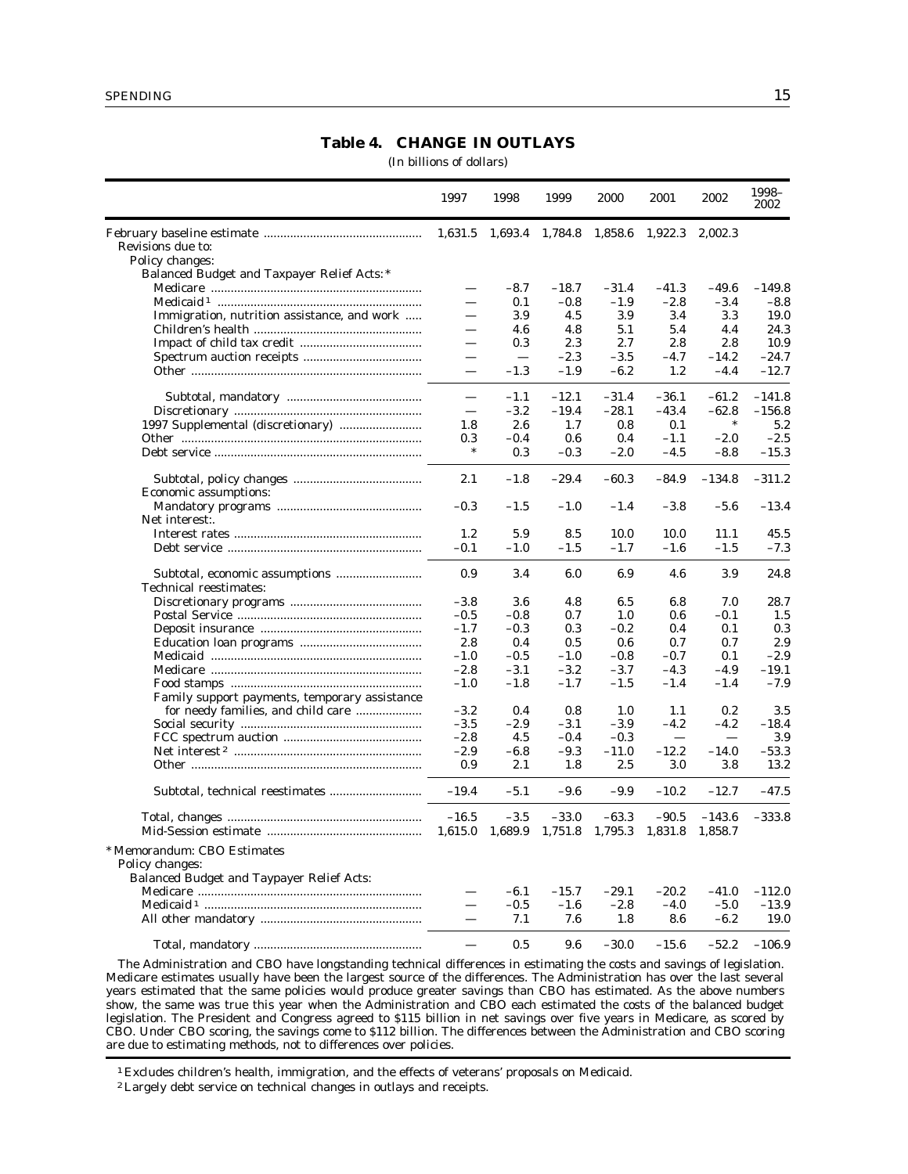# **Table 4. CHANGE IN OUTLAYS**

(In billions of dollars)

|                                                  | 1997                     | 1998                     | 1999    | 2000    | 2001    | 2002     | 1998-<br>2002 |
|--------------------------------------------------|--------------------------|--------------------------|---------|---------|---------|----------|---------------|
|                                                  | 1,631.5                  | 1,693.4                  | 1,784.8 | 1,858.6 | 1,922.3 | 2,002.3  |               |
| Revisions due to:                                |                          |                          |         |         |         |          |               |
| Policy changes:                                  |                          |                          |         |         |         |          |               |
| Balanced Budget and Taxpayer Relief Acts:*       |                          |                          |         |         |         |          |               |
|                                                  | $\overline{\phantom{0}}$ | $-8.7$                   | $-18.7$ | $-31.4$ | $-41.3$ | $-49.6$  | $-149.8$      |
|                                                  |                          | 0.1                      | $-0.8$  | $-1.9$  | $-2.8$  | $-3.4$   | $-8.8$        |
| Immigration, nutrition assistance, and work      | $\overline{\phantom{0}}$ | 3.9                      | 4.5     | 3.9     | 3.4     | 3.3      | 19.0          |
|                                                  | $\overline{\phantom{0}}$ | 4.6                      | 4.8     | 5.1     | 5.4     | 4.4      | 24.3          |
|                                                  | $\overline{\phantom{0}}$ | 0.3                      | 2.3     | 2.7     | 2.8     | 2.8      | 10.9          |
|                                                  | $\equiv$                 | $\overline{\phantom{m}}$ |         |         |         |          | $-24.7$       |
|                                                  |                          |                          | $-2.3$  | $-3.5$  | $-4.7$  | $-14.2$  |               |
|                                                  | $\equiv$                 | $-1.3$                   | $-1.9$  | $-6.2$  | 1.2     | $-4.4$   | $-12.7$       |
|                                                  |                          | $-1.1$                   | $-12.1$ | $-31.4$ | $-36.1$ | $-61.2$  | $-141.8$      |
|                                                  | $\overline{\phantom{0}}$ | $-3.2$                   | $-19.4$ | $-28.1$ | $-43.4$ | $-62.8$  | $-156.8$      |
|                                                  | 1.8                      | 2.6                      | 1.7     | 0.8     | 0.1     |          | 5.2           |
|                                                  | 0.3                      | $-0.4$                   | 0.6     | 0.4     | $-1.1$  | $-2.0$   | $-2.5$        |
|                                                  | *                        | 0.3                      | $-0.3$  | $-2.0$  | $-4.5$  | $-8.8$   | $-15.3$       |
| Economic assumptions:                            | 2.1                      | $-1.8$                   | $-29.4$ | $-60.3$ | $-84.9$ | $-134.8$ | $-311.2$      |
|                                                  | $-0.3$                   | $-1.5$                   | $-1.0$  | $-1.4$  | $-3.8$  | $-5.6$   | $-13.4$       |
| Net interest:.                                   |                          |                          |         |         |         |          |               |
|                                                  | 1.2                      | 5.9                      | 8.5     | 10.0    | 10.0    | 11.1     | 45.5          |
|                                                  | $-0.1$                   | $-1.0$                   | $-1.5$  | $-1.7$  | $-1.6$  | $-1.5$   | $-7.3$        |
|                                                  |                          |                          |         |         |         |          |               |
| Technical reestimates:                           | 0.9                      | 3.4                      | 6.0     | 6.9     | 4.6     | 3.9      | 24.8          |
|                                                  | $-3.8$                   | 3.6                      | 4.8     | 6.5     | 6.8     | 7.0      | 28.7          |
|                                                  | $-0.5$                   | $-0.8$                   | 0.7     | 1.0     | 0.6     | $-0.1$   | 1.5           |
|                                                  | $-1.7$                   | $-0.3$                   | 0.3     | $-0.2$  | 0.4     | 0.1      | 0.3           |
|                                                  | 2.8                      | 0.4                      | 0.5     | 0.6     | 0.7     | 0.7      | 2.9           |
|                                                  | $-1.0$                   | $-0.5$                   | $-1.0$  | $-0.8$  | $-0.7$  | 0.1      | $-2.9$        |
|                                                  | $-2.8$                   | $-3.1$                   | $-3.2$  | $-3.7$  | $-4.3$  | $-4.9$   | $-19.1$       |
|                                                  |                          |                          |         |         |         |          | $-7.9$        |
|                                                  | $-1.0$                   | $-1.8$                   | $-1.7$  | $-1.5$  | $-1.4$  | $-1.4$   |               |
| Family support payments, temporary assistance    |                          |                          |         |         |         |          |               |
| for needy families, and child care               | $-3.2$                   | 0.4                      | 0.8     | 1.0     | 1.1     | 0.2      | 3.5           |
|                                                  | $-3.5$                   | $-2.9$                   | $-3.1$  | $-3.9$  | $-4.2$  | $-4.2$   | $-18.4$       |
|                                                  | $-2.8$                   | 4.5                      | $-0.4$  | $-0.3$  |         |          | 3.9           |
|                                                  | $-2.9$                   | $-6.8$                   | $-9.3$  | $-11.0$ | $-12.2$ | $-14.0$  | $-53.3$       |
|                                                  | 0.9                      | 2.1                      | 1.8     | 2.5     | 3.0     | 3.8      | 13.2          |
|                                                  | $-19.4$                  | $-5.1$                   | $-9.6$  | $-9.9$  | $-10.2$ | $-12.7$  | $-47.5$       |
|                                                  | $-16.5$                  | $-3.5$                   | $-33.0$ | $-63.3$ | $-90.5$ | $-143.6$ | $-333.8$      |
|                                                  | 1,615.0                  | 1,689.9                  | 1,751.8 | 1,795.3 | 1,831.8 | 1,858.7  |               |
| * Memorandum: CBO Estimates<br>Policy changes:   |                          |                          |         |         |         |          |               |
| <b>Balanced Budget and Taypayer Relief Acts:</b> |                          |                          |         |         |         |          |               |
|                                                  |                          | $-6.1$                   | $-15.7$ | $-29.1$ | $-20.2$ | $-41.0$  | $-112.0$      |
|                                                  |                          | $-0.5$                   | $-1.6$  | $-2.8$  | $-4.0$  | $-5.0$   | $-13.9$       |
|                                                  | $\overline{\phantom{0}}$ | 7.1                      | 7.6     | 1.8     | 8.6     | $-6.2$   | 19.0          |
|                                                  |                          | 0.5                      | 9.6     | $-30.0$ | $-15.6$ | $-52.2$  | $-106.9$      |

The Administration and CBO have longstanding technical differences in estimating the costs and savings of legislation. Medicare estimates usually have been the largest source of the differences. The Administration has over the last several years estimated that the same policies would produce greater savings than CBO has estimated. As the above numbers show, the same was true this year when the Administration and CBO each estimated the costs of the balanced budget legislation. The President and Congress agreed to \$115 billion in net savings over five years in Medicare, as scored by CBO. Under CBO scoring, the savings come to \$112 billion. The differences between the Administration and CBO scoring are due to estimating methods, not to differences over policies.

1 Excludes children's health, immigration, and the effects of veterans' proposals on Medicaid.

2Largely debt service on technical changes in outlays and receipts.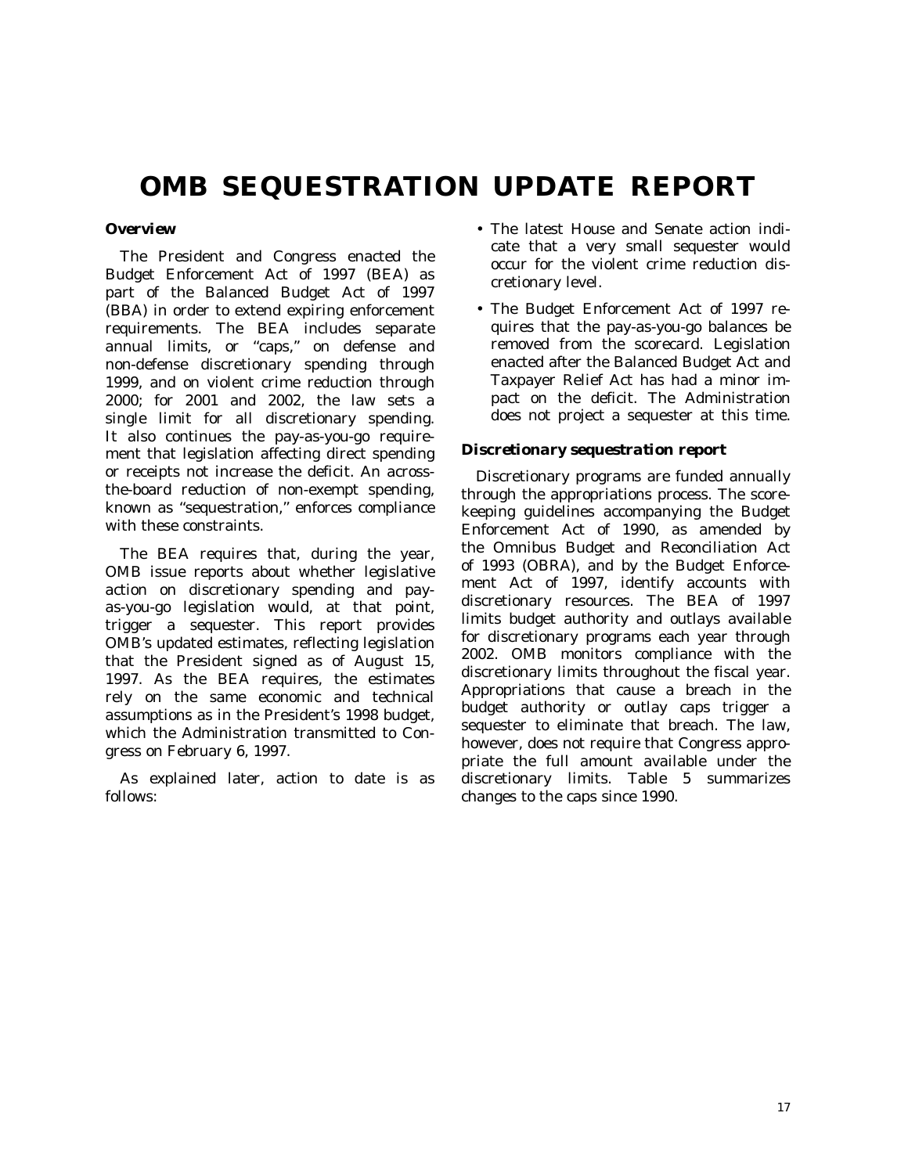# **OMB SEQUESTRATION UPDATE REPORT**

# *Overview*

The President and Congress enacted the Budget Enforcement Act of 1997 (BEA) as part of the Balanced Budget Act of 1997 (BBA) in order to extend expiring enforcement requirements. The BEA includes separate annual limits, or "caps," on defense and non-defense discretionary spending through 1999, and on violent crime reduction through 2000; for 2001 and 2002, the law sets a single limit for all discretionary spending. It also continues the pay-as-you-go requirement that legislation affecting direct spending or receipts not increase the deficit. An acrossthe-board reduction of non-exempt spending, known as ''sequestration,'' enforces compliance with these constraints.

The BEA requires that, during the year, OMB issue reports about whether legislative action on discretionary spending and payas-you-go legislation would, at that point, trigger a sequester. This report provides OMB's updated estimates, reflecting legislation that the President signed as of August 15, 1997. As the BEA requires, the estimates rely on the same economic and technical assumptions as in the President's 1998 budget, which the Administration transmitted to Congress on February 6, 1997.

As explained later, action to date is as follows:

- The latest House and Senate action indicate that a very small sequester would occur for the violent crime reduction discretionary level.
- The Budget Enforcement Act of 1997 requires that the pay-as-you-go balances be removed from the scorecard. Legislation enacted after the Balanced Budget Act and Taxpayer Relief Act has had a minor impact on the deficit. The Administration does not project a sequester at this time.

## *Discretionary sequestration report*

Discretionary programs are funded annually through the appropriations process. The scorekeeping guidelines accompanying the Budget Enforcement Act of 1990, as amended by the Omnibus Budget and Reconciliation Act of 1993 (OBRA), and by the Budget Enforcement Act of 1997, identify accounts with discretionary resources. The BEA of 1997 limits budget authority and outlays available for discretionary programs each year through 2002. OMB monitors compliance with the discretionary limits throughout the fiscal year. Appropriations that cause a breach in the budget authority or outlay caps trigger a sequester to eliminate that breach. The law, however, does not require that Congress appropriate the full amount available under the discretionary limits. Table 5 summarizes changes to the caps since 1990.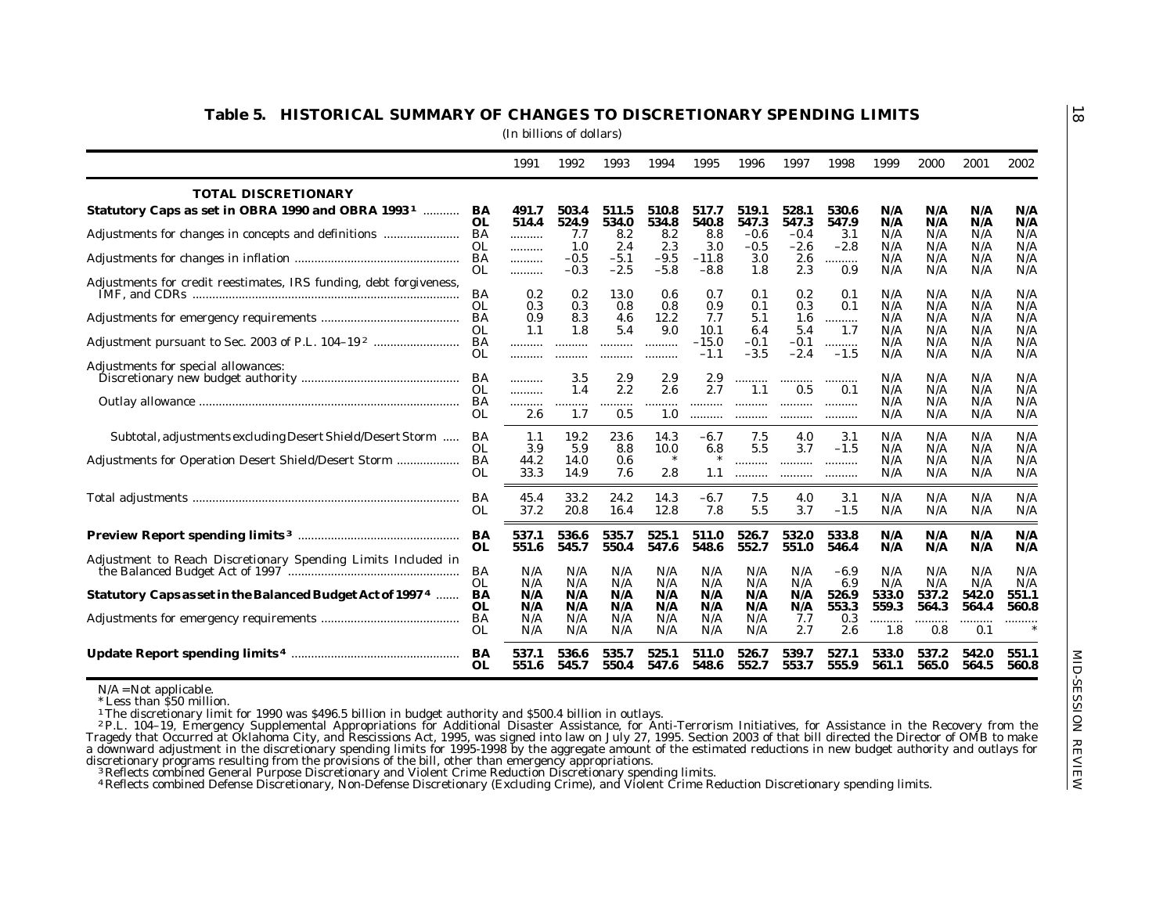|                                                                                                                                                                                                                                                                                                                                                                                                                                                                                     |                 | 1991           | 1992             | 1993               | 1994             | 1995                      | 1996                    | 1997                    | 1998               | 1999              | 2000              | 2001              | 2002              |
|-------------------------------------------------------------------------------------------------------------------------------------------------------------------------------------------------------------------------------------------------------------------------------------------------------------------------------------------------------------------------------------------------------------------------------------------------------------------------------------|-----------------|----------------|------------------|--------------------|------------------|---------------------------|-------------------------|-------------------------|--------------------|-------------------|-------------------|-------------------|-------------------|
| <b>TOTAL DISCRETIONARY</b>                                                                                                                                                                                                                                                                                                                                                                                                                                                          |                 |                |                  |                    |                  |                           |                         |                         |                    |                   |                   |                   |                   |
| Statutory Caps as set in OBRA 1990 and OBRA 1993 <sup>1</sup> BA                                                                                                                                                                                                                                                                                                                                                                                                                    | OL              | 491.7<br>514.4 | 503.4<br>524.9   | 511.5<br>534.0     | 510.8<br>534.8   | 517.7<br>540.8            | 519.1<br>547.3          | 528.1<br>547.3          | 530.6<br>547.9     | N/A<br>N/A        | N/A<br>N/A        | N/A<br>N/A        | N/A<br>N/A        |
| Adjustments for changes in concepts and definitions                                                                                                                                                                                                                                                                                                                                                                                                                                 | BA<br>OL        | <br>.          | 7.7<br>1.0       | 8.2<br>2.4         | 8.2<br>2.3       | 8.8<br>3.0                | $-0.6$<br>$-0.5$        | $-0.4$<br>$-2.6$        | 3.1<br>$-2.8$      | N/A<br>N/A        | N/A<br>N/A        | N/A<br>N/A        | N/A<br>N/A        |
|                                                                                                                                                                                                                                                                                                                                                                                                                                                                                     | BA<br>OL        | <br>.          | $-0.5$<br>$-0.3$ | $-5.1$<br>$-2.5$   | $-9.5$<br>$-5.8$ | $-11.8$<br>$-8.8$         | 3.0<br>1.8              | 2.6<br>2.3              | <br>0.9            | N/A<br>N/A        | N/A<br>N/A        | N/A<br>N/A        | N/A<br>N/A        |
| Adjustments for credit reestimates, IRS funding, debt forgiveness,                                                                                                                                                                                                                                                                                                                                                                                                                  | BA              | 0.2            | 0.2              | 13.0               | 0.6              | 0.7                       | 0.1                     | 0.2                     | 0.1                | N/A               | N/A               | N/A               | N/A               |
|                                                                                                                                                                                                                                                                                                                                                                                                                                                                                     | <b>OL</b><br>BA | 0.3<br>0.9     | 0.3<br>8.3       | 0.8<br>4.6         | 0.8<br>12.2      | 0.9<br>7.7                | 0.1<br>5.1              | 0.3<br>1.6              | 0.1<br>            | N/A<br>N/A        | N/A<br>N/A        | N/A<br>N/A        | N/A<br>N/A        |
|                                                                                                                                                                                                                                                                                                                                                                                                                                                                                     | 0L<br>BA<br>OL  | 1.1<br>        | 1.8<br>          | 5.4<br>.           | 9.0<br>          | 10.1<br>$-15.0$<br>$-1.1$ | 6.4<br>$-0.1$<br>$-3.5$ | 5.4<br>$-0.1$<br>$-2.4$ | 1.7<br>.<br>$-1.5$ | N/A<br>N/A<br>N/A | N/A<br>N/A<br>N/A | N/A<br>N/A<br>N/A | N/A<br>N/A<br>N/A |
| Adjustments for special allowances:                                                                                                                                                                                                                                                                                                                                                                                                                                                 | OL.             | .<br><br>      | <br>3.5<br>1.4   | <br>2.9<br>$2.2\,$ | <br>2.9<br>2.6   | 2.9<br>2.7                | <br>1.1                 | <br>0.5                 | <br>0.1            | N/A<br>N/A        | N/A<br>N/A        | N/A<br>N/A        | N/A<br>N/A        |
|                                                                                                                                                                                                                                                                                                                                                                                                                                                                                     | BA<br>OL        | <br>2.6        | <br>1.7          | .<br>0.5           | <br>1.0          | <br>                      | <br>                    | <br>                    | <br>               | N/A<br>N/A        | N/A<br>N/A        | N/A<br>N/A        | N/A<br>N/A        |
| Subtotal, adjustments excluding Desert Shield/Desert Storm                                                                                                                                                                                                                                                                                                                                                                                                                          | BA<br>OL.       | 1.1<br>3.9     | 19.2<br>5.9      | 23.6<br>8.8        | 14.3<br>10.0     | $-6.7$<br>6.8             | 7.5<br>5.5              | 4.0<br>3.7              | 3.1<br>$-1.5$      | N/A<br>N/A        | N/A<br>N/A        | N/A<br>N/A        | N/A<br>N/A        |
| Adjustments for Operation Desert Shield/Desert Storm                                                                                                                                                                                                                                                                                                                                                                                                                                | BA<br>OL        | 44.2<br>33.3   | 14.0<br>14.9     | 0.6<br>7.6         | 2.8              | 1.1                       | <br>                    | <br>                    | <br>               | N/A<br>N/A        | N/A<br>N/A        | N/A<br>N/A        | N/A<br>N/A        |
|                                                                                                                                                                                                                                                                                                                                                                                                                                                                                     | BA<br>OL        | 45.4<br>37.2   | 33.2<br>20.8     | 24.2<br>16.4       | 14.3<br>12.8     | $-6.7$<br>7.8             | 7.5<br>5.5              | 4.0<br>3.7              | 3.1<br>$-1.5$      | N/A<br>N/A        | N/A<br>N/A        | N/A<br>N/A        | N/A<br>N/A        |
|                                                                                                                                                                                                                                                                                                                                                                                                                                                                                     | BA<br>OL.       | 537.1<br>551.6 | 536.6<br>545.7   | 535.7<br>550.4     | 525.1<br>547.6   | 511.0<br>548.6            | 526.7<br>552.7          | 532.0<br>551.0          | 533.8<br>546.4     | N/A<br>N/A        | N/A<br>N/A        | N/A<br>N/A        | N/A<br>N/A        |
| Adjustment to Reach Discretionary Spending Limits Included in                                                                                                                                                                                                                                                                                                                                                                                                                       | BA              | N/A            | N/A              | N/A                | N/A              | N/A                       | N/A                     | N/A                     | $-6.9$             | N/A               | N/A               | N/A               | N/A               |
| Statutory Caps as set in the Balanced Budget Act of 19974  BA                                                                                                                                                                                                                                                                                                                                                                                                                       | OL.             | N/A<br>N/A     | N/A<br>N/A       | N/A<br>N/A         | N/A<br>N/A       | N/A<br>N/A                | N/A<br>N/A              | N/A<br>N/A              | 6.9<br>526.9       | N/A<br>533.0      | N/A<br>537.2      | N/A<br>542.0      | N/A<br>551.1      |
|                                                                                                                                                                                                                                                                                                                                                                                                                                                                                     | OL<br>BA        | N/A<br>N/A     | N/A<br>N/A       | N/A<br>N/A         | N/A<br>N/A       | N/A<br>N/A                | N/A<br>N/A              | N/A<br>7.7              | 553.3<br>0.3       | 559.3<br>.        | 564.3<br>         | 564.4<br>.        | 560.8<br>.        |
|                                                                                                                                                                                                                                                                                                                                                                                                                                                                                     | OL.             | 537.1<br>551.6 | 536.6<br>545.7   | 535.7<br>550.4     | 525.1<br>547.6   | 511.0<br>548.6            | 526.7<br>552.7          | 539.7<br>553.7          | 527.1<br>555.9     | 533.0<br>561.1    | 537.2<br>565.0    | 542.0<br>564.5    | 551.1<br>560.8    |
| $N/A = Not$ applicable.<br>* Less than \$50 million.<br>The discretionary limit for 1990 was \$496.5 billion in budget authority and \$500.4 billion in outlays.<br><sup>1</sup> The discretionary limit for 1990 was \$496.5 billion in budget authority and \$500.4 billion in outlays.<br><sup>2</sup> P.L. 104<br><sup>4</sup> Reflects combined Defense Discretionary, Non-Defense Discretionary (Excluding Crime), and Violent Crime Reduction Discretionary spending limits, | OL.             | N/A            | N/A              | N/A                | N/A              | N/A                       | N/A                     | 2.7                     | 2.6                | 1.8               | 0.8               | 0.1               |                   |

4 Reflects combined Defense Discretionary, Non-Defense Discretionary (Excluding Crime), and Violent Crime Reduction Discretionary spending limits.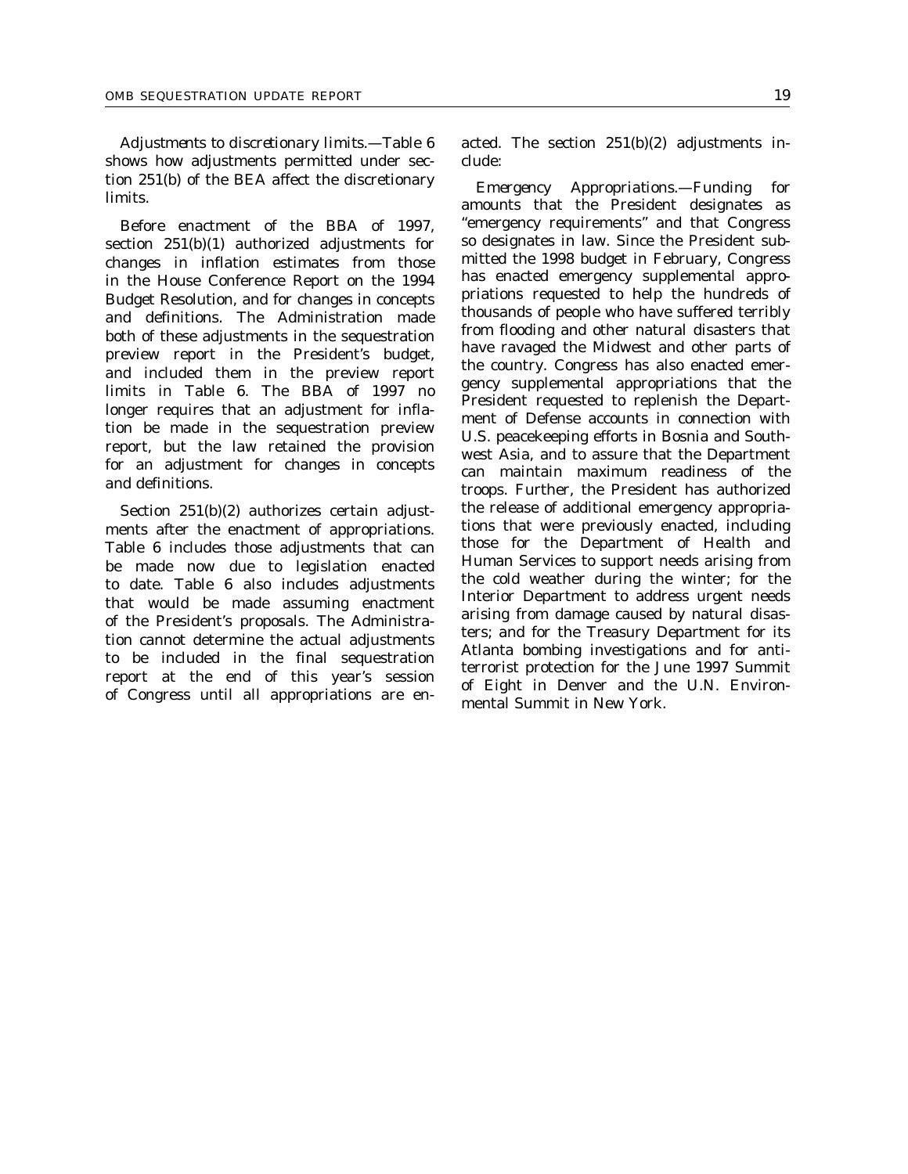*Adjustments to discretionary limits.*—Table 6 shows how adjustments permitted under section 251(b) of the BEA affect the discretionary limits.

Before enactment of the BBA of 1997, section 251(b)(1) authorized adjustments for changes in inflation estimates from those in the House Conference Report on the 1994 Budget Resolution, and for changes in concepts and definitions. The Administration made both of these adjustments in the sequestration preview report in the President's budget, and included them in the preview report limits in Table 6. The BBA of 1997 no longer requires that an adjustment for inflation be made in the sequestration preview report, but the law retained the provision for an adjustment for changes in concepts and definitions.

Section 251(b)(2) authorizes certain adjustments after the enactment of appropriations. Table 6 includes those adjustments that can be made now due to legislation enacted to date. Table 6 also includes adjustments that would be made assuming enactment of the President's proposals. The Administration cannot determine the actual adjustments to be included in the final sequestration report at the end of this year's session of Congress until all appropriations are enacted. The section 251(b)(2) adjustments include:

*Emergency Appropriations.*—Funding for amounts that the President designates as ''emergency requirements'' and that Congress so designates in law. Since the President submitted the 1998 budget in February, Congress has enacted emergency supplemental appropriations requested to help the hundreds of thousands of people who have suffered terribly from flooding and other natural disasters that have ravaged the Midwest and other parts of the country. Congress has also enacted emergency supplemental appropriations that the President requested to replenish the Department of Defense accounts in connection with U.S. peacekeeping efforts in Bosnia and Southwest Asia, and to assure that the Department can maintain maximum readiness of the troops. Further, the President has authorized the release of additional emergency appropriations that were previously enacted, including those for the Department of Health and Human Services to support needs arising from the cold weather during the winter; for the Interior Department to address urgent needs arising from damage caused by natural disasters; and for the Treasury Department for its Atlanta bombing investigations and for antiterrorist protection for the June 1997 Summit of Eight in Denver and the U.N. Environmental Summit in New York.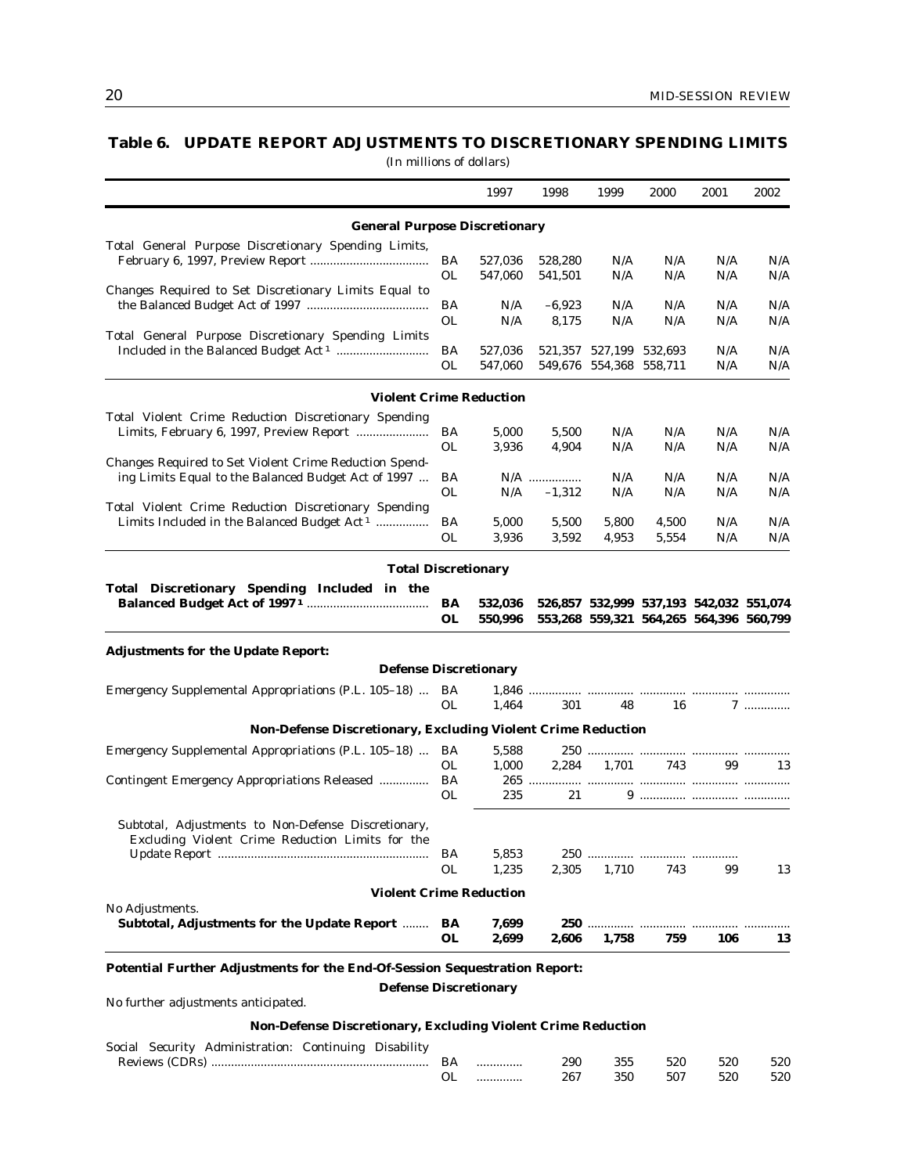# **Table 6. UPDATE REPORT ADJUSTMENTS TO DISCRETIONARY SPENDING LIMITS**

|                                                                                                                                                                                                                                                                                                                                                                                                                                                                                                   |           | 1997    | 1998     | 1999                    | 2000  | 2001                                    | 2002 |
|---------------------------------------------------------------------------------------------------------------------------------------------------------------------------------------------------------------------------------------------------------------------------------------------------------------------------------------------------------------------------------------------------------------------------------------------------------------------------------------------------|-----------|---------|----------|-------------------------|-------|-----------------------------------------|------|
| <b>General Purpose Discretionary</b>                                                                                                                                                                                                                                                                                                                                                                                                                                                              |           |         |          |                         |       |                                         |      |
|                                                                                                                                                                                                                                                                                                                                                                                                                                                                                                   |           |         |          |                         |       |                                         |      |
|                                                                                                                                                                                                                                                                                                                                                                                                                                                                                                   | BA        | 527,036 | 528,280  | N/A                     | N/A   | N/A                                     | N/A  |
|                                                                                                                                                                                                                                                                                                                                                                                                                                                                                                   | OL        | 547,060 | 541,501  | N/A                     | N/A   | N/A                                     | N/A  |
| Changes Required to Set Discretionary Limits Equal to                                                                                                                                                                                                                                                                                                                                                                                                                                             |           |         |          |                         |       |                                         |      |
|                                                                                                                                                                                                                                                                                                                                                                                                                                                                                                   | BA        | N/A     | $-6,923$ | N/A                     | N/A   | N/A                                     | N/A  |
|                                                                                                                                                                                                                                                                                                                                                                                                                                                                                                   | OL        | N/A     | 8,175    | N/A                     | N/A   | N/A                                     | N/A  |
| Total General Purpose Discretionary Spending Limits                                                                                                                                                                                                                                                                                                                                                                                                                                               |           |         |          |                         |       |                                         |      |
|                                                                                                                                                                                                                                                                                                                                                                                                                                                                                                   | BA        | 527,036 |          | 521,357 527,199 532,693 |       | N/A                                     | N/A  |
|                                                                                                                                                                                                                                                                                                                                                                                                                                                                                                   | OL        | 547,060 |          | 549,676 554,368 558,711 |       | N/A                                     | N/A  |
| <b>Violent Crime Reduction</b>                                                                                                                                                                                                                                                                                                                                                                                                                                                                    |           |         |          |                         |       |                                         |      |
|                                                                                                                                                                                                                                                                                                                                                                                                                                                                                                   |           |         |          |                         |       |                                         |      |
|                                                                                                                                                                                                                                                                                                                                                                                                                                                                                                   | BA        | 5,000   | 5,500    | N/A                     | N/A   | N/A                                     | N/A  |
|                                                                                                                                                                                                                                                                                                                                                                                                                                                                                                   | 0L        | 3,936   | 4,904    | N/A                     | N/A   | N/A                                     | N/A  |
| Changes Required to Set Violent Crime Reduction Spend-                                                                                                                                                                                                                                                                                                                                                                                                                                            |           |         |          |                         |       |                                         |      |
| ing Limits Equal to the Balanced Budget Act of 1997                                                                                                                                                                                                                                                                                                                                                                                                                                               | BA        |         | N/A      | N/A                     | N/A   | N/A                                     | N/A  |
|                                                                                                                                                                                                                                                                                                                                                                                                                                                                                                   | OL        | N/A     | $-1,312$ | N/A                     | N/A   | N/A                                     | N/A  |
| Total Violent Crime Reduction Discretionary Spending                                                                                                                                                                                                                                                                                                                                                                                                                                              |           |         |          |                         |       |                                         |      |
| Limits Included in the Balanced Budget Act <sup>1</sup>                                                                                                                                                                                                                                                                                                                                                                                                                                           | BA        | 5,000   | 5,500    | 5,800                   | 4,500 | N/A                                     | N/A  |
|                                                                                                                                                                                                                                                                                                                                                                                                                                                                                                   | <b>OL</b> | 3,936   | 3,592    | 4,953                   | 5,554 | N/A                                     | N/A  |
| <b>Total Discretionary</b>                                                                                                                                                                                                                                                                                                                                                                                                                                                                        |           |         |          |                         |       |                                         |      |
|                                                                                                                                                                                                                                                                                                                                                                                                                                                                                                   |           |         |          |                         |       |                                         |      |
|                                                                                                                                                                                                                                                                                                                                                                                                                                                                                                   | BA        | 532,036 |          |                         |       | 526,857 532,999 537,193 542,032 551,074 |      |
|                                                                                                                                                                                                                                                                                                                                                                                                                                                                                                   | <b>OL</b> | 550,996 |          |                         |       | 553,268 559,321 564,265 564,396 560,799 |      |
| <b>Adjustments for the Update Report:</b>                                                                                                                                                                                                                                                                                                                                                                                                                                                         |           |         |          |                         |       |                                         |      |
| <b>Defense Discretionary</b>                                                                                                                                                                                                                                                                                                                                                                                                                                                                      |           |         |          |                         |       |                                         |      |
|                                                                                                                                                                                                                                                                                                                                                                                                                                                                                                   | BA        |         |          |                         |       |                                         |      |
|                                                                                                                                                                                                                                                                                                                                                                                                                                                                                                   | OL        | 1,464   | 301      | 48                      | 16    |                                         | 7    |
| <b>Non-Defense Discretionary, Excluding Violent Crime Reduction</b>                                                                                                                                                                                                                                                                                                                                                                                                                               |           |         |          |                         |       |                                         |      |
|                                                                                                                                                                                                                                                                                                                                                                                                                                                                                                   | BA        | 5,588   |          |                         |       |                                         |      |
|                                                                                                                                                                                                                                                                                                                                                                                                                                                                                                   | OL        | 1,000   | 2,284    | 1,701                   | 743   | 99                                      | 13   |
|                                                                                                                                                                                                                                                                                                                                                                                                                                                                                                   | BA        |         |          |                         |       |                                         |      |
| Total General Purpose Discretionary Spending Limits,<br>Total Violent Crime Reduction Discretionary Spending<br>Total Discretionary Spending Included in the<br>Emergency Supplemental Appropriations (P.L. 105-18)<br>Emergency Supplemental Appropriations (P.L. 105–18)<br>Contingent Emergency Appropriations Released<br>Excluding Violent Crime Reduction Limits for the<br>No Adjustments.<br>No further adjustments anticipated.<br>Social Security Administration: Continuing Disability | OL        | 235     | 21       |                         |       |                                         |      |
| Subtotal, Adjustments to Non-Defense Discretionary,                                                                                                                                                                                                                                                                                                                                                                                                                                               |           |         |          |                         |       |                                         |      |
|                                                                                                                                                                                                                                                                                                                                                                                                                                                                                                   |           |         |          |                         |       |                                         |      |
|                                                                                                                                                                                                                                                                                                                                                                                                                                                                                                   | BA        | 5,853   |          |                         |       |                                         |      |
|                                                                                                                                                                                                                                                                                                                                                                                                                                                                                                   | <b>OL</b> | 1,235   | 2,305    | 1,710                   | 743   | 99                                      | 13   |
| <b>Violent Crime Reduction</b>                                                                                                                                                                                                                                                                                                                                                                                                                                                                    |           |         |          |                         |       |                                         |      |
|                                                                                                                                                                                                                                                                                                                                                                                                                                                                                                   |           |         |          |                         |       |                                         |      |
| Subtotal, Adjustments for the Update Report                                                                                                                                                                                                                                                                                                                                                                                                                                                       | BA        | 7,699   |          |                         |       |                                         |      |
|                                                                                                                                                                                                                                                                                                                                                                                                                                                                                                   | OL        | 2,699   | 2,606    | 1,758                   | 759   | 106                                     | 13   |
| Potential Further Adjustments for the End-Of-Session Sequestration Report:                                                                                                                                                                                                                                                                                                                                                                                                                        |           |         |          |                         |       |                                         |      |
| <b>Defense Discretionary</b>                                                                                                                                                                                                                                                                                                                                                                                                                                                                      |           |         |          |                         |       |                                         |      |
|                                                                                                                                                                                                                                                                                                                                                                                                                                                                                                   |           |         |          |                         |       |                                         |      |
| <b>Non-Defense Discretionary, Excluding Violent Crime Reduction</b>                                                                                                                                                                                                                                                                                                                                                                                                                               |           |         |          |                         |       |                                         |      |
|                                                                                                                                                                                                                                                                                                                                                                                                                                                                                                   |           |         |          |                         |       |                                         |      |
|                                                                                                                                                                                                                                                                                                                                                                                                                                                                                                   | BA        | .       | 290      | 355                     | 520   | 520                                     | 520  |
|                                                                                                                                                                                                                                                                                                                                                                                                                                                                                                   | 0L        | .       | 267      | 350                     | 507   | 520                                     | 520  |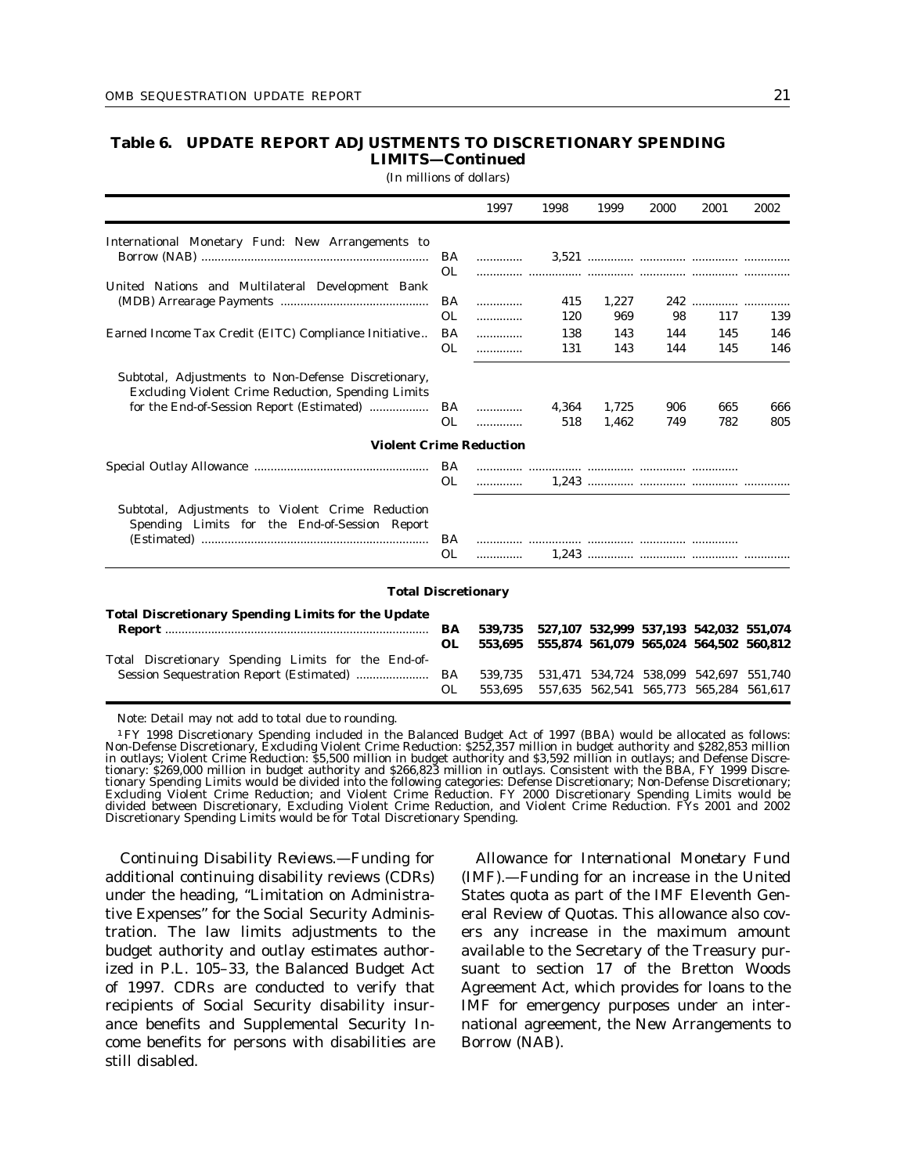## **Table 6. UPDATE REPORT ADJUSTMENTS TO DISCRETIONARY SPENDING LIMITS—Continued**

(In millions of dollars)

|                                                                                                                                                               |                        | 1997               | 1998              | 1999              | 2000                                                                               | 2001              | 2002              |
|---------------------------------------------------------------------------------------------------------------------------------------------------------------|------------------------|--------------------|-------------------|-------------------|------------------------------------------------------------------------------------|-------------------|-------------------|
| International Monetary Fund: New Arrangements to                                                                                                              | BA<br>OL.              | .                  |                   |                   |                                                                                    |                   |                   |
| United Nations and Multilateral Development Bank                                                                                                              | BA                     | .                  | 415               | 1,227             |                                                                                    |                   |                   |
| Earned Income Tax Credit (EITC) Compliance Initiative                                                                                                         | <b>OL</b><br>BA<br>OL. | .<br>.<br>.        | 120<br>138<br>131 | 969<br>143<br>143 | 98<br>144<br>144                                                                   | 117<br>145<br>145 | 139<br>146<br>146 |
| Subtotal, Adjustments to Non-Defense Discretionary,<br><b>Excluding Violent Crime Reduction, Spending Limits</b><br>for the End-of-Session Report (Estimated) | BA                     | .                  | 4.364             | 1.725             | 906                                                                                | 665               | 666               |
|                                                                                                                                                               | <b>OL</b>              | .                  | 518               | 1,462             | 749                                                                                | 782               | 805               |
| <b>Violent Crime Reduction</b>                                                                                                                                |                        |                    |                   |                   |                                                                                    |                   |                   |
|                                                                                                                                                               | <b>OL</b>              | .                  |                   |                   |                                                                                    |                   |                   |
| Subtotal, Adjustments to Violent Crime Reduction<br>Spending Limits for the End-of-Session Report                                                             | BA<br><b>OL</b>        |                    |                   |                   |                                                                                    |                   |                   |
| <b>Total Discretionary</b>                                                                                                                                    |                        |                    |                   |                   |                                                                                    |                   |                   |
| <b>Total Discretionary Spending Limits for the Update</b>                                                                                                     | BA<br><b>OL</b>        | 539,735<br>553,695 |                   |                   | 527,107 532,999 537,193 542,032 551,074<br>555,874 561,079 565,024 564,502 560,812 |                   |                   |
| Total Discretionary Spending Limits for the End-of-<br>Session Sequestration Report (Estimated)                                                               | BA<br><b>OL</b>        | 539,735<br>553,695 |                   |                   | 531,471 534,724 538,099 542,697 551,740<br>557,635 562,541 565,773 565,284 561,617 |                   |                   |

Note: Detail may not add to total due to rounding.

1FY 1998 Discretionary Spending included in the Balanced Budget Act of 1997 (BBA) would be allocated as follows: Non-Defense Discretionary, Excluding Violent Crime Reduction: \$252,357 million in budget authority and \$282,853 million in outlays; Violent Crime Reduction: \$5,500 million in budget authority and \$3,592 million in outlays; and Defense Discretionary: \$269,000 million in budget authority and \$266,823 million in outlays. Consistent with the BBA, FY 1999 Discretionary Spending Limits would be divided into the following categories: Defense Discretionary; Non-Defense Discretionary; Excluding Violent Crime Reduction; and Violent Crime Reduction. FY 2000 Discretionary Spending Limits would be divided between Discretionary, Excluding Violent Crime Reduction, and Violent Crime Reduction. FYs 2001 and 2002 Discretionary Spending Limits would be for Total Discretionary Spending.

*Continuing Disability Reviews.*—Funding for additional continuing disability reviews (CDRs) under the heading, ''Limitation on Administrative Expenses'' for the Social Security Administration. The law limits adjustments to the budget authority and outlay estimates authorized in P.L. 105–33, the Balanced Budget Act of 1997. CDRs are conducted to verify that recipients of Social Security disability insurance benefits and Supplemental Security Income benefits for persons with disabilities are still disabled.

*Allowance for International Monetary Fund (IMF).*—Funding for an increase in the United States quota as part of the IMF Eleventh General Review of Quotas. This allowance also covers any increase in the maximum amount available to the Secretary of the Treasury pursuant to section 17 of the Bretton Woods Agreement Act, which provides for loans to the IMF for emergency purposes under an international agreement, the New Arrangements to Borrow (NAB).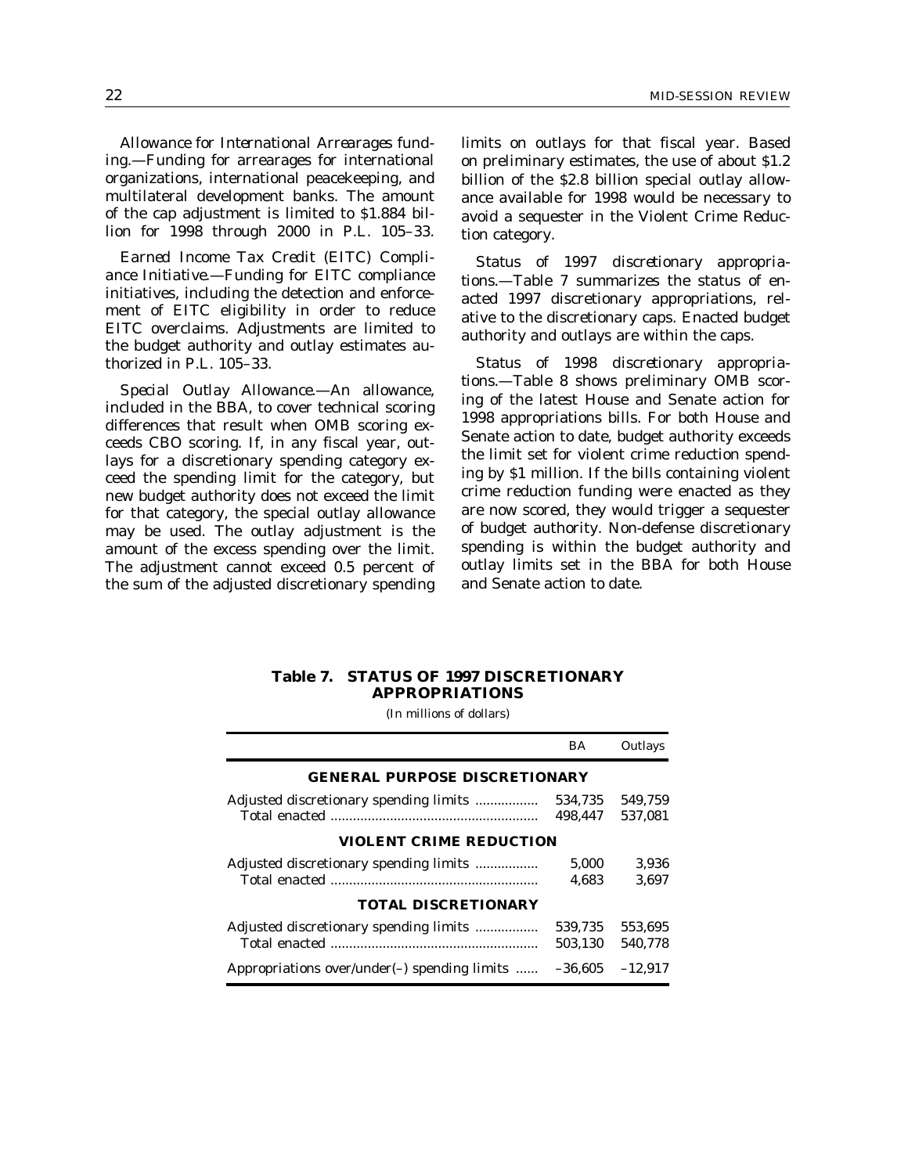*Allowance for International Arrearages funding.*—Funding for arrearages for international organizations, international peacekeeping, and multilateral development banks. The amount of the cap adjustment is limited to \$1.884 billion for 1998 through 2000 in P.L. 105–33.

*Earned Income Tax Credit (EITC) Compliance Initiative.*—Funding for EITC compliance initiatives, including the detection and enforcement of EITC eligibility in order to reduce EITC overclaims. Adjustments are limited to the budget authority and outlay estimates authorized in P.L. 105–33.

*Special Outlay Allowance.*—An allowance, included in the BBA, to cover technical scoring differences that result when OMB scoring exceeds CBO scoring. If, in any fiscal year, outlays for a discretionary spending category exceed the spending limit for the category, but new budget authority does not exceed the limit for that category, the special outlay allowance may be used. The outlay adjustment is the amount of the excess spending over the limit. The adjustment cannot exceed 0.5 percent of the sum of the adjusted discretionary spending limits on outlays for that fiscal year. Based on preliminary estimates, the use of about \$1.2 billion of the \$2.8 billion special outlay allowance available for 1998 would be necessary to avoid a sequester in the Violent Crime Reduction category.

*Status of 1997 discretionary appropriations.*—Table 7 summarizes the status of enacted 1997 discretionary appropriations, relative to the discretionary caps. Enacted budget authority and outlays are within the caps.

*Status of 1998 discretionary appropriations.*—Table 8 shows preliminary OMB scoring of the latest House and Senate action for 1998 appropriations bills. For both House and Senate action to date, budget authority exceeds the limit set for violent crime reduction spending by \$1 million. If the bills containing violent crime reduction funding were enacted as they are now scored, they would trigger a sequester of budget authority. Non-defense discretionary spending is within the budget authority and outlay limits set in the BBA for both House and Senate action to date.

### **Table 7. STATUS OF 1997 DISCRETIONARY APPROPRIATIONS**

|                                                  | BA        | Outlays   |  |  |  |  |  |  |  |
|--------------------------------------------------|-----------|-----------|--|--|--|--|--|--|--|
| <b>GENERAL PURPOSE DISCRETIONARY</b>             |           |           |  |  |  |  |  |  |  |
| Adjusted discretionary spending limits           | 534,735   | 549.759   |  |  |  |  |  |  |  |
|                                                  | 498.447   | 537,081   |  |  |  |  |  |  |  |
| <b>VIOLENT CRIME REDUCTION</b>                   |           |           |  |  |  |  |  |  |  |
| Adjusted discretionary spending limits           | 5,000     | 3.936     |  |  |  |  |  |  |  |
|                                                  | 4.683     | 3.697     |  |  |  |  |  |  |  |
| <b>TOTAL DISCRETIONARY</b>                       |           |           |  |  |  |  |  |  |  |
| Adjusted discretionary spending limits           | 539.735   | 553.695   |  |  |  |  |  |  |  |
|                                                  | 503.130   | 540.778   |  |  |  |  |  |  |  |
| Appropriations over/under( $-$ ) spending limits | $-36.605$ | $-12.917$ |  |  |  |  |  |  |  |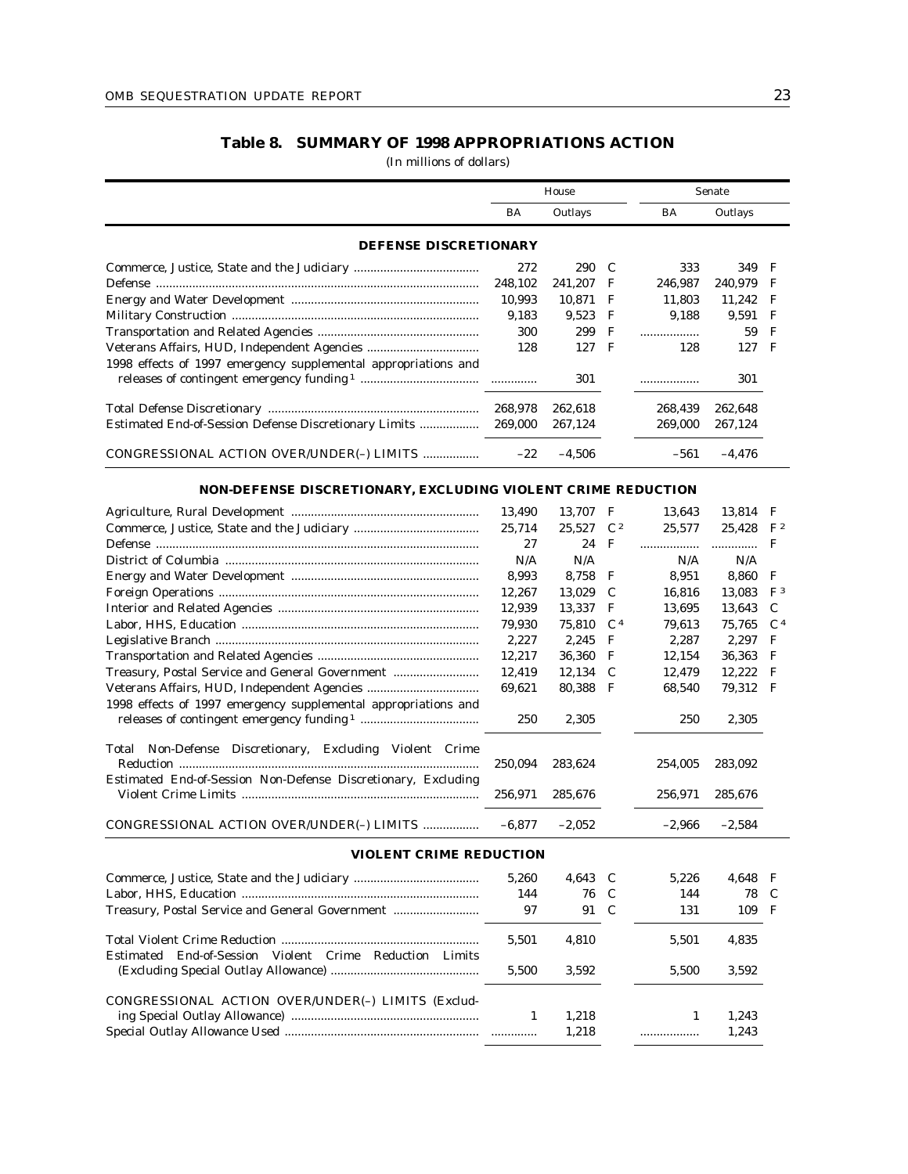# **Table 8. SUMMARY OF 1998 APPROPRIATIONS ACTION**

|                                                                |         | House                |                |           | Senate   |                |
|----------------------------------------------------------------|---------|----------------------|----------------|-----------|----------|----------------|
|                                                                | BA      | Outlays              |                | <b>BA</b> | Outlays  |                |
| <b>DEFENSE DISCRETIONARY</b>                                   |         |                      |                |           |          |                |
|                                                                | 272     | 290                  | C              | 333       | 349      | F              |
|                                                                | 248.102 | 241.207              | F              | 246.987   | 240,979  | F              |
|                                                                | 10,993  | 10,871               | F              | 11,803    | 11,242   | F              |
|                                                                | 9,183   | 9,523                | F              | 9,188     | 9,591    | F              |
|                                                                | 300     | 299                  | F              | .         | 59       | $\mathbf F$    |
|                                                                | 128     | 127                  | $\mathbf F$    | 128       | 127      | $\mathbf{F}$   |
| 1998 effects of 1997 emergency supplemental appropriations and |         |                      |                |           |          |                |
|                                                                |         | 301                  |                | .         | 301      |                |
|                                                                | 268,978 | 262,618              |                | 268.439   | 262,648  |                |
| Estimated End-of-Session Defense Discretionary Limits          | 269,000 | 267,124              |                | 269,000   | 267,124  |                |
| CONGRESSIONAL ACTION OVER/UNDER(-) LIMITS                      | $-22$   | $-4,506$             |                | $-561$    | $-4,476$ |                |
| NON-DEFENSE DISCRETIONARY, EXCLUDING VIOLENT CRIME REDUCTION   |         |                      |                |           |          |                |
|                                                                | 13,490  | 13,707               | $\mathbf{F}$   | 13,643    | 13,814 F |                |
|                                                                | 25,714  | $25.527 \text{ C}^2$ |                | 25.577    | 25.428   | $\rm{F}$ 2     |
|                                                                | 27      | 24                   | $\mathbf F$    | .         | .        | $_{\rm F}$     |
|                                                                | N/A     | N/A                  |                | N/A       | N/A      |                |
|                                                                | 8,993   | 8,758                | F              | 8,951     | 8,860    | F              |
|                                                                | 12,267  | 13,029               | C              | 16,816    | 13,083   | F <sup>3</sup> |
|                                                                | 12,939  | 13,337               | F              | 13,695    | 13,643   | C              |
|                                                                | 79,930  | 75,810               | $\mathsf{C}^4$ | 79.613    | 75,765   | C <sup>4</sup> |
|                                                                | 2.227   | 2,245                | $_{\rm F}$     | 2.287     | 2.297    | F              |

|                                                                                                                           | 2.227    | 2.245 $F$ | 2.287    | $2,297$ F |  |
|---------------------------------------------------------------------------------------------------------------------------|----------|-----------|----------|-----------|--|
|                                                                                                                           | 12.217   | 36.360 F  | 12.154   | 36,363 F  |  |
| Treasury, Postal Service and General Government                                                                           | 12.419   | 12.134 C  | 12.479   | 12,222 F  |  |
|                                                                                                                           | 69.621   | 80.388 F  | 68.540   | 79.312 F  |  |
| 1998 effects of 1997 emergency supplemental appropriations and                                                            | 250      | 2.305     | 250      | 2.305     |  |
| Total Non-Defense Discretionary, Excluding Violent Crime<br>Estimated End-of-Session Non-Defense Discretionary, Excluding | 250.094  | 283.624   | 254.005  | 283.092   |  |
|                                                                                                                           | 256.971  | 285.676   | 256.971  | 285.676   |  |
| CONGRESSIONAL ACTION OVER/UNDER(-) LIMITS                                                                                 | $-6.877$ | $-2.052$  | $-2.966$ | $-2.584$  |  |

| <b>VIOLENT CRIME REDUCTION</b>                          |       |         |       |         |  |
|---------------------------------------------------------|-------|---------|-------|---------|--|
|                                                         | 5.260 | 4,643 C | 5.226 | 4.648 F |  |
|                                                         | 144   | 76 C    | 144   | 78 C    |  |
| Treasury, Postal Service and General Government         | 97    | 91 C    | 131   | $109$ F |  |
| Estimated End-of-Session Violent Crime Reduction Limits | 5.501 | 4.810   | 5.501 | 4.835   |  |
|                                                         | 5.500 | 3.592   | 5.500 | 3.592   |  |
| CONGRESSIONAL ACTION OVER/UNDER(-) LIMITS (Exclud-      | 1     | 1.218   |       | 1.243   |  |
|                                                         |       | 1.218   |       | 1.243   |  |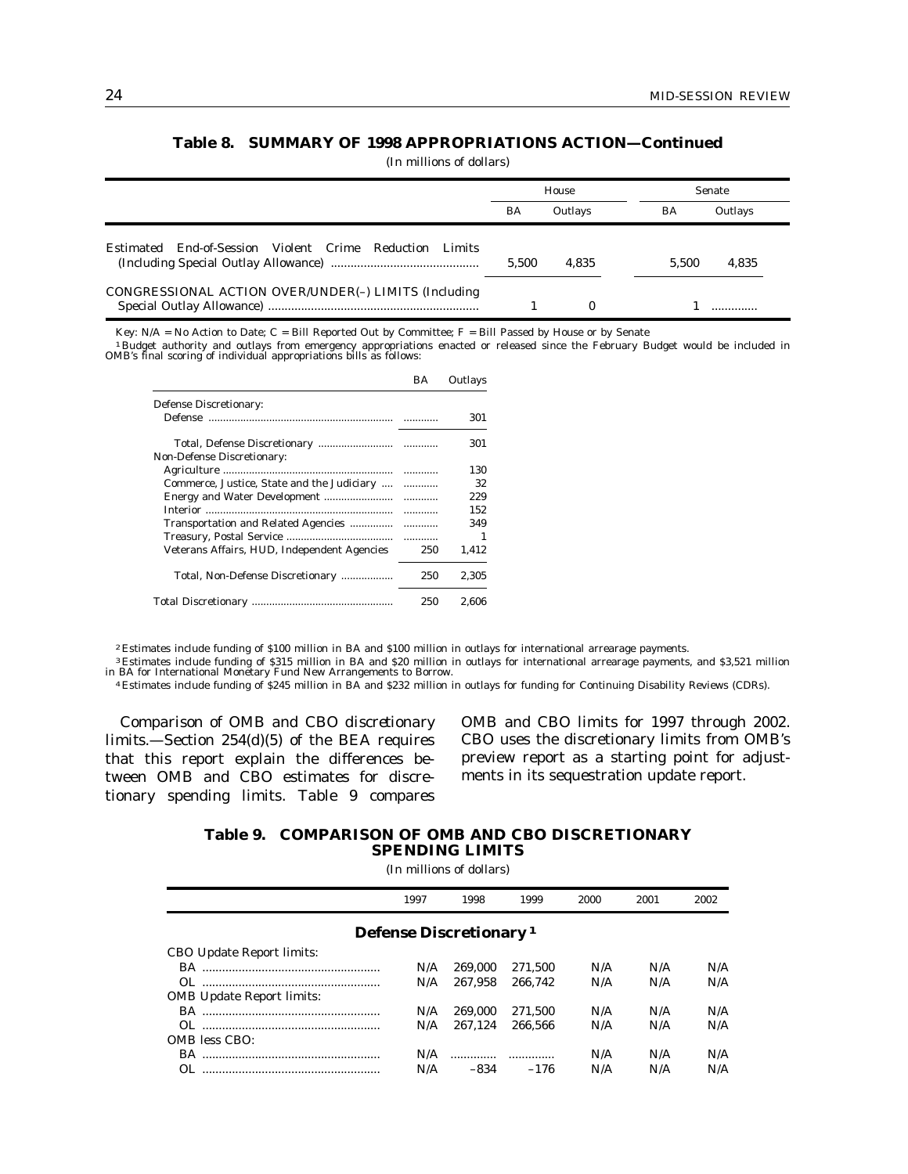# **Table 8. SUMMARY OF 1998 APPROPRIATIONS ACTION—Continued**

(In millions of dollars)

|                                                            |           | House    |       | <b>Senate</b> |
|------------------------------------------------------------|-----------|----------|-------|---------------|
|                                                            | <b>BA</b> | Outlays  | BA    | Outlays       |
| Estimated End-of-Session Violent Crime Reduction<br>Limits | 5.500     | 4.835    | 5.500 | 4.835         |
| CONGRESSIONAL ACTION OVER/UNDER(-) LIMITS (Including       |           | $\Omega$ |       |               |

Key:  $N/A = No$  Action to Date;  $C = Bill$  Reported Out by Committee;  $F = Bill$  Passed by House or by Senate

1 Budget authority and outlays from emergency appropriations enacted or released since the February Budget would be included in OMB's final scoring of individual appropriations bills as follows:

|                                             | BA  | Outlays |
|---------------------------------------------|-----|---------|
| Defense Discretionary:                      |     |         |
|                                             |     | 301     |
| <b>Non-Defense Discretionary:</b>           |     | 301     |
|                                             |     | 130     |
| Commerce, Justice, State and the Judiciary  |     | 32      |
|                                             |     | 229     |
|                                             |     | 152     |
|                                             |     | 349     |
|                                             |     |         |
| Veterans Affairs, HUD, Independent Agencies | 250 | 1,412   |
| Total, Non-Defense Discretionary            | 250 | 2.305   |
|                                             | 250 | 2.606   |

2 Estimates include funding of \$100 million in BA and \$100 million in outlays for international arrearage payments.

3 Estimates include funding of \$315 million in BA and \$20 million in outlays for international arrearage payments, and \$3,521 million in BA for International Monetary Fund New Arrangements to Borrow.

4 Estimates include funding of \$245 million in BA and \$232 million in outlays for funding for Continuing Disability Reviews (CDRs).

*Comparison of OMB and CBO discretionary limits.*—Section 254(d)(5) of the BEA requires that this report explain the differences between OMB and CBO estimates for discretionary spending limits. Table 9 compares

OMB and CBO limits for 1997 through 2002. CBO uses the discretionary limits from OMB's preview report as a starting point for adjustments in its sequestration update report.

### **Table 9. COMPARISON OF OMB AND CBO DISCRETIONARY SPENDING LIMITS**

|                           | 1997 | 1998                               | 1999    | 2000 | 2001 | 2002 |
|---------------------------|------|------------------------------------|---------|------|------|------|
|                           |      | Defense Discretionary <sup>1</sup> |         |      |      |      |
| CBO Update Report limits: |      |                                    |         |      |      |      |
|                           | N/A  | 269.000                            | 271.500 | N/A  | N/A  | N/A  |
|                           | N/A  | 267.958                            | 266.742 | N/A  | N/A  | N/A  |
| OMB Update Report limits: |      |                                    |         |      |      |      |
|                           | N/A  | 269.000                            | 271.500 | N/A  | N/A  | N/A  |
|                           | N/A  | 267.124                            | 266.566 | N/A  | N/A  | N/A  |
| OMB less CBO:             |      |                                    |         |      |      |      |
|                           | N/A  |                                    |         | N/A  | N/A  | N/A  |
|                           | N/A  | -834                               | $-176$  | N/A  | N/A  | N/A  |
|                           |      |                                    |         |      |      |      |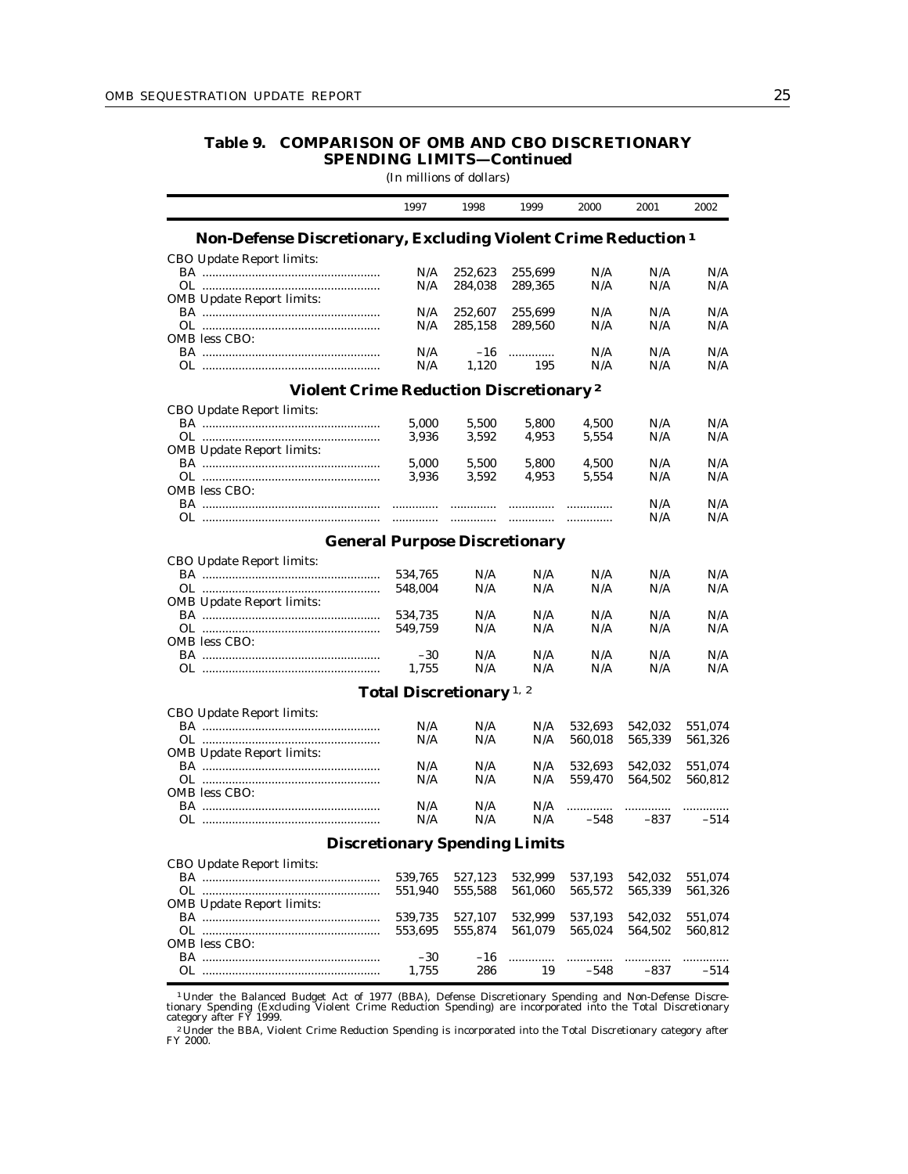## **Table 9. COMPARISON OF OMB AND CBO DISCRETIONARY SPENDING LIMITS—Continued**

(In millions of dollars)

|                                                                           | 1997                                | 1998       | 1999       | 2000    | 2001       | 2002               |
|---------------------------------------------------------------------------|-------------------------------------|------------|------------|---------|------------|--------------------|
| Non-Defense Discretionary, Excluding Violent Crime Reduction <sup>1</sup> |                                     |            |            |         |            |                    |
| CBO Update Report limits:                                                 |                                     |            |            |         |            |                    |
|                                                                           | N/A                                 | 252,623    | 255,699    | N/A     | N/A        | N/A                |
|                                                                           | N/A                                 | 284,038    | 289,365    | N/A     | N/A        | N/A                |
| <b>OMB</b> Update Report limits:                                          |                                     |            |            |         |            |                    |
|                                                                           | N/A                                 | 252,607    | 255,699    | N/A     | N/A        | N/A                |
|                                                                           | N/A                                 | 285,158    | 289,560    | N/A     | N/A        | N/A                |
| OMB less CBO:                                                             |                                     |            |            |         |            |                    |
|                                                                           | N/A                                 | -16        |            | N/A     | N/A        | N/A                |
|                                                                           | N/A                                 | 1,120      | 195        | N/A     | N/A        | N/A                |
| <b>Violent Crime Reduction Discretionary<sup>2</sup></b>                  |                                     |            |            |         |            |                    |
| CBO Update Report limits:                                                 |                                     |            |            |         |            |                    |
|                                                                           | 5,000                               | 5,500      | 5,800      | 4,500   | N/A        | N/A                |
|                                                                           | 3,936                               | 3,592      | 4,953      | 5,554   | N/A        | N/A                |
| <b>OMB Update Report limits:</b>                                          |                                     |            |            |         |            |                    |
|                                                                           | 5,000                               | 5,500      | 5,800      | 4,500   | N/A        | N/A                |
|                                                                           | 3,936                               | 3,592      | 4,953      | 5,554   | N/A        | N/A                |
| OMB less CBO:                                                             |                                     |            |            |         |            |                    |
| OL …………………………………………………                                                    | <br>.                               |            |            | .       | N/A<br>N/A | N/A<br>N/A         |
|                                                                           |                                     |            |            |         |            |                    |
| <b>General Purpose Discretionary</b>                                      |                                     |            |            |         |            |                    |
| CBO Update Report limits:                                                 |                                     |            |            |         |            |                    |
|                                                                           | 534,765                             | N/A        | N/A        | N/A     | N/A        | N/A                |
|                                                                           | 548,004                             | N/A        | N/A        | N/A     | N/A        | N/A                |
| <b>OMB</b> Update Report limits:                                          |                                     |            |            |         |            |                    |
|                                                                           | 534,735                             | N/A        | N/A        | N/A     | N/A        | N/A                |
|                                                                           | 549.759                             | N/A        | N/A        | N/A     | N/A        | N/A                |
| OMB less CBO:                                                             |                                     | N/A        | N/A        | N/A     | N/A        | N/A                |
|                                                                           | -30<br>1,755                        | N/A        | N/A        | N/A     | N/A        | N/A                |
|                                                                           |                                     |            |            |         |            |                    |
|                                                                           | Total Discretionary <sup>1, 2</sup> |            |            |         |            |                    |
| CBO Update Report limits:                                                 |                                     |            |            |         |            |                    |
|                                                                           | N/A                                 | N/A        | N/A        | 532,693 | 542,032    | 551,074            |
|                                                                           | N/A                                 | N/A        | N/A        | 560,018 | 565,339    | 561,326            |
| <b>OMB Update Report limits:</b>                                          |                                     |            |            |         |            |                    |
|                                                                           | N/A<br>N/A                          | N/A<br>N/A | N/A<br>N/A | 532,693 | 542,032    | 551,074<br>560,812 |
| OMB less CBO:                                                             |                                     |            |            | 559,470 | 564,502    |                    |
|                                                                           | N/A                                 | N/A        | N/A        | .       |            |                    |
|                                                                           | N/A                                 | N/A        | N/A        | $-548$  | $-837$     | $-514$             |
| <b>Discretionary Spending Limits</b>                                      |                                     |            |            |         |            |                    |
| <b>CBO Update Report limits:</b>                                          |                                     |            |            |         |            |                    |
| BA …………………………………………………                                                    | 539,765                             | 527,123    | 532,999    | 537,193 | 542,032    | 551,074            |
|                                                                           | 551,940                             | 555,588    | 561,060    | 565,572 | 565,339    | 561,326            |
| <b>OMB Update Report limits:</b>                                          |                                     |            |            |         |            |                    |
|                                                                           | 539,735                             | 527,107    | 532,999    | 537,193 | 542,032    | 551,074            |
|                                                                           | 553,695                             | 555,874    | 561,079    | 565,024 | 564,502    | 560,812            |
| OMB less CBO:                                                             |                                     |            |            |         |            |                    |
|                                                                           | $-30$                               | -16        | .          |         |            | .                  |
|                                                                           | 1,755                               | 286        | 19         | $-548$  | $-837$     | -514               |
|                                                                           |                                     |            |            |         |            |                    |

<sup>1</sup> Under the Balanced Budget Act of 1977 (BBA), Defense Discretionary Spending and Non-Defense Discretionary Spending (Excluding Violent Crime Reduction Spending) are incorporated into the Total Discretionary category aft

<sup>2</sup> Under the BBA, Violent Crime Reduction Spending is incorporated into the Total Discretionary category after FY 2000.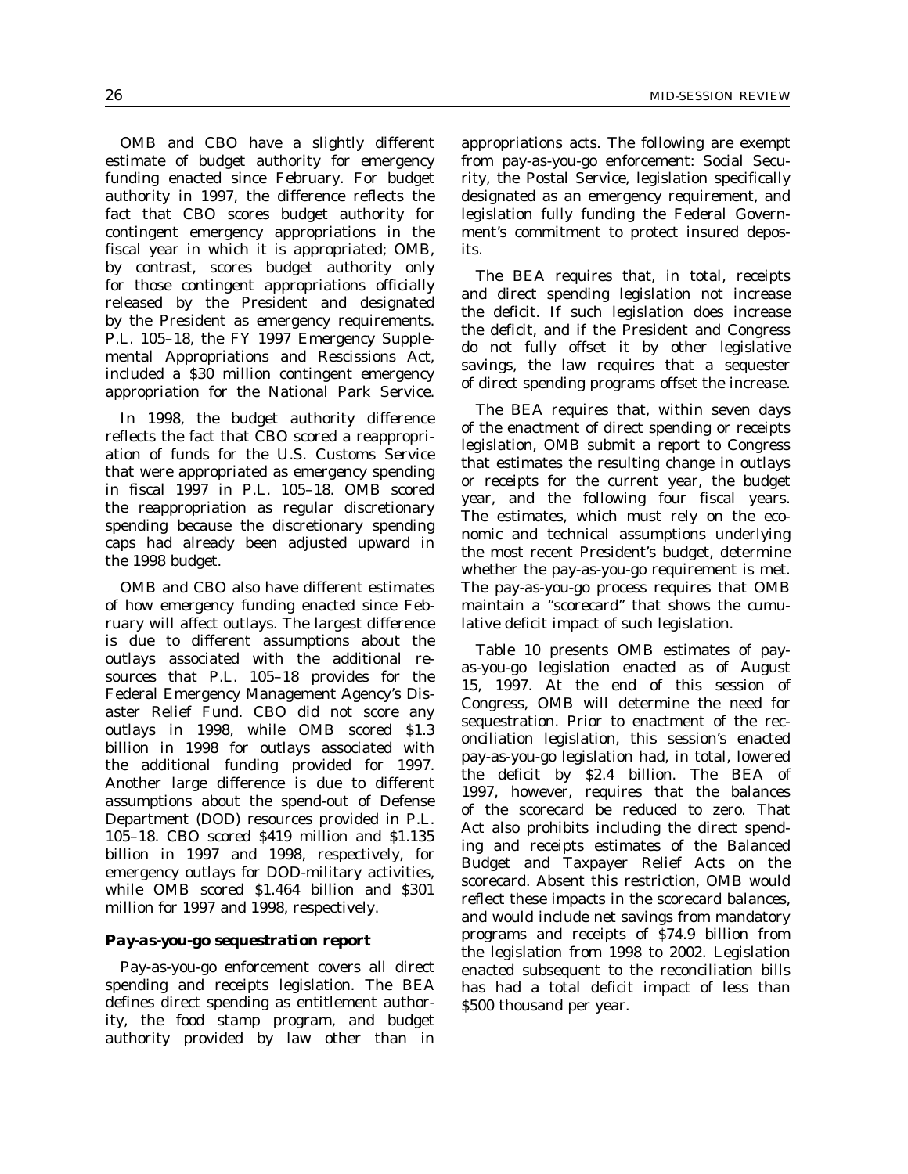OMB and CBO have a slightly different estimate of budget authority for emergency funding enacted since February. For budget authority in 1997, the difference reflects the fact that CBO scores budget authority for contingent emergency appropriations in the fiscal year in which it is appropriated; OMB, by contrast, scores budget authority only for those contingent appropriations officially released by the President and designated by the President as emergency requirements. P.L. 105–18, the FY 1997 Emergency Supplemental Appropriations and Rescissions Act, included a \$30 million contingent emergency appropriation for the National Park Service.

In 1998, the budget authority difference reflects the fact that CBO scored a reappropriation of funds for the U.S. Customs Service that were appropriated as emergency spending in fiscal 1997 in P.L. 105–18. OMB scored the reappropriation as regular discretionary spending because the discretionary spending caps had already been adjusted upward in the 1998 budget.

OMB and CBO also have different estimates of how emergency funding enacted since February will affect outlays. The largest difference is due to different assumptions about the outlays associated with the additional resources that P.L. 105–18 provides for the Federal Emergency Management Agency's Disaster Relief Fund. CBO did not score any outlays in 1998, while OMB scored \$1.3 billion in 1998 for outlays associated with the additional funding provided for 1997. Another large difference is due to different assumptions about the spend-out of Defense Department (DOD) resources provided in P.L. 105–18. CBO scored \$419 million and \$1.135 billion in 1997 and 1998, respectively, for emergency outlays for DOD-military activities, while OMB scored \$1.464 billion and \$301 million for 1997 and 1998, respectively.

### *Pay-as-you-go sequestration report*

Pay-as-you-go enforcement covers all direct spending and receipts legislation. The BEA defines direct spending as entitlement authority, the food stamp program, and budget authority provided by law other than in

appropriations acts. The following are exempt from pay-as-you-go enforcement: Social Security, the Postal Service, legislation specifically designated as an emergency requirement, and legislation fully funding the Federal Government's commitment to protect insured deposits.

The BEA requires that, in total, receipts and direct spending legislation not increase the deficit. If such legislation does increase the deficit, and if the President and Congress do not fully offset it by other legislative savings, the law requires that a sequester of direct spending programs offset the increase.

The BEA requires that, within seven days of the enactment of direct spending or receipts legislation, OMB submit a report to Congress that estimates the resulting change in outlays or receipts for the current year, the budget year, and the following four fiscal years. The estimates, which must rely on the economic and technical assumptions underlying the most recent President's budget, determine whether the pay-as-you-go requirement is met. The pay-as-you-go process requires that OMB maintain a ''scorecard'' that shows the cumulative deficit impact of such legislation.

Table 10 presents OMB estimates of payas-you-go legislation enacted as of August 15, 1997. At the end of this session of Congress, OMB will determine the need for sequestration. Prior to enactment of the reconciliation legislation, this session's enacted pay-as-you-go legislation had, in total, lowered the deficit by \$2.4 billion. The BEA of 1997, however, requires that the balances of the scorecard be reduced to zero. That Act also prohibits including the direct spending and receipts estimates of the Balanced Budget and Taxpayer Relief Acts on the scorecard. Absent this restriction, OMB would reflect these impacts in the scorecard balances, and would include net savings from mandatory programs and receipts of \$74.9 billion from the legislation from 1998 to 2002. Legislation enacted subsequent to the reconciliation bills has had a total deficit impact of less than \$500 thousand per year.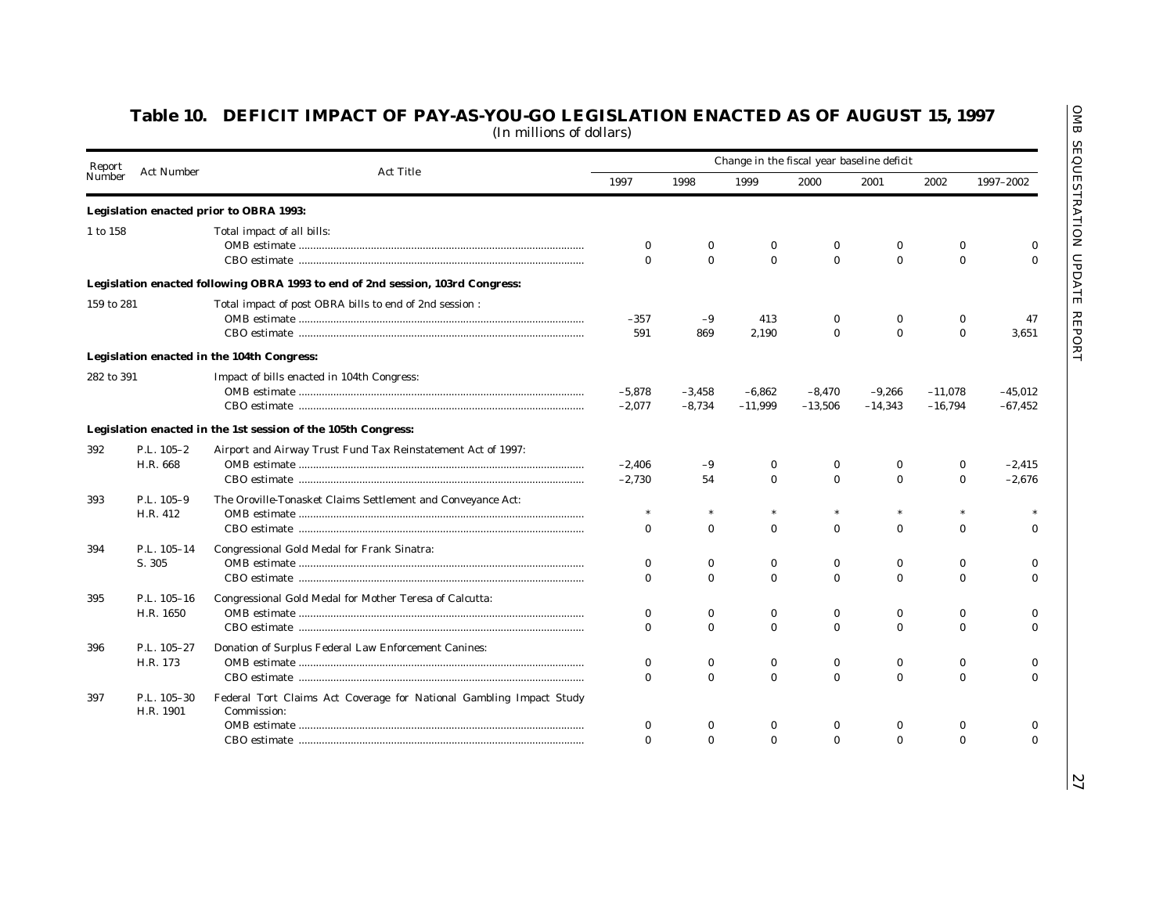| Report     | <b>Act Number</b>        |                                                                                    | Change in the fiscal year baseline deficit |              |              |              |              |              |              |
|------------|--------------------------|------------------------------------------------------------------------------------|--------------------------------------------|--------------|--------------|--------------|--------------|--------------|--------------|
| Number     |                          | <b>Act Title</b>                                                                   | 1997                                       | 1998         | 1999         | 2000         | 2001         | 2002         | 1997-2002    |
|            |                          | Legislation enacted prior to OBRA 1993:                                            |                                            |              |              |              |              |              |              |
| 1 to 158   |                          | Total impact of all bills:                                                         |                                            |              |              |              |              |              |              |
|            |                          |                                                                                    | $\bf{0}$                                   | $\bf{0}$     | $\bf{0}$     | $\bf{0}$     | $\bf{0}$     | $\bf{0}$     | $\bf{0}$     |
|            |                          |                                                                                    | $\Omega$                                   | $\mathbf{0}$ | $\mathbf{0}$ | $\mathbf{0}$ | $\mathbf{0}$ | $\mathbf{0}$ | $\mathbf{0}$ |
|            |                          | Legislation enacted following OBRA 1993 to end of 2nd session, 103rd Congress:     |                                            |              |              |              |              |              |              |
| 159 to 281 |                          | Total impact of post OBRA bills to end of 2nd session :                            |                                            |              |              |              |              |              |              |
|            |                          |                                                                                    | $-357$                                     | $-9$         | 413          | $\Omega$     | 0            | $\bf{0}$     | 47           |
|            |                          |                                                                                    | 591                                        | 869          | 2.190        | $\Omega$     | $\mathbf{0}$ | $\mathbf{0}$ | 3.651        |
|            |                          | Legislation enacted in the 104th Congress:                                         |                                            |              |              |              |              |              |              |
| 282 to 391 |                          | Impact of bills enacted in 104th Congress:                                         |                                            |              |              |              |              |              |              |
|            |                          |                                                                                    | $-5,878$                                   | $-3,458$     | $-6,862$     | $-8,470$     | $-9,266$     | $-11,078$    | $-45,012$    |
|            |                          |                                                                                    | $-2,077$                                   | $-8,734$     | $-11,999$    | $-13,506$    | $-14,343$    | $-16,794$    | $-67,452$    |
|            |                          | Legislation enacted in the 1st session of the 105th Congress:                      |                                            |              |              |              |              |              |              |
| 392        | P.L. 105-2               | Airport and Airway Trust Fund Tax Reinstatement Act of 1997:                       |                                            |              |              |              |              |              |              |
|            | H.R. 668                 |                                                                                    | $-2,406$                                   | $-9$         | $\bf{0}$     | 0            | $\Omega$     | $\bf{0}$     | $-2,415$     |
|            |                          |                                                                                    | $-2,730$                                   | 54           | $\mathbf{0}$ | $\mathbf{0}$ | $\mathbf{0}$ | $\mathbf{0}$ | $-2,676$     |
| 393        | P.L. 105-9               | The Oroville-Tonasket Claims Settlement and Conveyance Act:                        |                                            |              |              |              |              |              |              |
|            | H.R. 412                 |                                                                                    | $\ast$                                     |              | $\ast$       |              | $\ast$       |              |              |
|            |                          |                                                                                    | $\bf{0}$                                   | $\mathbf{0}$ | $\mathbf{0}$ | $\mathbf{0}$ | $\mathbf{0}$ | $\mathbf{0}$ | $\mathbf{0}$ |
| 394        | P.L. 105-14              | Congressional Gold Medal for Frank Sinatra:                                        |                                            |              |              |              |              |              |              |
|            | S. 305                   |                                                                                    | $\bf{0}$                                   | $\bf{0}$     | $\bf{0}$     | $\bf{0}$     | 0            | $\bf{0}$     | $\bf{0}$     |
|            |                          |                                                                                    | $\bf{0}$                                   | $\mathbf{0}$ | $\bf{0}$     | $\mathbf{0}$ | $\bf{0}$     | $\bf{0}$     | $\mathbf{0}$ |
| 395        | P.L. 105-16              | Congressional Gold Medal for Mother Teresa of Calcutta:                            |                                            |              |              |              |              |              |              |
|            | H.R. 1650                |                                                                                    | $\Omega$                                   | $\mathbf{0}$ | $\bf{0}$     | $\mathbf{0}$ | $\bf{0}$     | $\bf{0}$     | $\Omega$     |
|            |                          |                                                                                    | $\Omega$                                   | $\mathbf{0}$ | $\mathbf{0}$ | $\Omega$     | $\mathbf{0}$ | $\mathbf{0}$ | $\Omega$     |
| 396        | P.L. 105-27              | Donation of Surplus Federal Law Enforcement Canines:                               |                                            |              |              |              |              |              |              |
|            | H.R. 173                 |                                                                                    | $\bf{0}$                                   | $\bf{0}$     | $\bf{0}$     | $\Omega$     | 0            | $\bf{0}$     | $\bf{0}$     |
|            |                          |                                                                                    | $\Omega$                                   | $\Omega$     | $\mathbf{0}$ | $\Omega$     | $\mathbf{0}$ | $\Omega$     | $\Omega$     |
| 397        | P.L. 105-30<br>H.R. 1901 | Federal Tort Claims Act Coverage for National Gambling Impact Study<br>Commission: |                                            |              |              |              |              |              |              |
|            |                          |                                                                                    | $\bf{0}$                                   | 0            | $\bf{0}$     | $\bf{0}$     | 0            | $\bf{0}$     | $\bf{0}$     |
|            |                          |                                                                                    | $\Omega$                                   | $\Omega$     | $\Omega$     | $\Omega$     | $\Omega$     | $\Omega$     | $\Omega$     |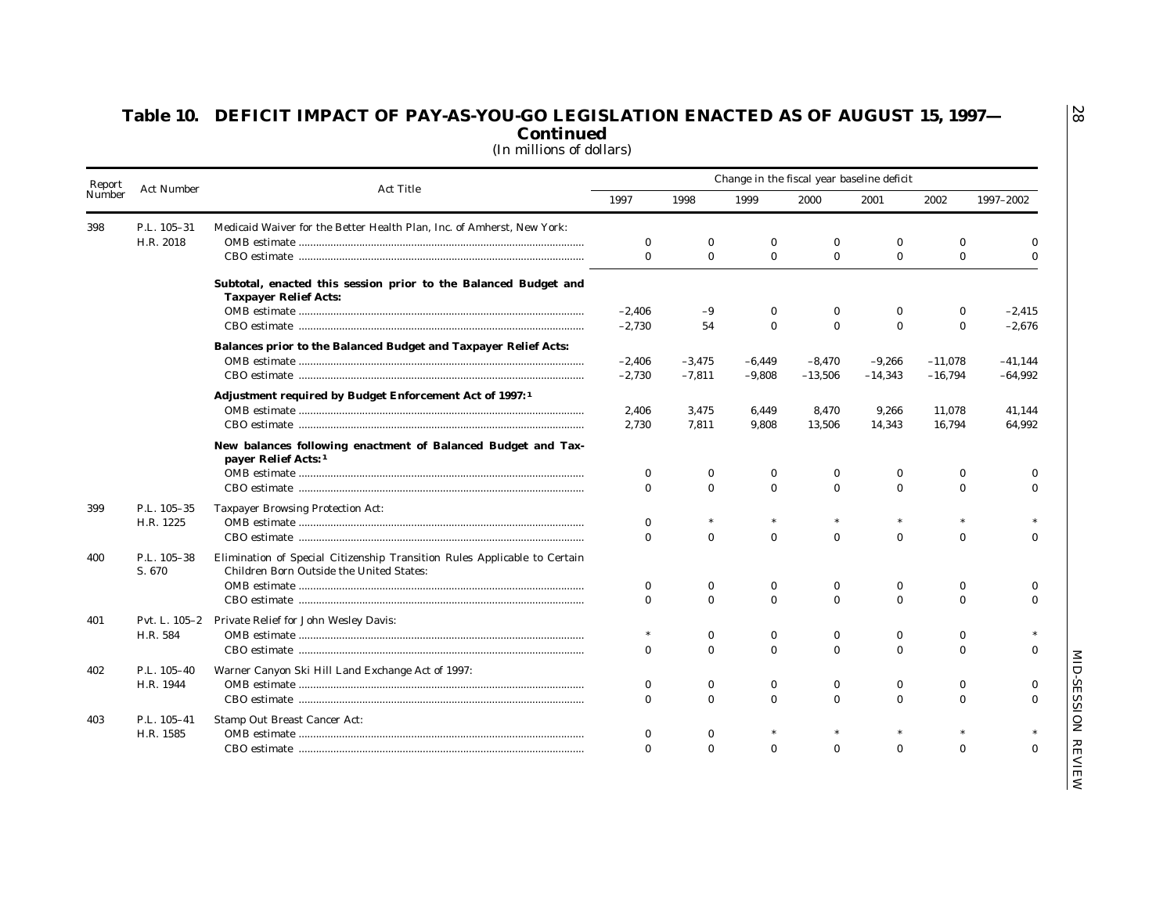| Report                      |                       |                                                                                                                       |                          |                          |                      |              | Change in the fiscal year baseline deficit |                      |              |
|-----------------------------|-----------------------|-----------------------------------------------------------------------------------------------------------------------|--------------------------|--------------------------|----------------------|--------------|--------------------------------------------|----------------------|--------------|
| <b>Act Number</b><br>Number | <b>Act Title</b>      | 1997                                                                                                                  | 1998                     | 1999                     | 2000                 | 2001         | 2002                                       | 1997-2002            |              |
| 398                         | P.L. 105-31           | Medicaid Waiver for the Better Health Plan, Inc. of Amherst, New York:                                                |                          |                          |                      |              |                                            |                      |              |
|                             | H.R. 2018             |                                                                                                                       | $\bf{0}$                 | $\mathbf{0}$             | $\bf{0}$             | $\bf{0}$     | $\bf{0}$                                   | $\bf{0}$             | $\mathbf{0}$ |
|                             |                       |                                                                                                                       | $\bf{0}$                 | $\mathbf{0}$             | $\bf{0}$             | $\bf{0}$     | $\bf{0}$                                   | $\mathbf{0}$         | $\bf{0}$     |
|                             |                       | Subtotal, enacted this session prior to the Balanced Budget and<br><b>Taxpayer Relief Acts:</b>                       |                          |                          |                      |              |                                            |                      |              |
|                             |                       |                                                                                                                       | $-2,406$                 | $-9$                     | 0                    | 0            | $\bf{0}$                                   | 0                    | $-2,415$     |
|                             |                       |                                                                                                                       | $-2,730$                 | 54                       | $\bf{0}$             | $\mathbf{0}$ | $\bf{0}$                                   | $\mathbf{0}$         | $-2,676$     |
|                             |                       | Balances prior to the Balanced Budget and Taxpayer Relief Acts:                                                       |                          |                          |                      |              |                                            |                      |              |
|                             |                       |                                                                                                                       | $-2,406$                 | $-3,475$                 | $-6,449$             | $-8,470$     | $-9,266$                                   | $-11,078$            | $-41,144$    |
|                             |                       |                                                                                                                       | $-2,730$                 | $-7,811$                 | $-9,808$             | $-13,506$    | $-14,343$                                  | $-16,794$            | $-64,992$    |
|                             |                       | Adjustment required by Budget Enforcement Act of 1997: <sup>1</sup>                                                   |                          |                          |                      |              |                                            |                      |              |
|                             |                       |                                                                                                                       | 2,406                    | 3,475                    | 6,449                | 8,470        | 9,266                                      | 11,078               | 41,144       |
|                             |                       |                                                                                                                       | 2,730                    | 7,811                    | 9,808                | 13,506       | 14,343                                     | 16,794               | 64,992       |
|                             |                       | New balances following enactment of Balanced Budget and Tax-<br>payer Relief Acts: 1                                  |                          |                          |                      |              |                                            |                      |              |
|                             |                       |                                                                                                                       | $\theta$                 | $\mathbf{0}$             | $\bf{0}$             | $\mathbf{0}$ | $\bf{0}$                                   | $\bf{0}$             | $\bf{0}$     |
|                             |                       |                                                                                                                       | $\bf{0}$                 | $\mathbf{0}$             | $\bf{0}$             | $\Omega$     | $\bf{0}$                                   | $\mathbf{0}$         | $\mathbf{0}$ |
| 399                         | P.L. 105-35           | <b>Taxpayer Browsing Protection Act:</b>                                                                              |                          |                          |                      |              |                                            |                      |              |
|                             | H.R. 1225             |                                                                                                                       | $\Omega$                 |                          |                      |              |                                            |                      |              |
|                             |                       |                                                                                                                       | $\theta$                 | $\mathbf{0}$             | $\bf{0}$             | $\bf{0}$     | $\bf{0}$                                   | $\mathbf{0}$         | $\bf{0}$     |
| 400                         | P.L. 105-38<br>S. 670 | Elimination of Special Citizenship Transition Rules Applicable to Certain<br>Children Born Outside the United States: |                          |                          |                      |              |                                            |                      |              |
|                             |                       |                                                                                                                       | $\bf{0}$                 | $\mathbf{0}$             | $\bf{0}$             | $\bf{0}$     | 0                                          | $\mathbf{0}$         | $\bf{0}$     |
|                             |                       |                                                                                                                       | $\theta$                 | $\mathbf{0}$             | $\bf{0}$             | $\bf{0}$     | $\bf{0}$                                   | $\mathbf{0}$         | $\bf{0}$     |
| 401                         | Pvt. L. 105-2         | Private Relief for John Wesley Davis:                                                                                 |                          |                          |                      |              |                                            |                      |              |
|                             | H.R. 584              |                                                                                                                       |                          | $\bf{0}$                 | $\bf{0}$             | $\mathbf{0}$ | $\bf{0}$                                   | $\mathbf{0}$         |              |
|                             |                       |                                                                                                                       | $\bf{0}$                 | $\mathbf{0}$             | $\mathbf{0}$         | $\Omega$     | $\bf{0}$                                   | $\Omega$             | $\bf{0}$     |
| 402                         | P.L. 105-40           | Warner Canyon Ski Hill Land Exchange Act of 1997:                                                                     |                          |                          |                      |              |                                            |                      |              |
|                             | H.R. 1944             |                                                                                                                       | $\mathbf{0}$             | $\bf{0}$<br>$\Omega$     | $\bf{0}$<br>$\Omega$ | $\mathbf{0}$ | $\bf{0}$<br>$\Omega$                       | $\bf{0}$<br>$\Omega$ | $\bf{0}$     |
|                             |                       |                                                                                                                       | $\Omega$                 |                          |                      | $\Omega$     |                                            |                      | $\mathbf{0}$ |
| 403                         | P.L. 105-41           | Stamp Out Breast Cancer Act:                                                                                          |                          |                          |                      |              |                                            |                      |              |
|                             | H.R. 1585             |                                                                                                                       | $\mathbf{0}$<br>$\Omega$ | $\bf{0}$<br>$\mathbf{0}$ | $\mathbf{0}$         | $\mathbf{0}$ | $\mathbf{0}$                               | $\Omega$             | $\mathbf{0}$ |

28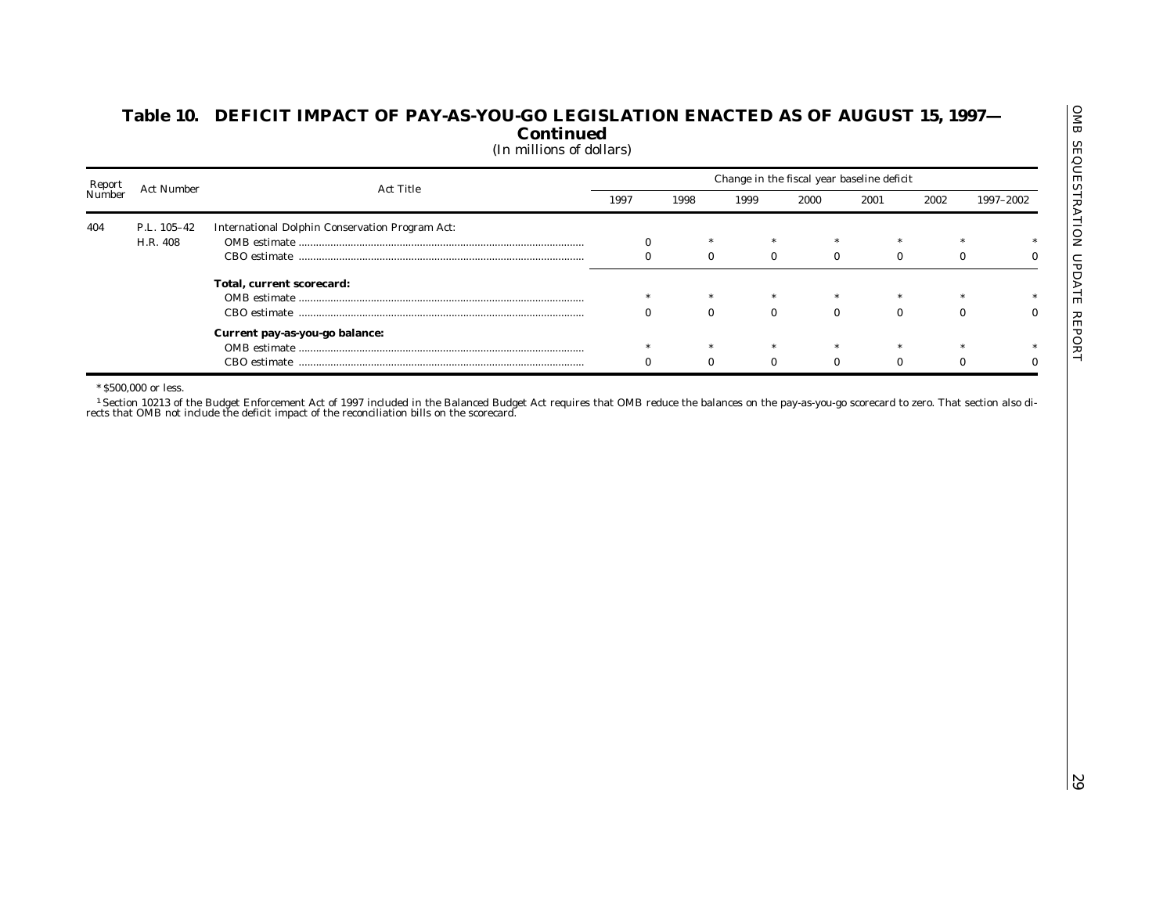| Report<br>Number<br><b>Act Number</b><br><b>Act Title</b><br>1997<br>1998<br>1999<br>2000<br>2001<br>2002<br>1997–2002<br>P.L. 105-42<br><b>International Dolphin Conservation Program Act:</b><br>404<br>H.R. 408<br>$\bf{0}$<br>$\bf{0}$<br>$\bf{0}$<br>$\bf{0}$<br>$\bf{0}$<br>$\bf{0}$<br>$\bf{0}$<br>Total, current scorecard:<br>$\bf{0}$<br>$\bf{0}$<br>$\bf{0}$<br>$\mathbf{0}$<br>$\bf{0}$<br>$\bf{0}$<br>Current pay-as-you-go balance:<br>$\bf{0}$<br>$\bf{0}$<br>$\bf{0}$<br>$\bf{0}$<br>$\bf{0}$<br>$\bf{0}$<br>* \$500,000 or less.<br>rects that OMB not include the deficit impact of the reconciliation bills on the scorecard. |  |  |  |  |
|--------------------------------------------------------------------------------------------------------------------------------------------------------------------------------------------------------------------------------------------------------------------------------------------------------------------------------------------------------------------------------------------------------------------------------------------------------------------------------------------------------------------------------------------------------------------------------------------------------------------------------------------------|--|--|--|--|
|                                                                                                                                                                                                                                                                                                                                                                                                                                                                                                                                                                                                                                                  |  |  |  |  |
| $\bf{0}$                                                                                                                                                                                                                                                                                                                                                                                                                                                                                                                                                                                                                                         |  |  |  |  |
|                                                                                                                                                                                                                                                                                                                                                                                                                                                                                                                                                                                                                                                  |  |  |  |  |
| $\bf{0}$<br>$\bf{0}$<br><sup>1</sup> Section 10213 of the Budget Enforcement Act of 1997 included in the Balanced Budget Act requires that OMB reduce the balances on the pay-as-you-go scorecard to zero. That section also di-                                                                                                                                                                                                                                                                                                                                                                                                                 |  |  |  |  |
|                                                                                                                                                                                                                                                                                                                                                                                                                                                                                                                                                                                                                                                  |  |  |  |  |
|                                                                                                                                                                                                                                                                                                                                                                                                                                                                                                                                                                                                                                                  |  |  |  |  |
|                                                                                                                                                                                                                                                                                                                                                                                                                                                                                                                                                                                                                                                  |  |  |  |  |
|                                                                                                                                                                                                                                                                                                                                                                                                                                                                                                                                                                                                                                                  |  |  |  |  |
|                                                                                                                                                                                                                                                                                                                                                                                                                                                                                                                                                                                                                                                  |  |  |  |  |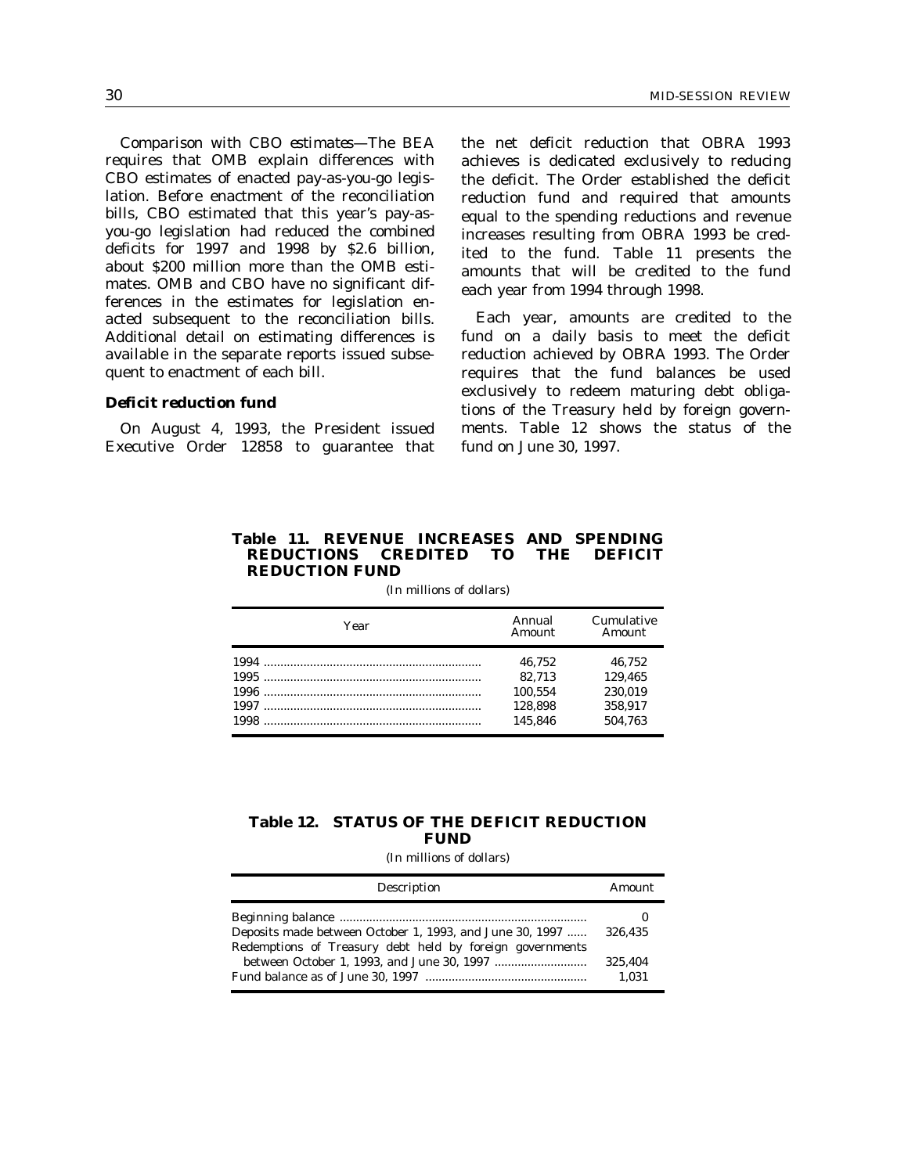*Comparison with CBO estimates*—The BEA requires that OMB explain differences with CBO estimates of enacted pay-as-you-go legislation. Before enactment of the reconciliation bills, CBO estimated that this year's pay-asyou-go legislation had reduced the combined deficits for 1997 and 1998 by \$2.6 billion, about \$200 million more than the OMB estimates. OMB and CBO have no significant differences in the estimates for legislation enacted subsequent to the reconciliation bills. Additional detail on estimating differences is available in the separate reports issued subsequent to enactment of each bill.

### *Deficit reduction fund*

On August 4, 1993, the President issued Executive Order 12858 to guarantee that the net deficit reduction that OBRA 1993 achieves is dedicated exclusively to reducing the deficit. The Order established the deficit reduction fund and required that amounts equal to the spending reductions and revenue increases resulting from OBRA 1993 be credited to the fund. Table 11 presents the amounts that will be credited to the fund each year from 1994 through 1998.

Each year, amounts are credited to the fund on a daily basis to meet the deficit reduction achieved by OBRA 1993. The Order requires that the fund balances be used exclusively to redeem maturing debt obligations of the Treasury held by foreign governments. Table 12 shows the status of the fund on June 30, 1997.

## **Table 11. REVENUE INCREASES AND SPENDING REDUCTIONS CREDITED TO THE DEFICIT REDUCTION FUND**

| Year | Annual<br>Amount | Cumulative<br>Amount |
|------|------------------|----------------------|
|      | 46.752           | 46.752               |
|      | 82.713           | 129.465              |
|      | 100.554          | 230.019              |
|      | 128.898          | 358.917              |
| 1998 | 145.846          | 504.763              |

(In millions of dollars)

### **Table 12. STATUS OF THE DEFICIT REDUCTION FUND**

| Description                                                                                                          | Amount           |
|----------------------------------------------------------------------------------------------------------------------|------------------|
| Deposits made between October 1, 1993, and June 30, 1997<br>Redemptions of Treasury debt held by foreign governments | 326.435          |
|                                                                                                                      | 325.404<br>1.031 |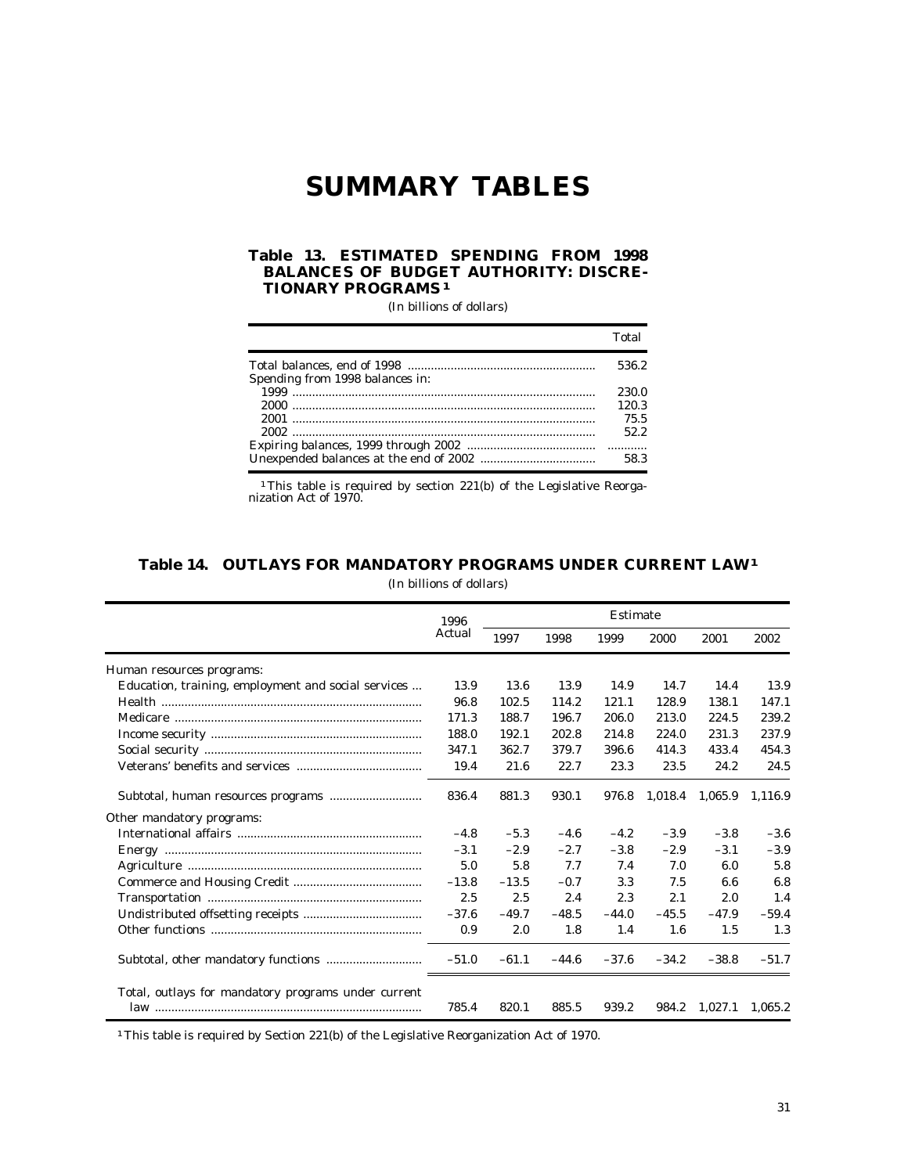# **SUMMARY TABLES**

### **Table 13. ESTIMATED SPENDING FROM 1998 BALANCES OF BUDGET AUTHORITY: DISCRE-TIONARY PROGRAMS 1**

(In billions of dollars)

|                                 | Total |
|---------------------------------|-------|
|                                 | 536.2 |
| Spending from 1998 balances in: |       |
|                                 | 230.0 |
|                                 | 120.3 |
|                                 | 75.5  |
|                                 | 52.2  |
|                                 |       |
|                                 | 58.3  |

<sup>1</sup>This table is required by section 221(b) of the Legislative Reorganization Act of 1970.

# **Table 14. OUTLAYS FOR MANDATORY PROGRAMS UNDER CURRENT LAW 1**

(In billions of dollars)

|                                                     | 1996    |         |         | <b>Estimate</b> |         |         |         |
|-----------------------------------------------------|---------|---------|---------|-----------------|---------|---------|---------|
|                                                     | Actual  | 1997    | 1998    | 1999            | 2000    | 2001    | 2002    |
| Human resources programs:                           |         |         |         |                 |         |         |         |
| Education, training, employment and social services | 13.9    | 13.6    | 13.9    | 14.9            | 14.7    | 14.4    | 13.9    |
|                                                     | 96.8    | 102.5   | 114.2   | 121.1           | 128.9   | 138.1   | 147.1   |
|                                                     | 171.3   | 188.7   | 196.7   | 206.0           | 213.0   | 224.5   | 239.2   |
|                                                     | 188.0   | 192.1   | 202.8   | 214.8           | 224.0   | 231.3   | 237.9   |
|                                                     | 347.1   | 362.7   | 379.7   | 396.6           | 414.3   | 433.4   | 454.3   |
|                                                     | 19.4    | 21.6    | 22.7    | 23.3            | 23.5    | 24.2    | 24.5    |
|                                                     | 836.4   | 881.3   | 930.1   | 976.8           | 1,018.4 | 1,065.9 | 1,116.9 |
| Other mandatory programs:                           |         |         |         |                 |         |         |         |
|                                                     | $-4.8$  | $-5.3$  | $-4.6$  | $-4.2$          | $-3.9$  | $-3.8$  | $-3.6$  |
|                                                     | $-3.1$  | $-2.9$  | $-2.7$  | $-3.8$          | $-2.9$  | $-3.1$  | $-3.9$  |
|                                                     | 5.0     | 5.8     | 7.7     | 7.4             | 7.0     | 6.0     | 5.8     |
|                                                     | $-13.8$ | $-13.5$ | $-0.7$  | 3.3             | 7.5     | 6.6     | 6.8     |
|                                                     | 2.5     | 2.5     | 2.4     | 2.3             | 2.1     | 2.0     | 1.4     |
|                                                     | $-37.6$ | $-49.7$ | $-48.5$ | $-44.0$         | $-45.5$ | $-47.9$ | $-59.4$ |
|                                                     | 0.9     | 2.0     | 1.8     | 1.4             | 1.6     | 1.5     | 1.3     |
|                                                     | $-51.0$ | $-61.1$ | $-44.6$ | $-37.6$         | $-34.2$ | $-38.8$ | $-51.7$ |
| Total, outlays for mandatory programs under current | 785.4   | 820.1   | 885.5   | 939.2           | 984.2   | 1,027.1 | 1,065.2 |

<sup>1</sup>This table is required by Section 221(b) of the Legislative Reorganization Act of 1970.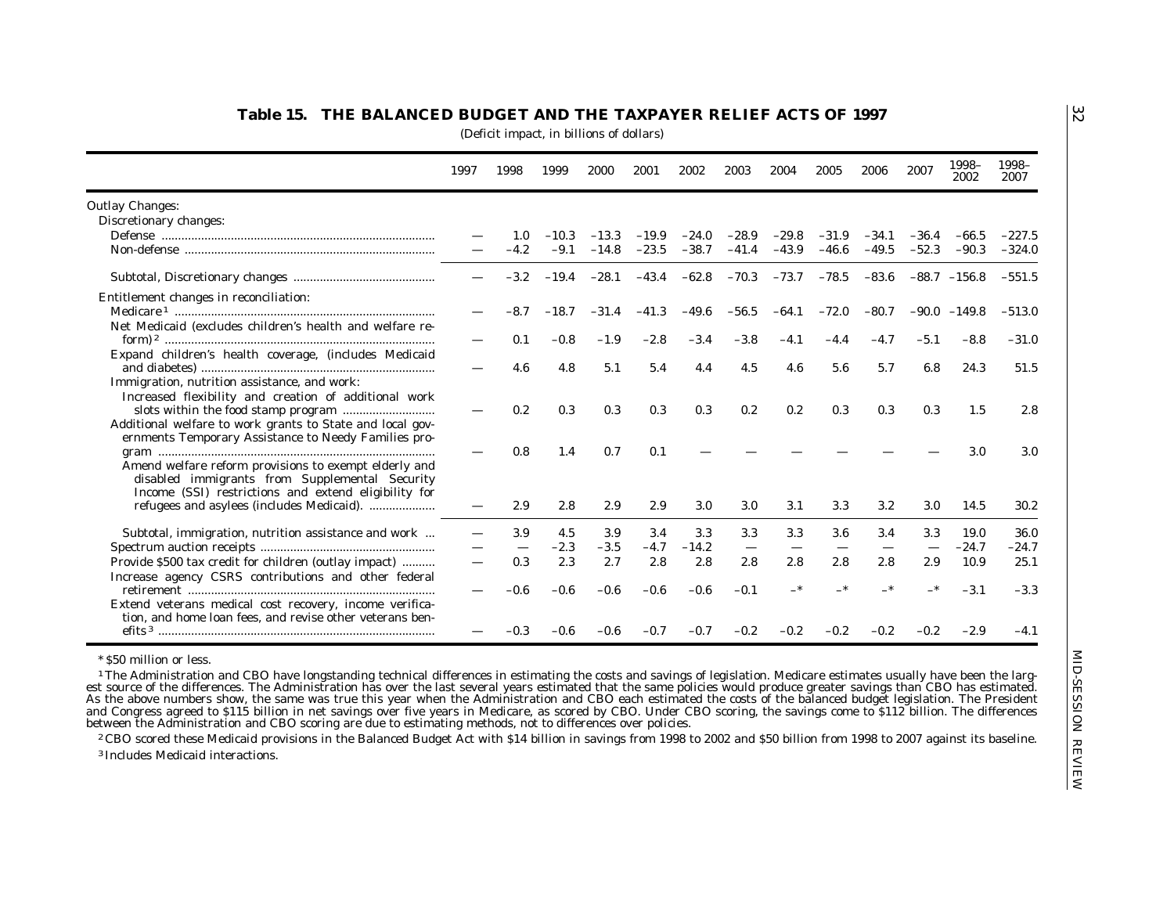|                                                           | 1997 | 1998   | 1999    | 2000    | 2001    | 2002    | 2003    | 2004    | 2005          | 2006    | 2007    | 1998-<br>2002  | 1998-<br>2007 |
|-----------------------------------------------------------|------|--------|---------|---------|---------|---------|---------|---------|---------------|---------|---------|----------------|---------------|
| <b>Outlay Changes:</b>                                    |      |        |         |         |         |         |         |         |               |         |         |                |               |
| Discretionary changes:                                    |      |        |         |         |         |         |         |         |               |         |         |                |               |
|                                                           |      | 1.0    | $-10.3$ | $-13.3$ | $-19.9$ | $-24.0$ | $-28.9$ | $-29.8$ | $-31.9$       | $-34.1$ | $-36.4$ | $-66.5$        | $-227.5$      |
|                                                           |      | $-4.2$ | $-9.1$  | $-14.8$ | $-23.5$ | $-38.7$ | $-41.4$ | $-43.9$ | $-46.6$       | $-49.5$ | $-52.3$ | $-90.3$        | $-324.0$      |
|                                                           |      | $-3.2$ | $-19.4$ | $-28.1$ | $-43.4$ | $-62.8$ | $-70.3$ |         | $-73.7 -78.5$ | $-83.6$ |         | $-88.7 -156.8$ | $-551.5$      |
| Entitlement changes in reconciliation:                    |      |        |         |         |         |         |         |         |               |         |         |                |               |
|                                                           |      | -8.7   | $-18.7$ | $-31.4$ | $-41.3$ | $-49.6$ | $-56.5$ | $-64.1$ | $-72.0$       | $-80.7$ |         | $-90.0 -149.8$ | $-513.0$      |
| Net Medicaid (excludes children's health and welfare re-  |      | 0.1    | $-0.8$  | $-1.9$  | $-2.8$  | -3.4    | -3.8    | $-4.1$  | $-4.4$        | $-4.7$  | $-5.1$  | $-8.8$         | $-31.0$       |
| Expand children's health coverage, (includes Medicaid     |      |        |         |         |         |         |         |         |               |         |         |                |               |
|                                                           |      | 4.6    | 4.8     | 5.1     | 5.4     | 4.4     | 4.5     | 4.6     | 5.6           | 5.7     | 6.8     | 24.3           | 51.5          |
| Immigration, nutrition assistance, and work:              |      |        |         |         |         |         |         |         |               |         |         |                |               |
| Increased flexibility and creation of additional work     |      | 0.2    | 0.3     | 0.3     | 0.3     | 0.3     | 0.2     | 0.2     | 0.3           | 0.3     | 0.3     | 1.5            | 2.8           |
| Additional welfare to work grants to State and local gov- |      |        |         |         |         |         |         |         |               |         |         |                |               |
| ernments Temporary Assistance to Needy Families pro-      |      |        |         |         |         |         |         |         |               |         |         |                |               |
|                                                           |      | 0.8    | 1.4     | 0.7     | 0.1     |         |         |         |               |         |         | 3.0            | 3.0           |
| Amend welfare reform provisions to exempt elderly and     |      |        |         |         |         |         |         |         |               |         |         |                |               |
| disabled immigrants from Supplemental Security            |      |        |         |         |         |         |         |         |               |         |         |                |               |
| Income (SSI) restrictions and extend eligibility for      |      |        |         |         |         |         |         |         |               |         |         |                |               |
|                                                           |      | 2.9    | 2.8     | 2.9     | 2.9     | 3.0     | 3.0     | 3.1     | 3.3           | $3.2\,$ | 3.0     | 14.5           | 30.2          |
| Subtotal, immigration, nutrition assistance and work      |      | 3.9    | 4.5     | 3.9     | 3.4     | 3.3     | 3.3     | 3.3     | 3.6           | 3.4     | 3.3     | 19.0           | 36.0          |
|                                                           |      |        | $-2.3$  | $-3.5$  | $-4.7$  | $-14.2$ |         |         |               |         |         | $-24.7$        | -24.7         |
| Provide \$500 tax credit for children (outlay impact)     |      | 0.3    | 2.3     | 2.7     | 2.8     | 2.8     | 2.8     | 2.8     | 2.8           | 2.8     | 2.9     | 10.9           | 25.1          |
| Increase agency CSRS contributions and other federal      |      |        |         |         |         |         |         |         |               |         |         |                |               |
|                                                           |      | -0.6   | $-0.6$  | $-0.6$  | $-0.6$  | $-0.6$  | $-0.1$  | –*      | –*            | —*      |         | $-3.1$         | $-3.3$        |
| Extend veterans medical cost recovery, income verifica-   |      |        |         |         |         |         |         |         |               |         |         |                |               |
| tion, and home loan fees, and revise other veterans ben-  |      |        |         |         |         |         |         |         |               |         |         |                |               |
|                                                           |      | $-0.3$ | $-0.6$  | $-0.6$  | $-0.7$  | $-0.7$  | $-0.2$  | $-0.2$  | $-0.2$        | $-0.2$  | $-0.2$  | $-2.9$         | $-4.1$        |

32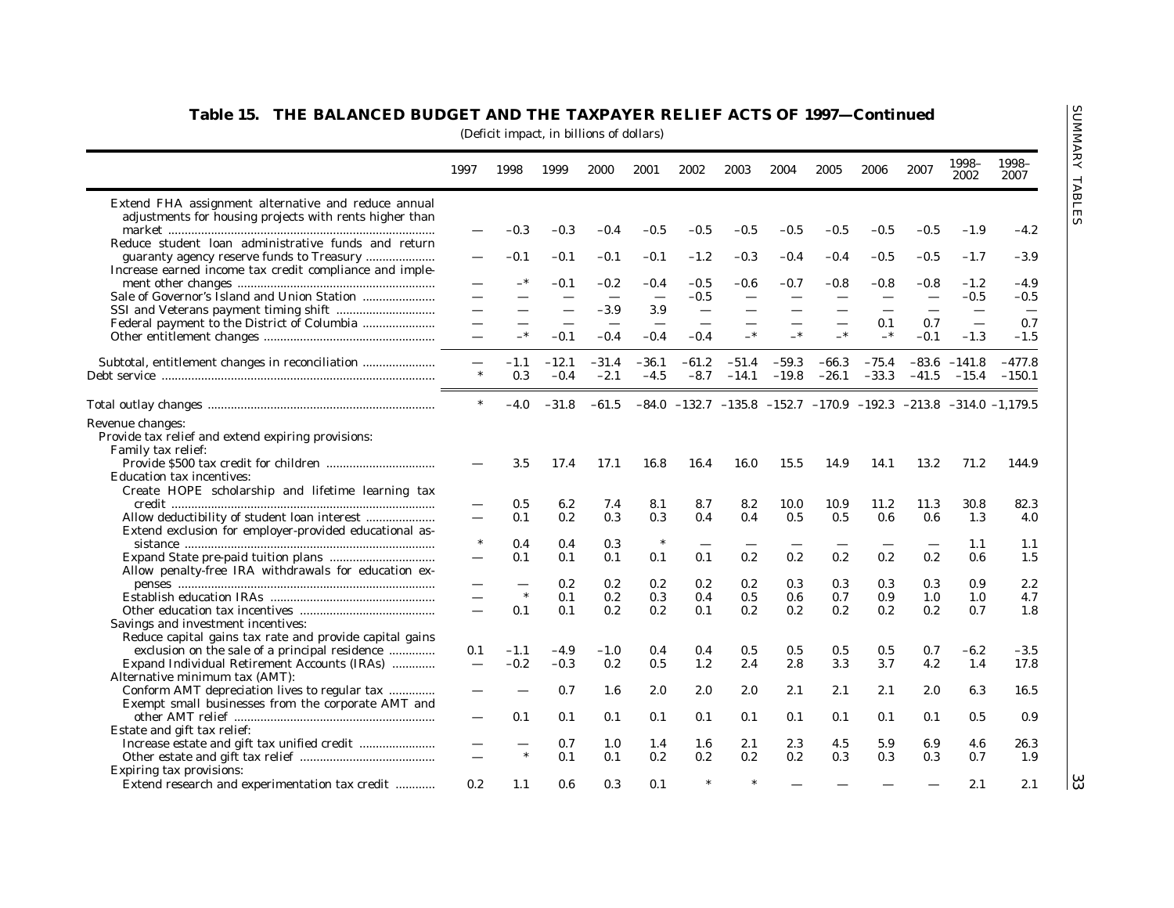|                                                                                                                                                                                                                                                                                                                                                                                                          | 1997                     | 1998   | 1999    | 2000       | 2001       | 2002       | 2003    | 2004    | 2005       | 2006    | 2007   | 1998-<br>2002  | 1998-<br>2007                                                                     |
|----------------------------------------------------------------------------------------------------------------------------------------------------------------------------------------------------------------------------------------------------------------------------------------------------------------------------------------------------------------------------------------------------------|--------------------------|--------|---------|------------|------------|------------|---------|---------|------------|---------|--------|----------------|-----------------------------------------------------------------------------------|
| Extend FHA assignment alternative and reduce annual                                                                                                                                                                                                                                                                                                                                                      |                          |        |         |            |            |            |         |         |            |         |        |                |                                                                                   |
| adjustments for housing projects with rents higher than                                                                                                                                                                                                                                                                                                                                                  |                          | -0.3   | $-0.3$  | $-0.4$     |            | $-0.5$     | $-0.5$  |         | $-0.5$     | $-0.5$  | -0.5   |                | $-4.2$                                                                            |
| Reduce student loan administrative funds and return                                                                                                                                                                                                                                                                                                                                                      |                          |        |         |            | $-0.5$     |            |         | $-0.5$  |            |         |        | $-1.9$         |                                                                                   |
| guaranty agency reserve funds to Treasury                                                                                                                                                                                                                                                                                                                                                                |                          | $-0.1$ | $-0.1$  | $-0.1$     | $-0.1$     | $-1.2$     | $-0.3$  | $-0.4$  | $-0.4$     | $-0.5$  | $-0.5$ | $-1.7$         | $-3.9$                                                                            |
| Increase earned income tax credit compliance and imple-                                                                                                                                                                                                                                                                                                                                                  |                          |        |         |            |            |            |         |         |            |         |        |                |                                                                                   |
| $\begin{minipage}{.4\linewidth} \hspace*{0.2cm} \textbf{ment other changes} \hspace*{0.2cm} \textbf{} \textbf{} \textbf{} \textbf{} \textbf{} \textbf{} \textbf{} \textbf{} \textbf{} \textbf{} \textbf{} \textbf{} \textbf{} \textbf{} \textbf{} \textbf{} \textbf{} \textbf{} \textbf{} \textbf{} \textbf{} \textbf{} \textbf{} \textbf{} \textbf{} \textbf{} \textbf{} \textbf{} \textbf{} \textbf{}$ |                          |        | $-0.1$  | $\bf -0.2$ | -0.4       | -0.5       | -0.6    | $-0.7$  | $-0.8$     | $-0.8$  | -0.8   | $-1.2$         | $-4.9$                                                                            |
| Sale of Governor's Island and Union Station                                                                                                                                                                                                                                                                                                                                                              |                          |        |         |            |            | $-0.5$     |         |         |            |         |        | $-0.5$         | $-0.5$                                                                            |
|                                                                                                                                                                                                                                                                                                                                                                                                          |                          |        |         | -3.9       | 3.9        |            |         |         |            |         |        |                | $\overline{\phantom{m}}$                                                          |
|                                                                                                                                                                                                                                                                                                                                                                                                          |                          |        |         |            |            |            |         |         |            | 0.1     | 0.7    |                | 0.7                                                                               |
|                                                                                                                                                                                                                                                                                                                                                                                                          |                          |        | $-0.1$  | $-0.4$     | $-0.4$     | $-0.4$     | $_{-*}$ |         | $-*$       | $-*$    | $-0.1$ | $-1.3$         | $-1.5$                                                                            |
| Subtotal, entitlement changes in reconciliation                                                                                                                                                                                                                                                                                                                                                          |                          | $-1.1$ | $-12.1$ | $-31.4$    | $-36.1$    | $-61.2$    | $-51.4$ | $-59.3$ | $-66.3$    | $-75.4$ |        | $-83.6 -141.8$ | $-477.8$                                                                          |
|                                                                                                                                                                                                                                                                                                                                                                                                          |                          | 0.3    | $-0.4$  | $-2.1$     | $-4.5$     | $-8.7$     | $-14.1$ | $-19.8$ | $-26.1$    |         |        |                | $-33.3$ $-41.5$ $-15.4$ $-150.1$                                                  |
|                                                                                                                                                                                                                                                                                                                                                                                                          |                          |        |         |            |            |            |         |         |            |         |        |                |                                                                                   |
|                                                                                                                                                                                                                                                                                                                                                                                                          | $\ast$                   | $-4.0$ | $-31.8$ | $-61.5$    |            |            |         |         |            |         |        |                | $-84.0$ $-132.7$ $-135.8$ $-152.7$ $-170.9$ $-192.3$ $-213.8$ $-314.0$ $-1,179.5$ |
| Revenue changes:<br>Provide tax relief and extend expiring provisions:<br>Family tax relief:<br><b>Education tax incentives:</b>                                                                                                                                                                                                                                                                         |                          | 3.5    | 17.4    | 17.1       | 16.8       | 16.4       | 16.0    | 15.5    | 14.9       | 14.1    | 13.2   | 71.2           | 144.9                                                                             |
| Create HOPE scholarship and lifetime learning tax                                                                                                                                                                                                                                                                                                                                                        |                          |        |         |            |            |            |         |         |            |         |        |                |                                                                                   |
|                                                                                                                                                                                                                                                                                                                                                                                                          |                          | 0.5    | 6.2     | 7.4        | 8.1        | 8.7        | 8.2     | 10.0    | 10.9       | 11.2    | 11.3   | 30.8           | 82.3                                                                              |
| Allow deductibility of student loan interest<br>Extend exclusion for employer-provided educational as-                                                                                                                                                                                                                                                                                                   |                          | 0.1    | 0.2     | 0.3        | 0.3        | 0.4        | 0.4     | 0.5     | 0.5        | 0.6     | 0.6    | 1.3            | 4.0                                                                               |
|                                                                                                                                                                                                                                                                                                                                                                                                          |                          | 0.4    | 0.4     | 0.3        | $\ast$     |            |         |         |            |         |        | 1.1            | 1.1                                                                               |
| Allow penalty-free IRA withdrawals for education ex-                                                                                                                                                                                                                                                                                                                                                     |                          | 0.1    | 0.1     | 0.1        | 0.1        | 0.1        | 0.2     | 0.2     | 0.2        | 0.2     | 0.2    | 0.6            | 1.5                                                                               |
|                                                                                                                                                                                                                                                                                                                                                                                                          |                          |        | 0.2     | 0.2        | 0.2        | 0.2        | 0.2     | 0.3     | 0.3        | 0.3     | 0.3    | 0.9            | 2.2                                                                               |
|                                                                                                                                                                                                                                                                                                                                                                                                          |                          | $\ast$ | 0.1     | 0.2        | 0.3        | 0.4        | 0.5     | 0.6     | 0.7        | 0.9     | 1.0    | 1.0            | 4.7                                                                               |
|                                                                                                                                                                                                                                                                                                                                                                                                          |                          | 0.1    | 0.1     | 0.2        | 0.2        | 0.1        | 0.2     | 0.2     | 0.2        | 0.2     | 0.2    | 0.7            | 1.8                                                                               |
| Savings and investment incentives:                                                                                                                                                                                                                                                                                                                                                                       |                          |        |         |            |            |            |         |         |            |         |        |                |                                                                                   |
| Reduce capital gains tax rate and provide capital gains                                                                                                                                                                                                                                                                                                                                                  |                          |        |         |            |            |            |         |         |            |         |        |                |                                                                                   |
| exclusion on the sale of a principal residence                                                                                                                                                                                                                                                                                                                                                           | 0.1                      | $-1.1$ | $-4.9$  | $-1.0$     | 0.4        | 0.4        | 0.5     | 0.5     | 0.5        | 0.5     | 0.7    | $-6.2$         | $-3.5$                                                                            |
| Expand Individual Retirement Accounts (IRAs)                                                                                                                                                                                                                                                                                                                                                             | $\overline{\phantom{0}}$ | $-0.2$ | $-0.3$  | 0.2        | 0.5        | 1.2        | 2.4     | 2.8     | 3.3        | 3.7     | 4.2    | 1.4            | 17.8                                                                              |
| Alternative minimum tax (AMT):                                                                                                                                                                                                                                                                                                                                                                           |                          |        |         |            |            |            |         |         |            |         |        |                |                                                                                   |
| Conform AMT depreciation lives to regular tax                                                                                                                                                                                                                                                                                                                                                            |                          |        | 0.7     | $1.6\,$    | 2.0        | 2.0        | 2.0     | 2.1     | 2.1        | 2.1     | 2.0    | 6.3            | 16.5                                                                              |
| Exempt small businesses from the corporate AMT and                                                                                                                                                                                                                                                                                                                                                       |                          |        |         |            |            |            |         |         |            |         |        |                |                                                                                   |
|                                                                                                                                                                                                                                                                                                                                                                                                          |                          | 0.1    | 0.1     | 0.1        | 0.1        | 0.1        | 0.1     | 0.1     | 0.1        | 0.1     | 0.1    | 0.5            | 0.9                                                                               |
| Estate and gift tax relief:                                                                                                                                                                                                                                                                                                                                                                              |                          |        | 0.7     |            |            |            | 2.1     | 2.3     |            | 5.9     | 6.9    | 4.6            | 26.3                                                                              |
|                                                                                                                                                                                                                                                                                                                                                                                                          |                          | $\ast$ | 0.1     | 1.0<br>0.1 | 1.4<br>0.2 | 1.6<br>0.2 | 0.2     | 0.2     | 4.5<br>0.3 | 0.3     | 0.3    | 0.7            | 1.9                                                                               |
|                                                                                                                                                                                                                                                                                                                                                                                                          |                          |        |         |            |            |            |         |         |            |         |        |                |                                                                                   |
| Expiring tax provisions:                                                                                                                                                                                                                                                                                                                                                                                 |                          |        |         |            |            |            |         |         |            |         |        |                |                                                                                   |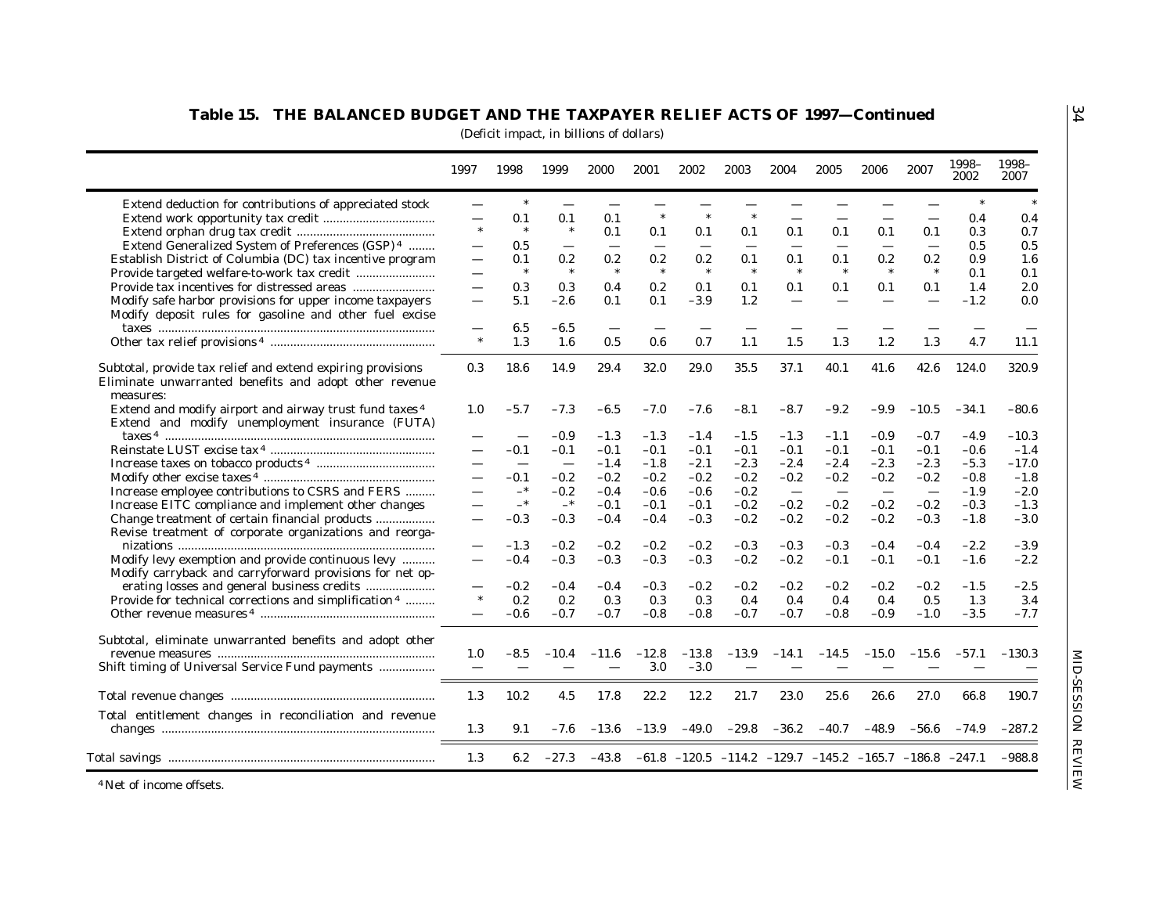|                                                                                                                                    | 1997                     | 1998   | 1999    | 2000    | 2001    | 2002                     | 2003                                                                   | 2004                     | 2005                     | 2006                     | 2007    | 1998-<br>2002 | 1998-<br>2007 |
|------------------------------------------------------------------------------------------------------------------------------------|--------------------------|--------|---------|---------|---------|--------------------------|------------------------------------------------------------------------|--------------------------|--------------------------|--------------------------|---------|---------------|---------------|
| Extend deduction for contributions of appreciated stock                                                                            | $\equiv$                 |        |         |         |         |                          |                                                                        |                          |                          |                          |         |               |               |
|                                                                                                                                    |                          | 0.1    | 0.1     | 0.1     |         | $\ast$                   | $\ast$                                                                 |                          |                          |                          |         | 0.4           | 0.4           |
|                                                                                                                                    | $\ast$                   | $\ast$ | $\ast$  | 0.1     | 0.1     | 0.1                      | 0.1                                                                    | 0.1                      | 0.1                      | 0.1                      | 0.1     | 0.3           | 0.7           |
| Extend Generalized System of Preferences (GSP) <sup>4</sup>                                                                        |                          | 0.5    |         |         |         | $\overline{\phantom{0}}$ |                                                                        |                          |                          |                          |         | 0.5           | 0.5           |
| Establish District of Columbia (DC) tax incentive program                                                                          |                          | 0.1    | 0.2     | 0.2     | 0.2     | 0.2                      | 0.1                                                                    | 0.1                      | 0.1                      | 0.2                      | 0.2     | 0.9           | 1.6           |
|                                                                                                                                    |                          | $\ast$ | $\ast$  | $\ast$  | $\ast$  | $\ast$                   | $\ast$                                                                 |                          | $\ast$                   | $\ast$                   | $\ast$  | 0.1           | 0.1           |
|                                                                                                                                    |                          | 0.3    | 0.3     | 0.4     | 0.2     | 0.1                      | 0.1                                                                    | 0.1                      | 0.1                      | 0.1                      | 0.1     | 1.4           | 2.0           |
| Modify safe harbor provisions for upper income taxpayers                                                                           |                          | 5.1    | $-2.6$  | 0.1     | 0.1     | $-3.9$                   | 1.2                                                                    |                          |                          | $\overline{\phantom{0}}$ |         | $-1.2$        | 0.0           |
| Modify deposit rules for gasoline and other fuel excise                                                                            |                          |        |         |         |         |                          |                                                                        |                          |                          |                          |         |               |               |
|                                                                                                                                    |                          | 6.5    | $-6.5$  |         |         |                          |                                                                        |                          |                          |                          |         |               |               |
|                                                                                                                                    | $\ast$                   | 1.3    | 1.6     | 0.5     | 0.6     | 0.7                      | 1.1                                                                    | 1.5                      | 1.3                      | 1.2                      | 1.3     | 4.7           | 11.1          |
| Subtotal, provide tax relief and extend expiring provisions<br>Eliminate unwarranted benefits and adopt other revenue<br>measures: | 0.3                      | 18.6   | 14.9    | 29.4    | 32.0    | 29.0                     | 35.5                                                                   | 37.1                     | 40.1                     | 41.6                     | 42.6    | 124.0         | 320.9         |
| Extend and modify airport and airway trust fund taxes 4                                                                            | 1.0                      | $-5.7$ | $-7.3$  | $-6.5$  | $-7.0$  | $-7.6$                   | $-8.1$                                                                 | $-8.7$                   | $-9.2$                   | $-9.9$                   | $-10.5$ | $-34.1$       | $-80.6$       |
| Extend and modify unemployment insurance (FUTA)                                                                                    |                          |        |         |         |         |                          |                                                                        |                          |                          |                          |         |               |               |
|                                                                                                                                    |                          |        | $-0.9$  | $-1.3$  | $-1.3$  | $-1.4$                   | $-1.5$                                                                 | $-1.3$                   | $-1.1$                   | $-0.9$                   | $-0.7$  | $-4.9$        | $-10.3$       |
|                                                                                                                                    |                          | -0.1   | $-0.1$  | $-0.1$  | $-0.1$  | $-0.1$                   | $-0.1$                                                                 | $-0.1$                   | $-0.1$                   | $-0.1$                   | $-0.1$  | $-0.6$        | $-1.4$        |
|                                                                                                                                    |                          |        |         | $-1.4$  | $-1.8$  | $-2.1$                   | $-2.3$                                                                 | $-2.4$                   | $-2.4$                   | $-2.3$                   | $-2.3$  | $-5.3$        | $-17.0$       |
|                                                                                                                                    |                          | $-0.1$ | $-0.2$  | $-0.2$  | $-0.2$  | $-0.2$                   | $-0.2$                                                                 | $-0.2$                   | $-0.2$                   | $-0.2$                   | $-0.2$  | $-0.8$        | $-1.8$        |
| Increase employee contributions to CSRS and FERS                                                                                   |                          | —*     | $-0.2$  | $-0.4$  | $-0.6$  | $-0.6$                   | $-0.2$                                                                 | $\overline{\phantom{a}}$ | $\overline{\phantom{m}}$ | $\overline{\phantom{a}}$ |         | $-1.9$        | $-2.0$        |
| Increase EITC compliance and implement other changes                                                                               |                          | $-*$   | $-$ *   | $-0.1$  | $-0.1$  | $-0.1$                   | $-0.2$                                                                 | $-0.2$                   | $-0.2$                   | $-0.2$                   | $-0.2$  | $-0.3$        | $-1.3$        |
| Change treatment of certain financial products                                                                                     |                          | $-0.3$ | $-0.3$  | $-0.4$  | $-0.4$  | $-0.3$                   | $-0.2$                                                                 | $-0.2$                   | $-0.2$                   | $-0.2$                   | $-0.3$  | $-1.8$        | $-3.0$        |
| Revise treatment of corporate organizations and reorga-                                                                            |                          |        |         |         |         |                          |                                                                        |                          |                          |                          |         |               |               |
|                                                                                                                                    |                          | $-1.3$ | $-0.2$  | $-0.2$  | $-0.2$  | $-0.2$                   | $-0.3$                                                                 | $-0.3$                   | $-0.3$                   | $-0.4$                   | $-0.4$  | $-2.2$        | $-3.9$        |
| Modify levy exemption and provide continuous levy                                                                                  | $\overline{\phantom{0}}$ | $-0.4$ | $-0.3$  | $-0.3$  | $-0.3$  | $-0.3$                   | $-0.2$                                                                 | $-0.2$                   | $-0.1$                   | $-0.1$                   | $-0.1$  | $-1.6$        | $-2.2$        |
| Modify carryback and carryforward provisions for net op-                                                                           |                          |        |         |         |         |                          |                                                                        |                          |                          |                          |         |               |               |
|                                                                                                                                    |                          | $-0.2$ | $-0.4$  | $-0.4$  | $-0.3$  | $-0.2$                   | $-0.2$                                                                 | $-0.2$                   | $-0.2$                   | $-0.2$                   | $-0.2$  | $-1.5$        | $-2.5$        |
| Provide for technical corrections and simplification <sup>4</sup>                                                                  | $\ast$                   | 0.2    | 0.2     | 0.3     | 0.3     | 0.3                      | 0.4                                                                    | 0.4                      | 0.4                      | 0.4                      | 0.5     | 1.3           | 3.4           |
|                                                                                                                                    |                          | $-0.6$ | $-0.7$  | $-0.7$  | $-0.8$  | $-0.8$                   | $-0.7$                                                                 | $-0.7$                   | $-0.8$                   | $-0.9$                   | $-1.0$  | $-3.5$        | $-7.7$        |
| Subtotal, eliminate unwarranted benefits and adopt other                                                                           |                          |        |         |         |         |                          |                                                                        |                          |                          |                          |         |               |               |
|                                                                                                                                    | 1.0                      | $-8.5$ | $-10.4$ | $-11.6$ | $-12.8$ | $-13.8$                  | $-13.9$                                                                | $-14.1$                  | $-14.5$                  | $-15.0$                  | $-15.6$ | $-57.1$       | $-130.3$      |
| Shift timing of Universal Service Fund payments                                                                                    |                          |        |         |         | 3.0     | $-3.0$                   |                                                                        |                          |                          |                          |         |               |               |
|                                                                                                                                    |                          |        |         |         |         |                          |                                                                        |                          |                          |                          |         |               |               |
|                                                                                                                                    | 1.3                      | 10.2   | 4.5     | 17.8    | 22.2    | 12.2                     | 21.7                                                                   | 23.0                     | 25.6                     | 26.6                     | 27.0    | 66.8          | 190.7         |
| Total entitlement changes in reconciliation and revenue                                                                            |                          |        |         |         |         |                          |                                                                        |                          |                          |                          |         |               |               |
|                                                                                                                                    | 1.3                      | 9.1    | $-7.6$  | $-13.6$ | $-13.9$ | $-49.0$                  | $-29.8$                                                                | $-36.2$                  | $-40.7$                  | $-48.9$                  | $-56.6$ | $-74.9$       | $-287.2$      |
|                                                                                                                                    |                          |        |         |         |         |                          |                                                                        |                          |                          |                          |         |               |               |
|                                                                                                                                    | 1.3                      | 6.2    | $-27.3$ | $-43.8$ |         |                          | $-61.8$ $-120.5$ $-114.2$ $-129.7$ $-145.2$ $-165.7$ $-186.8$ $-247.1$ |                          |                          |                          |         |               | $-988.8$      |

4 Net of income offsets.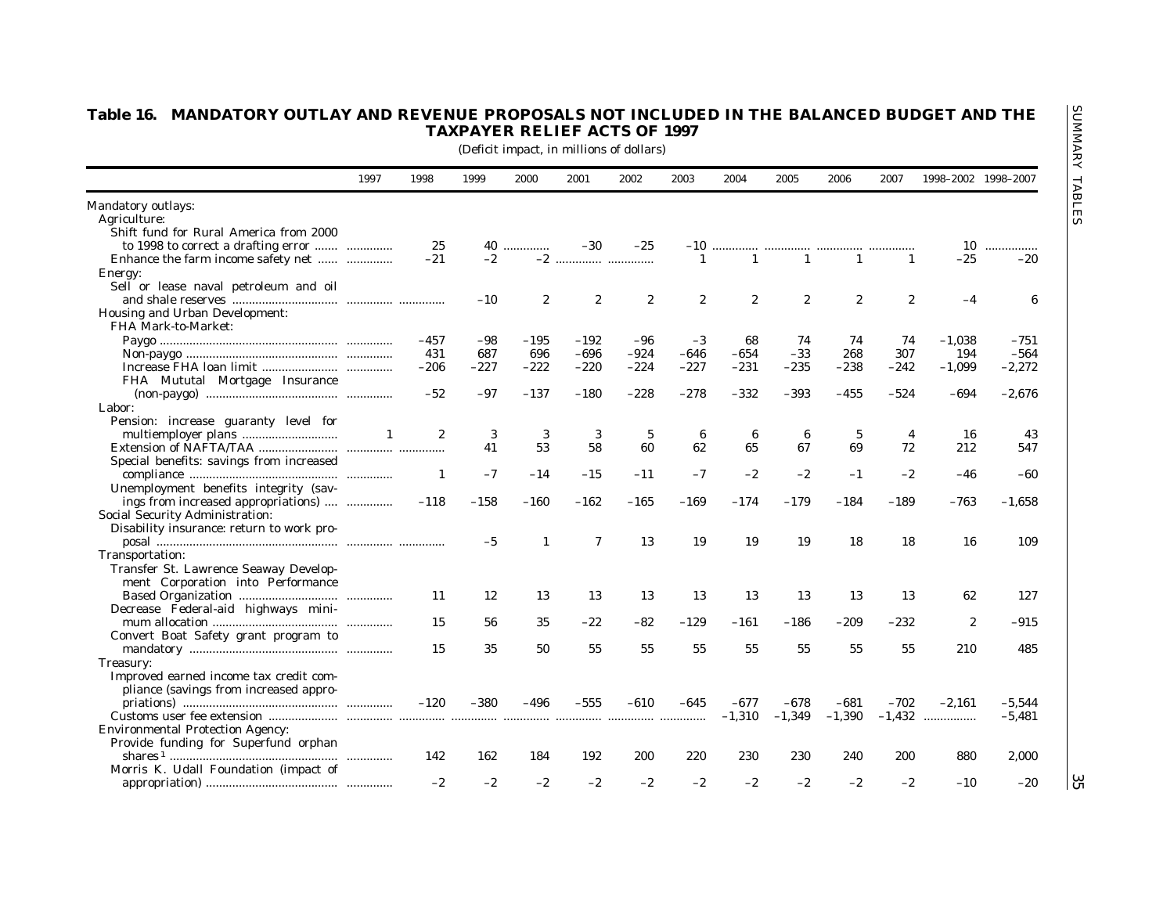|                                           |              |                  |        |                  | (Deficit impact, in millions of dollars) |                  |                  |                       |              |                       |              |                     |          |
|-------------------------------------------|--------------|------------------|--------|------------------|------------------------------------------|------------------|------------------|-----------------------|--------------|-----------------------|--------------|---------------------|----------|
|                                           | 1997         | 1998             | 1999   | 2000             | 2001                                     | 2002             | 2003             | 2004                  | 2005         | 2006                  | 2007         | 1998-2002 1998-2007 |          |
| Mandatory outlays:                        |              |                  |        |                  |                                          |                  |                  |                       |              |                       |              |                     |          |
| Agriculture:                              |              |                  |        |                  |                                          |                  |                  |                       |              |                       |              |                     |          |
| Shift fund for Rural America from 2000    |              |                  |        |                  |                                          |                  |                  |                       |              |                       |              |                     |          |
| to 1998 to correct a drafting error       |              | 25               |        | 40               | $-30$                                    | $-25$            | $-10$            |                       |              |                       |              |                     | 10       |
| Enhance the farm income safety net        |              | $-21$            | $-2$   |                  | $-2$                                     |                  | $\mathbf{1}$     | 1                     | $\mathbf{1}$ | $\mathbf{1}$          | $\mathbf{1}$ | $-25$               | $-20$    |
| Energy:                                   |              |                  |        |                  |                                          |                  |                  |                       |              |                       |              |                     |          |
| Sell or lease naval petroleum and oil     |              |                  |        |                  |                                          |                  |                  |                       |              |                       |              |                     |          |
|                                           |              |                  | $-10$  | $\boldsymbol{2}$ | $\boldsymbol{2}$                         | $\boldsymbol{2}$ | $\boldsymbol{2}$ | $\mathbf{2}^{\prime}$ | $\mathbf{2}$ | $\mathbf{2}^{\prime}$ | $\mathbf{2}$ | $-4$                | 6        |
| Housing and Urban Development:            |              |                  |        |                  |                                          |                  |                  |                       |              |                       |              |                     |          |
| FHA Mark-to-Market:                       |              |                  |        |                  |                                          |                  |                  |                       |              |                       |              |                     |          |
|                                           |              | $-457$           | -98    | $-195$           | $-192$                                   | -96              | $-3$             | 68                    | 74           | 74                    | 74           | $-1.038$            | $-751$   |
|                                           |              | 431              | 687    | 696              | $-696$                                   | $-924$           | -646             | -654                  | $-33$        | 268                   | 307          | 194                 | $-564$   |
|                                           |              | $-206$           | $-227$ | $-222$           | $-220$                                   | $-224$           | $-227$           | $-231$                | $-235$       | $-238$                | -242         | $-1,099$            | $-2,272$ |
| FHA Mututal Mortgage Insurance            |              |                  |        |                  |                                          |                  |                  |                       |              |                       |              |                     |          |
|                                           |              | $-52$            | -97    | $-137$           | $-180$                                   | $-228$           | $-278$           | -332                  | -393         | $-455$                | -524         | -694                | $-2,676$ |
| Labor:                                    |              |                  |        |                  |                                          |                  |                  |                       |              |                       |              |                     |          |
| Pension: increase guaranty level for      |              |                  |        |                  |                                          |                  |                  |                       |              |                       |              |                     |          |
|                                           | $\mathbf{1}$ | $\boldsymbol{2}$ | 3      | 3                | 3                                        | $\sqrt{5}$       | 6                | 6                     | 6            | $\sqrt{5}$            | 4            | 16                  | 43       |
|                                           |              |                  | 41     | 53               | 58                                       | 60               | 62               | 65                    | 67           | 69                    | 72           | 212                 | 547      |
| Special benefits: savings from increased  |              |                  |        |                  |                                          |                  |                  |                       |              |                       |              |                     |          |
|                                           |              | 1                | $-7$   | $-14$            | $-15$                                    | $-11$            | $-7$             | $-2$                  | $-2$         | $-1$                  | $-2$         | $-46$               | -60      |
| Unemployment benefits integrity (sav-     |              |                  |        |                  |                                          |                  |                  |                       |              |                       |              |                     |          |
| ings from increased appropriations)       |              | $-118$           | $-158$ | -160             | $-162$                                   | $-165$           | $-169$           | $-174$                | $-179$       | $-184$                | $-189$       | $-763$              | $-1,658$ |
| Social Security Administration:           |              |                  |        |                  |                                          |                  |                  |                       |              |                       |              |                     |          |
| Disability insurance: return to work pro- |              |                  |        |                  |                                          |                  |                  |                       |              |                       |              |                     |          |
|                                           |              |                  | $-5$   | 1                | $\mathbf 7$                              | 13               | 19               | 19                    | 19           | 18                    | 18           | 16                  | 109      |
| Transportation:                           |              |                  |        |                  |                                          |                  |                  |                       |              |                       |              |                     |          |
| Transfer St. Lawrence Seaway Develop-     |              |                  |        |                  |                                          |                  |                  |                       |              |                       |              |                     |          |
| ment Corporation into Performance         |              |                  |        |                  |                                          |                  |                  |                       |              |                       |              |                     |          |
|                                           |              | 11               | 12     | 13               | 13                                       | 13               | 13               | 13                    | 13           | 13                    | 13           | 62                  | 127      |
| Decrease Federal-aid highways mini-       |              |                  |        |                  |                                          |                  |                  |                       |              |                       |              |                     |          |
|                                           |              | 15               | 56     | 35               | $-22$                                    | $-82$            | $-129$           | $-161$                | $-186$       | $-209$                | $-232$       | $\boldsymbol{2}$    | $-915$   |
| Convert Boat Safety grant program to      |              |                  |        |                  |                                          |                  |                  |                       |              |                       |              |                     |          |
|                                           |              | 15               | 35     | 50               | 55                                       | 55               | 55               | 55                    | 55           | 55                    | 55           | 210                 | 485      |
| Treasury:                                 |              |                  |        |                  |                                          |                  |                  |                       |              |                       |              |                     |          |
| Improved earned income tax credit com-    |              |                  |        |                  |                                          |                  |                  |                       |              |                       |              |                     |          |
| pliance (savings from increased appro-    |              |                  |        |                  |                                          |                  |                  |                       |              |                       |              |                     |          |
|                                           |              | $-120$           | $-380$ | -496             | $-555$                                   | $-610$           | $-645$           | $-677$                | $-678$       | $-681$                | $-702$       | $-2.161$            | $-5.544$ |
|                                           |              |                  |        |                  |                                          |                  |                  | $-1,310$              | $-1,349$     | $-1,390$              |              | $-1,432$            | $-5,481$ |
| <b>Environmental Protection Agency:</b>   |              |                  |        |                  |                                          |                  |                  |                       |              |                       |              |                     |          |
| Provide funding for Superfund orphan      |              |                  |        |                  |                                          |                  |                  |                       |              |                       |              |                     |          |
|                                           |              | 142              | 162    | 184              | 192                                      | 200              | 220              | 230                   | 230          | 240                   | 200          | 880                 | 2,000    |
|                                           |              |                  |        |                  |                                          |                  |                  |                       |              |                       |              |                     |          |
| Morris K. Udall Foundation (impact of     |              |                  |        |                  |                                          |                  |                  |                       |              |                       |              |                     |          |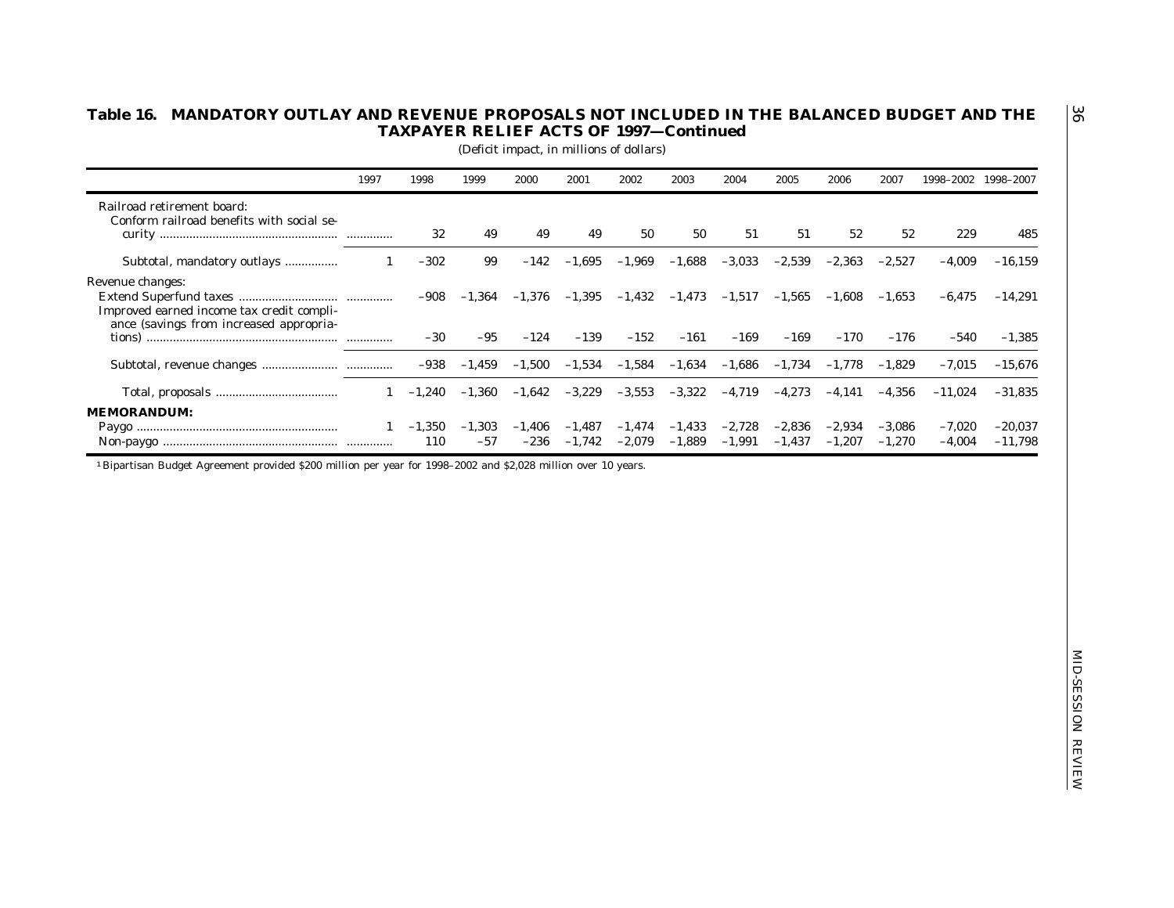|                                                                                                                           | 1997         | 1998            | 1999              | 2000               | 2001                 | 2002                 | 2003                 | 2004                 | 2005                 | 2006                 | 2007                 | 1998-2002 1998-2007  |                        |
|---------------------------------------------------------------------------------------------------------------------------|--------------|-----------------|-------------------|--------------------|----------------------|----------------------|----------------------|----------------------|----------------------|----------------------|----------------------|----------------------|------------------------|
| Railroad retirement board:<br>Conform railroad benefits with social se-                                                   |              | 32              | 49                | 49                 | 49                   | 50                   | 50                   | 51                   | 51                   | 52                   | 52                   | 229                  | 485                    |
| Subtotal, mandatory outlays                                                                                               | 1            | $-302$          | 99                | $-142$             | $-1,695$             | $-1,969$             | $-1,688$             | $-3,033$             | $-2,539$             | $-2,363$             | $-2,527$             | $-4,009$             | $-16,159$              |
| Revenue changes:<br>Improved earned income tax credit compli-                                                             |              | $-908$          | $-1,364$          | $-1,376$           | $-1,395$             | $-1,432$             | $-1,473$             | $-1,517$             | $-1,565$             | $-1,608$             | $-1,653$             | $-6,475$             | $-14,291$              |
| ance (savings from increased appropria-                                                                                   |              | $-30$           | $-95$             | $-124$             | $-139$               | $-152$               | $-161$               | $-169$               | $-169$               | $-170$               | $-176$               | $-540$               | $-1,385$               |
|                                                                                                                           |              | $-938$          | $-1,459$          | $-1,500$           | $-1,534$             | $-1,584$             | $-1,634$             | $-1,686$             | $-1,734$             | $-1,778$             | $-1,829$             | $-7,015$             | $-15,676$              |
|                                                                                                                           | $\mathbf{1}$ | $-1,240$        | $-1,360$          | $-1,642$           | $-3,229$             | $-3,553$             | $-3,322$             | $-4,719$             | $-4,273$             | $-4,141$             | $-4,356$             | $-11,024$            | $-31,835$              |
| <b>MEMORANDUM:</b>                                                                                                        | 1            | $-1,350$<br>110 | $-1,303$<br>$-57$ | $-1,406$<br>$-236$ | $-1,487$<br>$-1,742$ | $-1,474$<br>$-2,079$ | $-1,433$<br>$-1,889$ | $-2,728$<br>$-1,991$ | $-2,836$<br>$-1,437$ | $-2,934$<br>$-1,207$ | $-3,086$<br>$-1,270$ | $-7,020$<br>$-4,004$ | $-20,037$<br>$-11,798$ |
| <sup>1</sup> Bipartisan Budget Agreement provided \$200 million per year for 1998-2002 and \$2,028 million over 10 years. |              |                 |                   |                    |                      |                      |                      |                      |                      |                      |                      |                      |                        |
|                                                                                                                           |              |                 |                   |                    |                      |                      |                      |                      |                      |                      |                      |                      |                        |
|                                                                                                                           |              |                 |                   |                    |                      |                      |                      |                      |                      |                      |                      |                      |                        |
|                                                                                                                           |              |                 |                   |                    |                      |                      |                      |                      |                      |                      |                      |                      |                        |
|                                                                                                                           |              |                 |                   |                    |                      |                      |                      |                      |                      |                      |                      |                      |                        |
|                                                                                                                           |              |                 |                   |                    |                      |                      |                      |                      |                      |                      |                      |                      |                        |
|                                                                                                                           |              |                 |                   |                    |                      |                      |                      |                      |                      |                      |                      |                      |                        |
|                                                                                                                           |              |                 |                   |                    |                      |                      |                      |                      |                      |                      |                      |                      |                        |
|                                                                                                                           |              |                 |                   |                    |                      |                      |                      |                      |                      |                      |                      |                      |                        |

 $\overline{36}$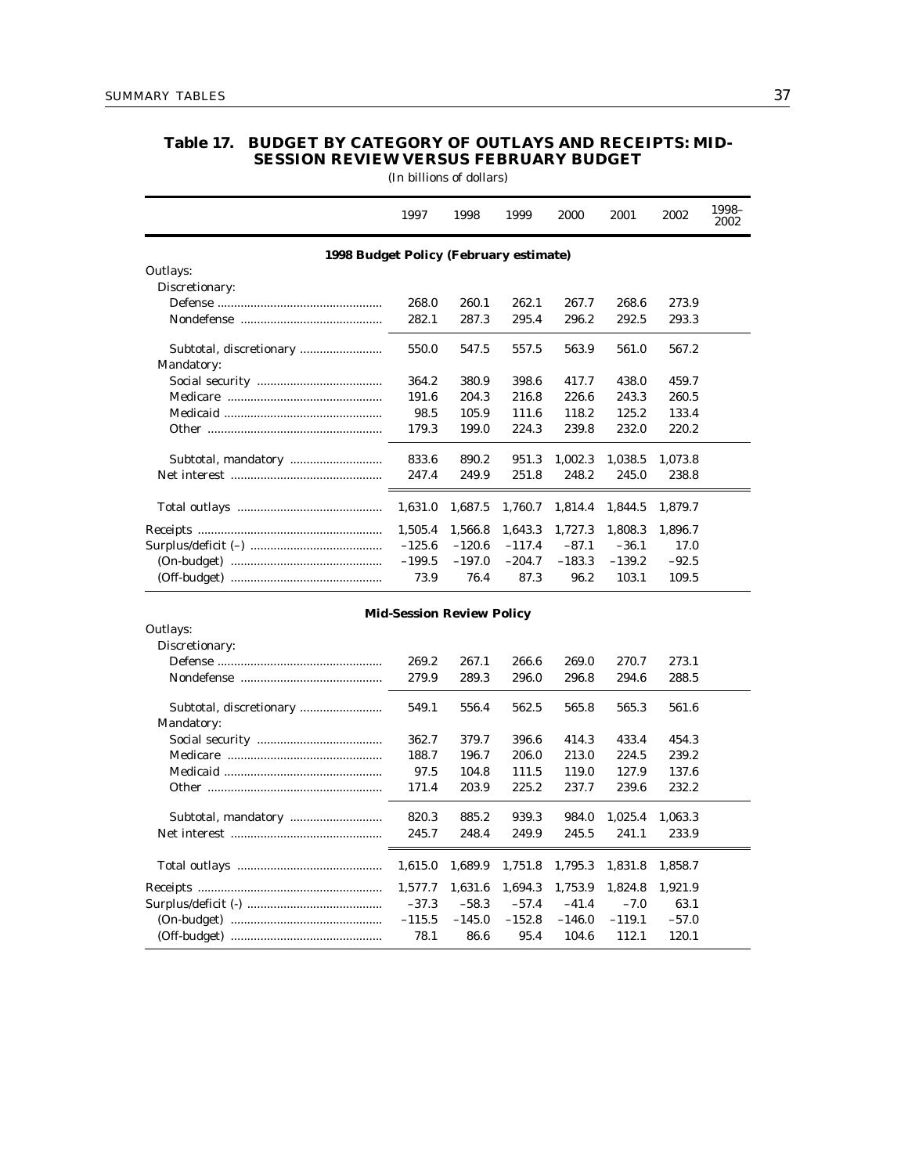Mandatory:

# **Table 17. BUDGET BY CATEGORY OF OUTLAYS AND RECEIPTS: MID-SESSION REVIEW VERSUS FEBRUARY BUDGET**

(In billions of dollars)

|                                        | 1997                             | 1998     | 1999     | 2000     | 2001     | 2002    | 1998-<br>2002 |
|----------------------------------------|----------------------------------|----------|----------|----------|----------|---------|---------------|
| 1998 Budget Policy (February estimate) |                                  |          |          |          |          |         |               |
| Outlays:                               |                                  |          |          |          |          |         |               |
| Discretionary:                         |                                  |          |          |          |          |         |               |
|                                        | 268.0                            | 260.1    | 262.1    | 267.7    | 268.6    | 273.9   |               |
|                                        | 282.1                            | 287.3    | 295.4    | 296.2    | 292.5    | 293.3   |               |
|                                        | 550.0                            | 547.5    | 557.5    | 563.9    | 561.0    | 567.2   |               |
| Mandatory:                             |                                  |          |          |          |          |         |               |
|                                        | 364.2                            | 380.9    | 398.6    | 417.7    | 438.0    | 459.7   |               |
|                                        | 191.6                            | 204.3    | 216.8    | 226.6    | 243.3    | 260.5   |               |
|                                        | 98.5                             | 105.9    | 111.6    | 118.2    | 125.2    | 133.4   |               |
|                                        | 179.3                            | 199.0    | 224.3    | 239.8    | 232.0    | 220.2   |               |
|                                        | 833.6                            | 890.2    | 951.3    | 1,002.3  | 1,038.5  | 1,073.8 |               |
|                                        | 247.4                            | 249.9    | 251.8    | 248.2    | 245.0    | 238.8   |               |
|                                        | 1,631.0                          | 1,687.5  | 1,760.7  | 1,814.4  | 1,844.5  | 1,879.7 |               |
|                                        | 1,505.4                          | 1,566.8  | 1,643.3  | 1,727.3  | 1,808.3  | 1,896.7 |               |
|                                        | $-125.6$                         | $-120.6$ | $-117.4$ | $-87.1$  | $-36.1$  | 17.0    |               |
|                                        | $-199.5$                         | $-197.0$ | $-204.7$ | $-183.3$ | $-139.2$ | $-92.5$ |               |
|                                        | 73.9                             | 76.4     | 87.3     | 96.2     | 103.1    | 109.5   |               |
|                                        | <b>Mid-Session Review Policy</b> |          |          |          |          |         |               |
| Outlays:                               |                                  |          |          |          |          |         |               |
| Discretionary:                         |                                  |          |          |          |          |         |               |
|                                        | 269.2                            | 267.1    | 266.6    | 269.0    | 270.7    | 273.1   |               |
|                                        | 279.9                            | 289.3    | 296.0    | 296.8    | 294.6    | 288.5   |               |
| Subtotal, discretionary                | 549.1                            | 556.4    | 562.5    | 565.8    | 565.3    | 561.6   |               |

Social security ...................................... 362.7 379.7 396.6 414.3 433.4 454.3 Medicare ............................................... 188.7 196.7 206.0 213.0 224.5 239.2 Medicaid ................................................ 97.5 104.8 111.5 119.0 127.9 137.6 Other ..................................................... 171.4 203.9 225.2 237.7 239.6 232.2

Subtotal, mandatory ............................ 820.3 885.2 939.3 984.0 1,025.4 1,063.3 Net interest .............................................. 245.7 248.4 249.9 245.5 241.1 233.9

Total outlays ............................................ 1,615.0 1,689.9 1,751.8 1,795.3 1,831.8 1,858.7 Receipts ........................................................ 1,577.7 1,631.6 1,694.3 1,753.9 1,824.8 1,921.9 Surplus/deficit (-) ......................................... –37.3 –58.3 –57.4 –41.4 –7.0 63.1 (On-budget) .............................................. –115.5 –145.0 –152.8 –146.0 –119.1 –57.0 (Off-budget) .............................................. 78.1 86.6 95.4 104.6 112.1 120.1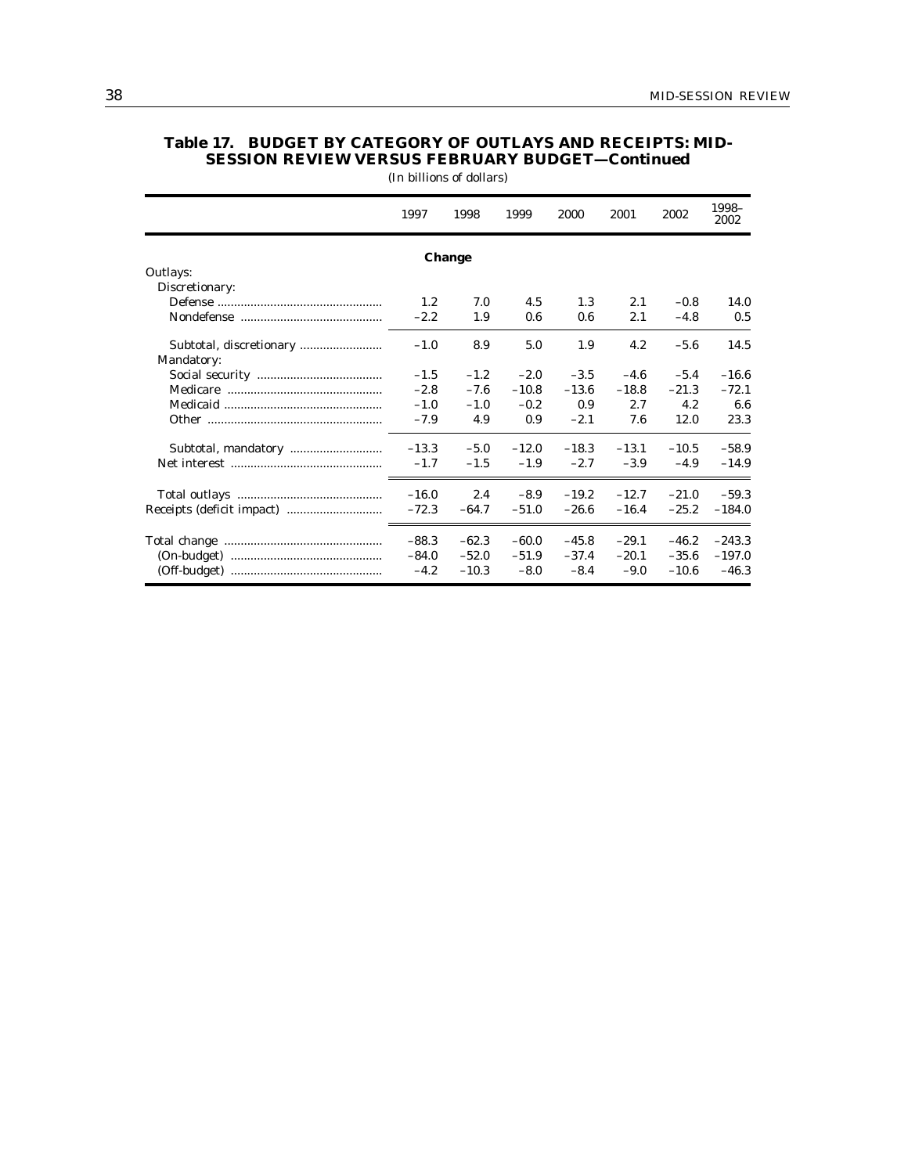|                | 1997    | 1998    | 1999    | 2000    | 2001    | 2002    | 1998-<br>2002 |
|----------------|---------|---------|---------|---------|---------|---------|---------------|
|                |         | Change  |         |         |         |         |               |
| Outlays:       |         |         |         |         |         |         |               |
| Discretionary: |         |         |         |         |         |         |               |
|                | 1.2     | 7.0     | 4.5     | 1.3     | 2.1     | $-0.8$  | 14.0          |
|                | $-2.2$  | 1.9     | 0.6     | 0.6     | 2.1     | $-4.8$  | 0.5           |
| Mandatory:     | $-1.0$  | 8.9     | 5.0     | 1.9     | 4.2     | $-5.6$  | 14.5          |
|                | $-1.5$  | $-1.2$  | $-2.0$  | $-3.5$  | $-4.6$  | $-5.4$  | $-16.6$       |
|                | $-2.8$  | $-7.6$  | $-10.8$ | $-13.6$ | $-18.8$ | $-21.3$ | $-72.1$       |
|                | $-1.0$  | $-1.0$  | $-0.2$  | 0.9     | 2.7     | 4.2     | 6.6           |
|                | $-7.9$  | 4.9     | 0.9     | $-2.1$  | 7.6     | 12.0    | 23.3          |
|                | $-13.3$ | $-5.0$  | $-12.0$ | $-18.3$ | $-13.1$ | $-10.5$ | $-58.9$       |
|                | $-1.7$  | $-1.5$  | $-1.9$  | $-2.7$  | $-3.9$  | $-4.9$  | $-14.9$       |
|                | $-16.0$ | 2.4     | $-8.9$  | $-19.2$ | $-12.7$ | $-21.0$ | $-59.3$       |
|                | $-72.3$ | $-64.7$ | $-51.0$ | $-26.6$ | $-16.4$ | $-25.2$ | $-184.0$      |
|                | $-88.3$ | $-62.3$ | $-60.0$ | $-45.8$ | $-29.1$ | $-46.2$ | $-243.3$      |
|                | $-84.0$ | $-52.0$ | $-51.9$ | $-37.4$ | $-20.1$ | $-35.6$ | $-197.0$      |
|                | $-4.2$  | $-10.3$ | $-8.0$  | $-8.4$  | $-9.0$  | $-10.6$ | $-46.3$       |

## **Table 17. BUDGET BY CATEGORY OF OUTLAYS AND RECEIPTS: MID-SESSION REVIEW VERSUS FEBRUARY BUDGET—Continued** (In billions of dollars)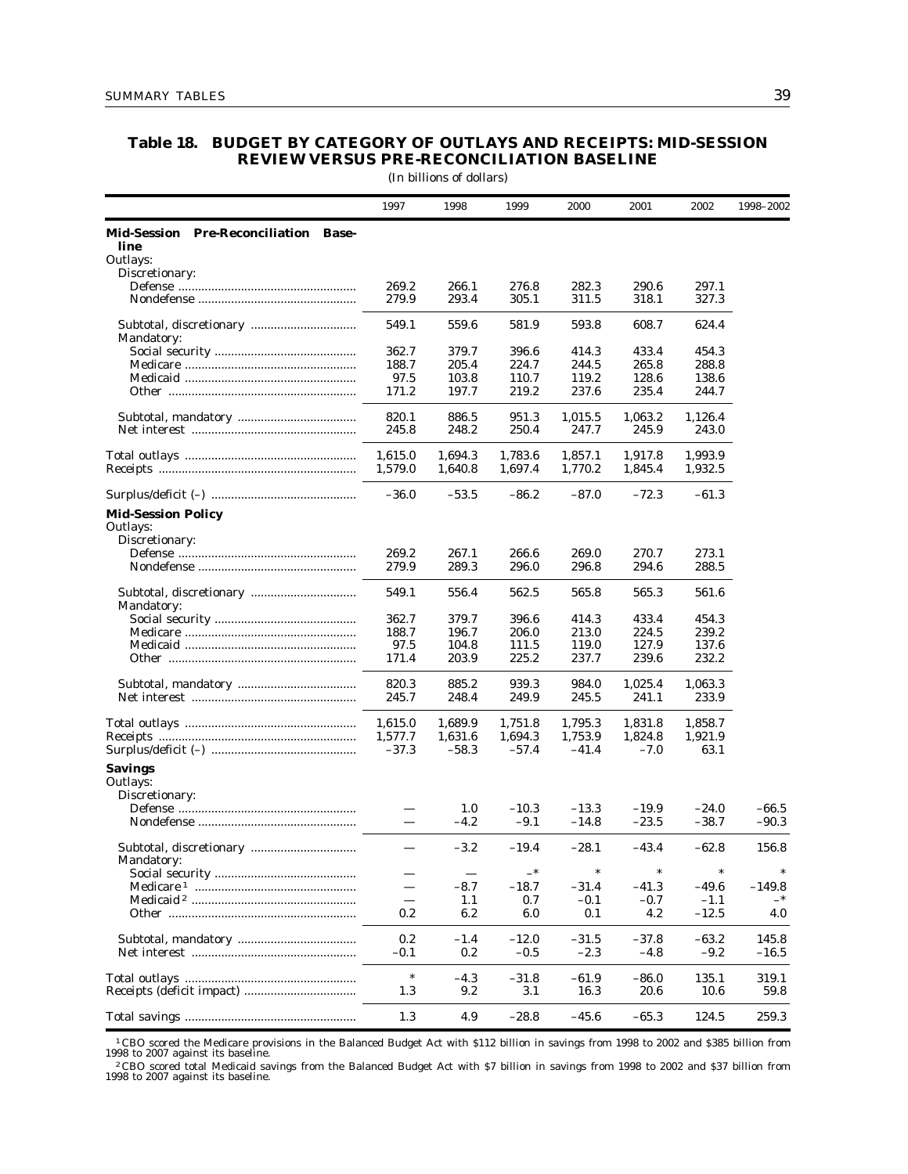## **Table 18. BUDGET BY CATEGORY OF OUTLAYS AND RECEIPTS: MID-SESSION REVIEW VERSUS PRE-RECONCILIATION BASELINE**

|                                              |                          | (In billions of dollars) |                   |                    |                    |                    |                    |
|----------------------------------------------|--------------------------|--------------------------|-------------------|--------------------|--------------------|--------------------|--------------------|
|                                              | 1997                     | 1998                     | 1999              | 2000               | 2001               | 2002               | 1998-2002          |
| Mid-Session Pre-Reconciliation Base-<br>line |                          |                          |                   |                    |                    |                    |                    |
| Outlays:                                     |                          |                          |                   |                    |                    |                    |                    |
| Discretionary:                               | 269.2                    | 266.1                    | 276.8             | 282.3              | 290.6              | 297.1              |                    |
|                                              | 279.9                    | 293.4                    | 305.1             | 311.5              | 318.1              | 327.3              |                    |
| Mandatory:                                   | 549.1                    | 559.6                    | 581.9             | 593.8              | 608.7              | 624.4              |                    |
|                                              | 362.7                    | 379.7                    | 396.6             | 414.3              | 433.4              | 454.3              |                    |
|                                              | 188.7                    | 205.4                    | 224.7             | 244.5              | 265.8              | 288.8              |                    |
|                                              | 97.5                     | 103.8                    | 110.7             | 119.2              | 128.6              | 138.6              |                    |
|                                              | 171.2                    | 197.7                    | 219.2             | 237.6              | 235.4              | 244.7              |                    |
|                                              | 820.1                    | 886.5                    | 951.3             | 1,015.5            | 1,063.2            | 1,126.4            |                    |
|                                              | 245.8                    | 248.2                    | 250.4             | 247.7              | 245.9              | 243.0              |                    |
|                                              | 1,615.0                  | 1,694.3                  | 1,783.6           | 1,857.1            | 1,917.8            | 1,993.9            |                    |
|                                              | 1,579.0                  | 1,640.8                  | 1,697.4           | 1,770.2            | 1,845.4            | 1,932.5            |                    |
|                                              | $-36.0$                  | $-53.5$                  | $-86.2$           | $-87.0$            | $-72.3$            | $-61.3$            |                    |
| <b>Mid-Session Policy</b><br>Outlays:        |                          |                          |                   |                    |                    |                    |                    |
| Discretionary:                               |                          |                          |                   |                    |                    |                    |                    |
|                                              | 269.2                    | 267.1                    | 266.6             | 269.0              | 270.7              | 273.1              |                    |
|                                              | 279.9                    | 289.3                    | 296.0             | 296.8              | 294.6              | 288.5              |                    |
| Mandatory:                                   | 549.1                    | 556.4                    | 562.5             | 565.8              | 565.3              | 561.6              |                    |
|                                              | 362.7                    | 379.7                    | 396.6             | 414.3              | 433.4              | 454.3              |                    |
|                                              | 188.7                    | 196.7                    | 206.0             | 213.0              | 224.5              | 239.2              |                    |
|                                              | 97.5                     | 104.8                    | 111.5             | 119.0              | 127.9              | 137.6              |                    |
|                                              | 171.4                    | 203.9                    | 225.2             | 237.7              | 239.6              | 232.2              |                    |
|                                              | 820.3                    | 885.2                    | 939.3             | 984.0              | 1,025.4            | 1,063.3            |                    |
|                                              | 245.7                    | 248.4                    | 249.9             | 245.5              | 241.1              | 233.9              |                    |
|                                              | 1,615.0                  | 1,689.9                  | 1,751.8           | 1,795.3            | 1,831.8            | 1,858.7            |                    |
|                                              | 1,577.7                  | 1,631.6                  | 1,694.3           | 1,753.9            | 1,824.8            | 1,921.9            |                    |
|                                              | $-37.3$                  | $-58.3$                  | $-57.4$           | $-41.4$            | $-7.0$             | 63.1               |                    |
| <b>Savings</b><br>Outlays:                   |                          |                          |                   |                    |                    |                    |                    |
| Discretionary:                               |                          |                          |                   |                    |                    |                    |                    |
|                                              |                          | 1.0<br>$-4.2$            | $-10.3$<br>$-9.1$ | $-13.3$<br>$-14.8$ | $-19.9$<br>$-23.5$ | $-24.0$<br>$-38.7$ | $-66.5$<br>$-90.3$ |
|                                              |                          | $-3.2$                   | $-19.4$           | $-28.1$            | $-43.4$            | $-62.8$            | 156.8              |
| Mandatory:                                   |                          | $\overline{\phantom{m}}$ | $-$ *             | $\ast$             | $\ast$             | $\ast$             |                    |
|                                              |                          | $-8.7$                   | $-18.7$           | $-31.4$            | -41.3              | $-49.6$            | $-149.8$           |
|                                              | $\overline{\phantom{0}}$ | 1.1                      | 0.7               | $-0.1$             | $-0.7$             | $-1.1$             | —*                 |
|                                              | 0.2                      | 6.2                      | 6.0               | 0.1                | 4.2                | $-12.5$            | 4.0                |
|                                              | 0.2                      | $-1.4$                   | $-12.0$           | $-31.5$            | $-37.8$            | $-63.2$            | 145.8              |
|                                              | $-0.1$                   | $0.2\,$                  | $-0.5$            | $-2.3$             | $-4.8$             | $-9.2$             | $-16.5$            |
|                                              | $\ast$                   | $-4.3$                   | $-31.8$           | $-61.9$            | $-86.0$            | 135.1              | 319.1              |
|                                              | 1.3                      | 9.2                      | 3.1               | 16.3               | 20.6               | 10.6               | 59.8               |
|                                              |                          |                          |                   |                    |                    |                    |                    |
|                                              | 1.3                      | 4.9                      | $-28.8$           | $-45.6$            | $-65.3$            | 124.5              | 259.3              |

1 CBO scored the Medicare provisions in the Balanced Budget Act with \$112 billion in savings from 1998 to 2002 and \$385 billion from 1998 to 2007 against its baseline.

2 CBO scored total Medicaid savings from the Balanced Budget Act with \$7 billion in savings from 1998 to 2002 and \$37 billion from 1998 to 2007 against its baseline.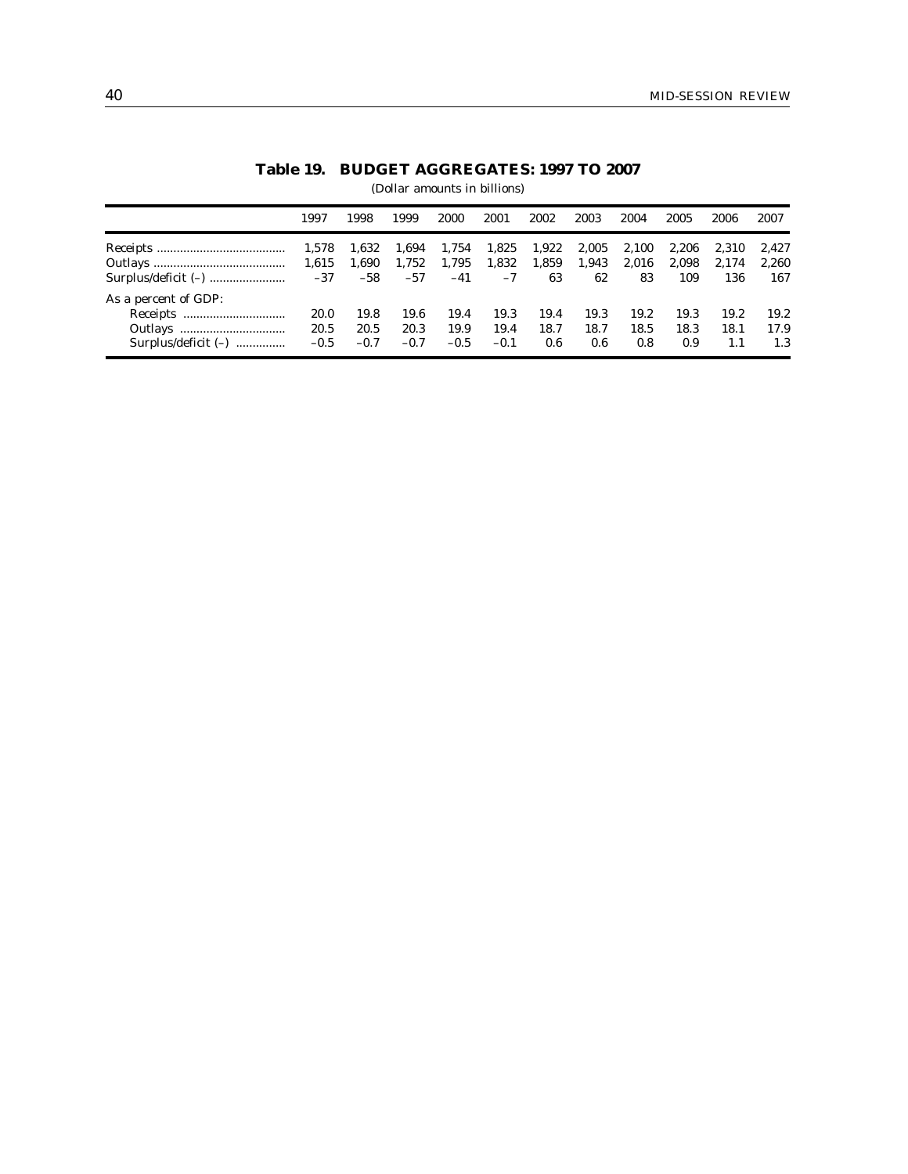|                       | 1997        | 1998   | 1999   | 2000   | 2001   | 2002  | 2003  | 2004  | 2005  | 2006  | 2007  |
|-----------------------|-------------|--------|--------|--------|--------|-------|-------|-------|-------|-------|-------|
|                       | 1,578       | 1,632  | 1,694  | 1,754  | 1,825  | 1,922 | 2,005 | 2,100 | 2,206 | 2,310 | 2,427 |
|                       |             | 1,690  | 1,752  | 1,795  | 1,832  | 1,859 | 1,943 | 2,016 | 2,098 | 2,174 | 2,260 |
|                       |             | $-58$  | $-57$  | $-41$  | $-7$   | 63    | 62    | 83    | 109   | 136   | 167   |
| As a percent of GDP:  |             |        |        |        |        |       |       |       |       |       |       |
|                       | <b>20.0</b> | 19.8   | 19.6   | 19.4   | 19.3   | 19.4  | 19.3  | 19.2  | 19.3  | 19.2  | 19.2  |
|                       | 20.5        | 20.5   | 20.3   | 19.9   | 19.4   | 18.7  | 18.7  | 18.5  | 18.3  | 18.1  | 17.9  |
| Surplus/deficit $(-)$ | $-0.5$      | $-0.7$ | $-0.7$ | $-0.5$ | $-0.1$ | 0.6   | 0.6   | 0.8   | 0.9   | 1.1   | 1.3   |

# **Table 19. BUDGET AGGREGATES: 1997 TO 2007**

(Dollar amounts in billions)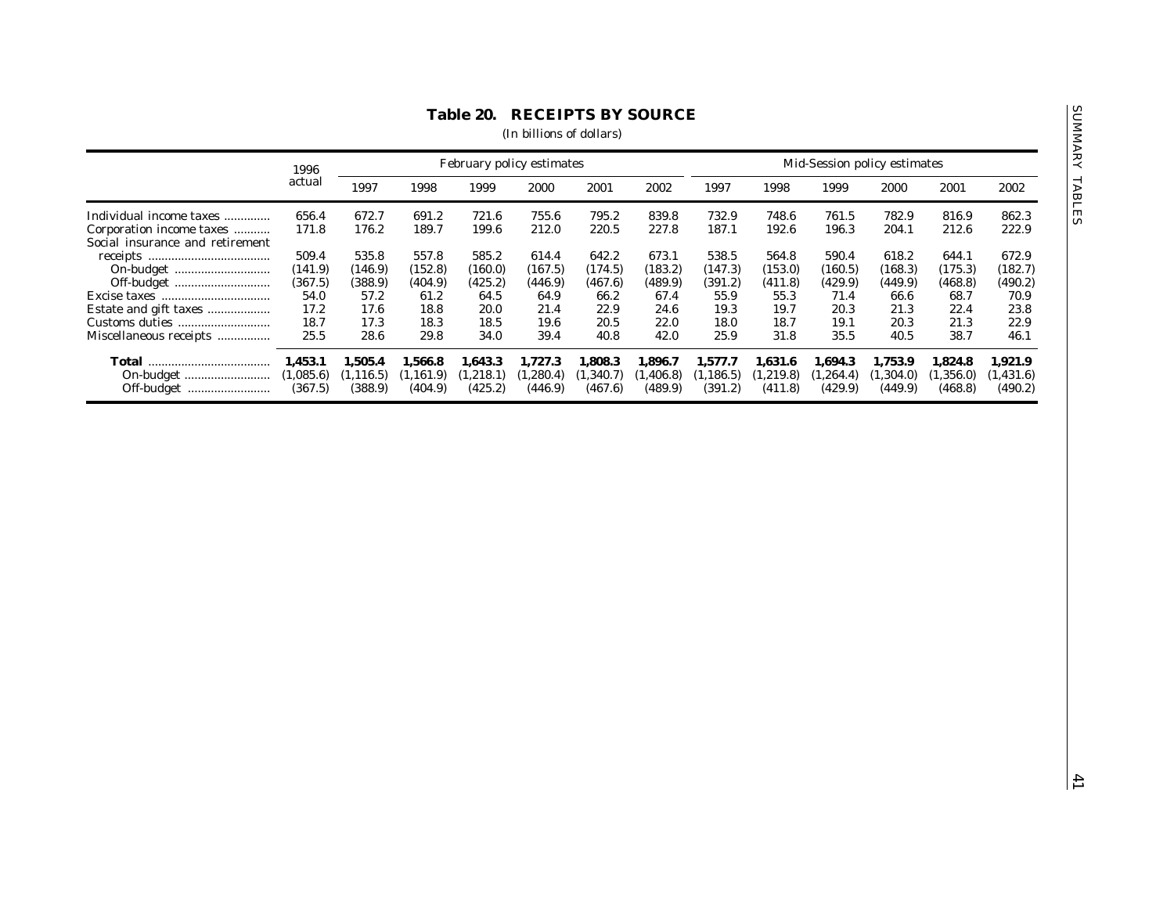|                                 | 1996      |            |            |            | February policy estimates |           |            |            |            |           | Mid-Session policy estimates |           |            |
|---------------------------------|-----------|------------|------------|------------|---------------------------|-----------|------------|------------|------------|-----------|------------------------------|-----------|------------|
|                                 | actual    | 1997       | 1998       | 1999       | 2000                      | 2001      | 2002       | 1997       | 1998       | 1999      | 2000                         | 2001      | 2002       |
| Individual income taxes         | 656.4     | 672.7      | 691.2      | 721.6      | 755.6                     | 795.2     | 839.8      | 732.9      | 748.6      | 761.5     | 782.9                        | 816.9     | 862.3      |
| Corporation income taxes        | 171.8     | 176.2      | 189.7      | 199.6      | 212.0                     | 220.5     | 227.8      | 187.1      | 192.6      | 196.3     | 204.1                        | 212.6     | 222.9      |
| Social insurance and retirement |           |            |            |            |                           |           |            |            |            |           |                              |           |            |
|                                 | 509.4     | 535.8      | 557.8      | 585.2      | 614.4                     | 642.2     | 673.1      | 538.5      | 564.8      | 590.4     | 618.2                        | 644.1     | 672.9      |
|                                 | (141.9)   | (146.9)    | (152.8)    | (160.0)    | (167.5)                   | (174.5)   | (183.2)    | (147.3)    | (153.0)    | (160.5)   | (168.3)                      | (175.3)   | (182.7)    |
| Off-budget                      | (367.5)   | (388.9)    | (404.9)    | (425.2)    | (446.9)                   | (467.6)   | (489.9)    | (391.2)    | (411.8)    | (429.9)   | (449.9)                      | (468.8)   | (490.2)    |
|                                 | 54.0      | 57.2       | 61.2       | 64.5       | 64.9                      | 66.2      | 67.4       | 55.9       | 55.3       | 71.4      | 66.6                         | 68.7      | 70.9       |
| Estate and gift taxes           | 17.2      | 17.6       | 18.8       | 20.0       | 21.4                      | 22.9      | 24.6       | 19.3       | 19.7       | 20.3      | 21.3                         | 22.4      | 23.8       |
|                                 | 18.7      | 17.3       | 18.3       | 18.5       | 19.6                      | 20.5      | 22.0       | 18.0       | 18.7       | 19.1      | 20.3                         | 21.3      | 22.9       |
| Miscellaneous receipts          | 25.5      | 28.6       | 29.8       | 34.0       | 39.4                      | 40.8      | 42.0       | 25.9       | 31.8       | 35.5      | 40.5                         | 38.7      | 46.1       |
|                                 |           |            |            |            |                           |           |            |            |            |           |                              |           |            |
|                                 | 1,453.1   | 1,505.4    | 1,566.8    | 1,643.3    | 1,727.3                   | 1,808.3   | 1,896.7    | 1,577.7    | 1,631.6    | 1,694.3   | 1,753.9                      | 1,824.8   | 1,921.9    |
|                                 | (1,085.6) | (1, 116.5) | (1, 161.9) | (1, 218.1) | (1,280.4)                 | (1,340.7) | (1, 406.8) | (1, 186.5) | (1, 219.8) | (1,264.4) | (1,304.0)                    | (1,356.0) | (1, 431.6) |
| Off-budget                      | (367.5)   | (388.9)    | (404.9)    | (425.2)    | (446.9)                   | (467.6)   | (489.9)    | (391.2)    | (411.8)    | (429.9)   | (449.9)                      | (468.8)   | (490.2)    |
|                                 |           |            |            |            |                           |           |            |            |            |           |                              |           |            |
|                                 |           |            |            |            |                           |           |            |            |            |           |                              |           |            |
|                                 |           |            |            |            |                           |           |            |            |            |           |                              |           |            |
|                                 |           |            |            |            |                           |           |            |            |            |           |                              |           |            |
|                                 |           |            |            |            |                           |           |            |            |            |           |                              |           |            |
|                                 |           |            |            |            |                           |           |            |            |            |           |                              |           |            |
|                                 |           |            |            |            |                           |           |            |            |            |           |                              |           |            |
|                                 |           |            |            |            |                           |           |            |            |            |           |                              |           |            |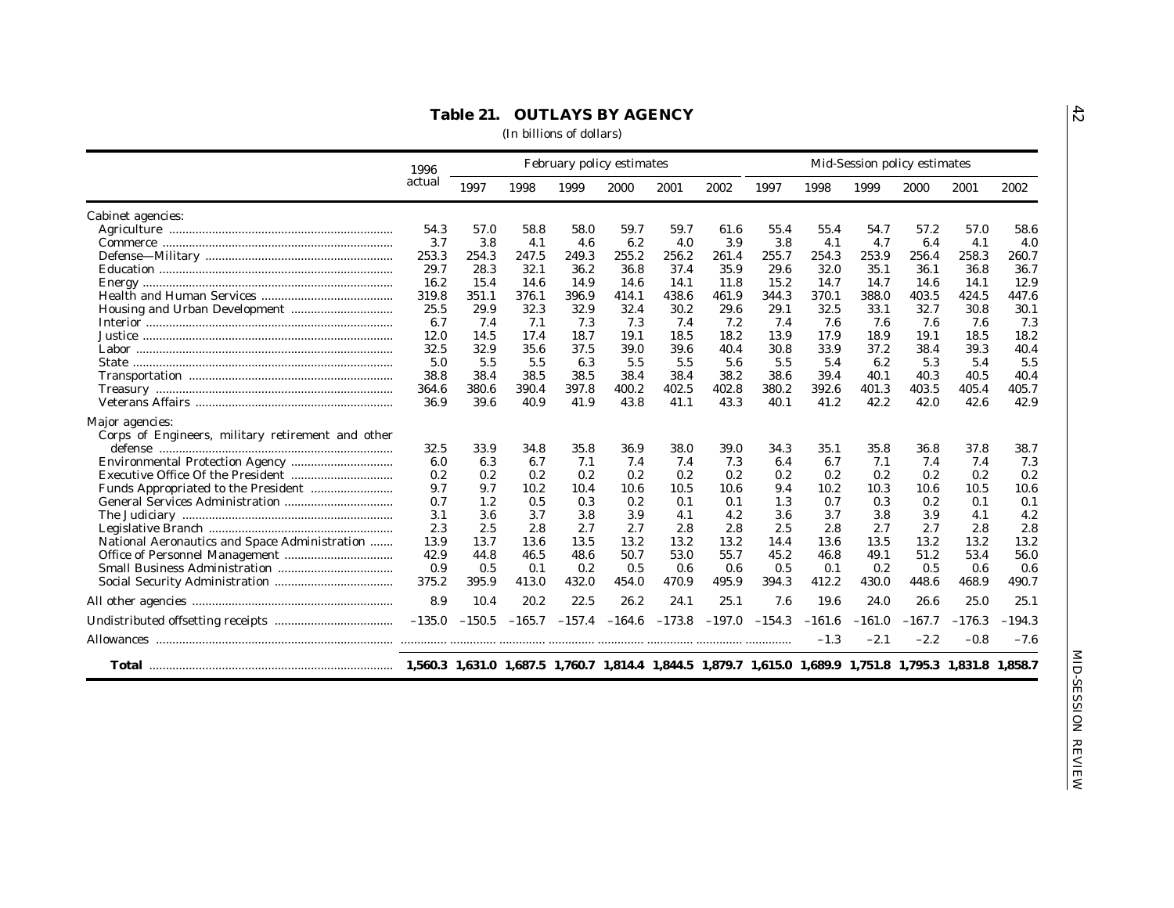|                                                   | 1996   |                 |       |       | February policy estimates                    |       |       |          |          |          | Mid-Session policy estimates |          |          |
|---------------------------------------------------|--------|-----------------|-------|-------|----------------------------------------------|-------|-------|----------|----------|----------|------------------------------|----------|----------|
|                                                   | actual | 1997            | 1998  | 1999  | 2000                                         | 2001  | 2002  | 1997     | 1998     | 1999     | 2000                         | 2001     | 2002     |
| Cabinet agencies:                                 |        |                 |       |       |                                              |       |       |          |          |          |                              |          |          |
|                                                   | 54.3   | 57.0            | 58.8  | 58.0  | 59.7                                         | 59.7  | 61.6  | 55.4     | 55.4     | 54.7     | 57.2                         | 57.0     | 58.6     |
|                                                   | 3.7    | 3.8             | 4.1   | 4.6   | 6.2                                          | 4.0   | 3.9   | 3.8      | 4.1      | 4.7      | 6.4                          | 4.1      | 4.0      |
|                                                   | 253.3  | 254.3           | 247.5 | 249.3 | 255.2                                        | 256.2 | 261.4 | 255.7    | 254.3    | 253.9    | 256.4                        | 258.3    | 260.7    |
|                                                   | 29.7   | 28.3            | 32.1  | 36.2  | 36.8                                         | 37.4  | 35.9  | 29.6     | 32.0     | 35.1     | 36.1                         | 36.8     | 36.7     |
|                                                   | 16.2   | 15.4            | 14.6  | 14.9  | 14.6                                         | 14.1  | 11.8  | 15.2     | 14.7     | 14.7     | 14.6                         | 14.1     | 12.9     |
|                                                   | 319.8  | 351.1           | 376.1 | 396.9 | 414.1                                        | 438.6 | 461.9 | 344.3    | 370.1    | 388.0    | 403.5                        | 424.5    | 447.6    |
|                                                   | 25.5   | 29.9            | 32.3  | 32.9  | 32.4                                         | 30.2  | 29.6  | 29.1     | 32.5     | 33.1     | 32.7                         | 30.8     | 30.1     |
|                                                   | 6.7    | 7.4             | 7.1   | 7.3   | 7.3                                          | 7.4   | 7.2   | 7.4      | 7.6      | 7.6      | 7.6                          | 7.6      | 7.3      |
|                                                   | 12.0   | 14.5            | 17.4  | 18.7  | 19.1                                         | 18.5  | 18.2  | 13.9     | 17.9     | 18.9     | 19.1                         | 18.5     | 18.2     |
|                                                   | 32.5   | 32.9            | 35.6  | 37.5  | 39.0                                         | 39.6  | 40.4  | 30.8     | 33.9     | 37.2     | 38.4                         | 39.3     | 40.4     |
|                                                   | 5.0    | 5.5             | 5.5   | 6.3   | 5.5                                          | 5.5   | 5.6   | 5.5      | 5.4      | 6.2      | 5.3                          | 5.4      | 5.5      |
|                                                   | 38.8   | 38.4            | 38.5  | 38.5  | 38.4                                         | 38.4  | 38.2  | 38.6     | 39.4     | 40.1     | 40.3                         | 40.5     | 40.4     |
|                                                   | 364.6  | 380.6           | 390.4 | 397.8 | 400.2                                        | 402.5 | 402.8 | 380.2    | 392.6    | 401.3    | 403.5                        | 405.4    | 405.7    |
|                                                   | 36.9   | 39.6            | 40.9  | 41.9  | 43.8                                         | 41.1  | 43.3  | 40.1     | 41.2     | 42.2     | 42.0                         | 42.6     | 42.9     |
| Major agencies:                                   |        |                 |       |       |                                              |       |       |          |          |          |                              |          |          |
| Corps of Engineers, military retirement and other |        |                 |       |       |                                              |       |       |          |          |          |                              |          |          |
|                                                   | 32.5   | 33.9            | 34.8  | 35.8  | 36.9                                         | 38.0  | 39.0  | 34.3     | 35.1     | 35.8     | 36.8                         | 37.8     | 38.7     |
|                                                   | 6.0    | 6.3             | 6.7   | 7.1   | 7.4                                          | 7.4   | 7.3   | 6.4      | 6.7      | 7.1      | 7.4                          | 7.4      | 7.3      |
|                                                   | 0.2    | 0.2             | 0.2   | 0.2   | 0.2                                          | 0.2   | 0.2   | 0.2      | 0.2      | 0.2      | 0.2                          | 0.2      | 0.2      |
|                                                   | 9.7    | 9.7             | 10.2  | 10.4  | 10.6                                         | 10.5  | 10.6  | 9.4      | 10.2     | 10.3     | 10.6                         | 10.5     | 10.6     |
|                                                   | 0.7    | 1.2             | 0.5   | 0.3   | 0.2                                          | 0.1   | 0.1   | 1.3      | 0.7      | 0.3      | 0.2                          | 0.1      | 0.1      |
|                                                   | 3.1    | 3.6             | 3.7   | 3.8   | $3.9\,$                                      | 4.1   | 4.2   | 3.6      | 3.7      | 3.8      | $3.9\,$                      | 4.1      | 4.2      |
|                                                   | 2.3    | 2.5             | 2.8   | 2.7   | 2.7                                          | 2.8   | 2.8   | 2.5      | 2.8      | 2.7      | 2.7                          | 2.8      | 2.8      |
| National Aeronautics and Space Administration     | 13.9   | 13.7            | 13.6  | 13.5  | 13.2                                         | 13.2  | 13.2  | 14.4     | 13.6     | 13.5     | 13.2                         | 13.2     | 13.2     |
|                                                   | 42.9   | 44.8            | 46.5  | 48.6  | 50.7                                         | 53.0  | 55.7  | 45.2     | 46.8     | 49.1     | 51.2                         | 53.4     | 56.0     |
|                                                   | 0.9    | 0.5             | 0.1   | 0.2   | 0.5                                          | 0.6   | 0.6   | 0.5      | 0.1      | 0.2      | 0.5                          | 0.6      | 0.6      |
|                                                   | 375.2  | 395.9           | 413.0 | 432.0 | 454.0                                        | 470.9 | 495.9 | 394.3    | 412.2    | 430.0    | 448.6                        | 468.9    | 490.7    |
|                                                   | 8.9    | 10.4            | 20.2  | 22.5  | 26.2                                         | 24.1  | 25.1  | 7.6      | 19.6     | 24.0     | 26.6                         | 25.0     | 25.1     |
|                                                   |        | $-135.0 -150.5$ |       |       | $-165.7$ $-157.4$ $-164.6$ $-173.8$ $-197.0$ |       |       | $-154.3$ | $-161.6$ | $-161.0$ | $-167.7$                     | $-176.3$ | $-194.3$ |
|                                                   |        |                 |       |       |                                              |       |       |          | $-1.3$   | $-2.1$   | $-2.2$                       | $-0.8$   | $-7.6$   |
|                                                   |        |                 |       |       |                                              |       |       |          |          |          |                              |          |          |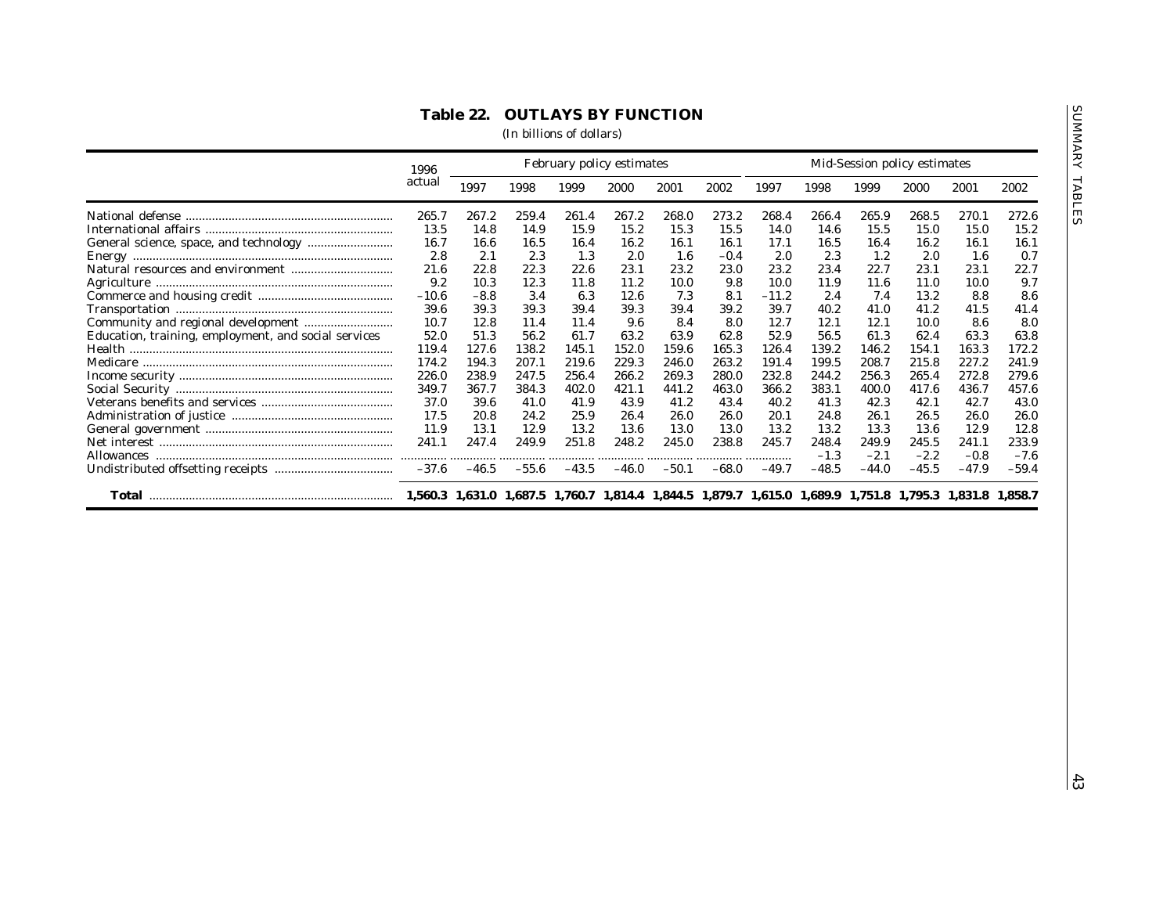|                                                      |                |         | February policy estimates |         |         |         |                                                                                                         |         | Mid-Session policy estimates |         |         |         |         |  |
|------------------------------------------------------|----------------|---------|---------------------------|---------|---------|---------|---------------------------------------------------------------------------------------------------------|---------|------------------------------|---------|---------|---------|---------|--|
|                                                      | 1996<br>actual | 1997    | 1998                      | 1999    | 2000    | 2001    | 2002                                                                                                    | 1997    | 1998                         | 1999    | 2000    | 2001    | 2002    |  |
|                                                      | 265.7          | 267.2   | 259.4                     | 261.4   | 267.2   | 268.0   | 273.2                                                                                                   | 268.4   | 266.4                        | 265.9   | 268.5   | 270.1   | 272.6   |  |
|                                                      | 13.5           | 14.8    | 14.9                      | 15.9    | 15.2    | 15.3    | 15.5                                                                                                    | 14.0    | 14.6                         | 15.5    | 15.0    | 15.0    | 15.2    |  |
|                                                      | 16.7           | 16.6    | 16.5                      | 16.4    | 16.2    | 16.1    | 16.1                                                                                                    | 17.1    | 16.5                         | 16.4    | 16.2    | 16.1    | 16.1    |  |
|                                                      | 2.8            | 2.1     | 2.3                       | 1.3     | 2.0     | 1.6     | $-0.4$                                                                                                  | 2.0     | 2.3                          | 1.2     | 2.0     | 1.6     | 0.7     |  |
|                                                      | 21.6           | 22.8    | 22.3                      | 22.6    | 23.1    | 23.2    | 23.0                                                                                                    | 23.2    | 23.4                         | 22.7    | 23.1    | 23.1    | 22.7    |  |
|                                                      | 9.2            | 10.3    | 12.3                      | 11.8    | 11.2    | 10.0    | 9.8                                                                                                     | 10.0    | 11.9                         | 11.6    | 11.0    | 10.0    | 9.7     |  |
|                                                      | $-10.6$        | $-8.8$  | 3.4                       | 6.3     | 12.6    | 7.3     | 8.1                                                                                                     | $-11.2$ | 2.4                          | 7.4     | 13.2    | 8.8     | 8.6     |  |
|                                                      | 39.6           | 39.3    | 39.3                      | 39.4    | 39.3    | 39.4    | 39.2                                                                                                    | 39.7    | 40.2                         | 41.0    | 41.2    | 41.5    | 41.4    |  |
|                                                      | 10.7           | 12.8    | 11.4                      | 11.4    | 9.6     | 8.4     | 8.0                                                                                                     | 12.7    | 12.1                         | 12.1    | 10.0    | 8.6     | 8.0     |  |
| Education, training, employment, and social services | 52.0           | 51.3    | 56.2                      | 61.7    | 63.2    | 63.9    | 62.8                                                                                                    | 52.9    | 56.5                         | 61.3    | 62.4    | 63.3    | 63.8    |  |
|                                                      | 119.4          | 127.6   | 138.2                     | 145.1   | 152.0   | 159.6   | 165.3                                                                                                   | 126.4   | 139.2                        | 146.2   | 154.1   | 163.3   | 172.2   |  |
|                                                      | 174.2          | 194.3   | 207.1                     | 219.6   | 229.3   | 246.0   | 263.2                                                                                                   | 191.4   | 199.5                        | 208.7   | 215.8   | 227.2   | 241.9   |  |
|                                                      | 226.0          | 238.9   | 247.5                     | 256.4   | 266.2   | 269.3   | 280.0                                                                                                   | 232.8   | 244.2                        | 256.3   | 265.4   | 272.8   | 279.6   |  |
|                                                      | 349.7          | 367.7   | 384.3                     | 402.0   | 421.1   | 441.2   | 463.0                                                                                                   | 366.2   | 383.1                        | 400.0   | 417.6   | 436.7   | 457.6   |  |
|                                                      | 37.0           | 39.6    | 41.0                      | 41.9    | 43.9    | 41.2    | 43.4                                                                                                    | 40.2    | 41.3                         | 42.3    | 42.1    | 42.7    | 43.0    |  |
|                                                      |                |         |                           |         |         |         |                                                                                                         | 20.1    |                              |         |         | 26.0    |         |  |
|                                                      | 17.5           | 20.8    | 24.2                      | 25.9    | 26.4    | 26.0    | 26.0                                                                                                    |         | 24.8                         | 26.1    | 26.5    |         | 26.0    |  |
|                                                      | 11.9           | 13.1    | 12.9                      | 13.2    | 13.6    | 13.0    | 13.0                                                                                                    | 13.2    | 13.2                         | 13.3    | 13.6    | 12.9    | 12.8    |  |
|                                                      | 241.1          | 247.4   | 249.9                     | 251.8   | 248.2   | 245.0   | 238.8                                                                                                   | 245.7   | 248.4                        | 249.9   | 245.5   | 241.1   | 233.9   |  |
|                                                      | .              |         |                           | .       |         |         |                                                                                                         | .       | $-1.3$                       | $-2.1$  | $-2.2$  | $-0.8$  | $-7.6$  |  |
|                                                      | $-37.6$        | $-46.5$ | $-55.6$                   | $-43.5$ | $-46.0$ | $-50.1$ | $-68.0$                                                                                                 | $-49.7$ | $-48.5$                      | $-44.0$ | $-45.5$ | $-47.9$ | $-59.4$ |  |
|                                                      |                |         |                           |         |         |         | 1,560.3 1,631.0 1,687.5 1,760.7 1,814.4 1,844.5 1,879.7 1,615.0 1,689.9 1,751.8 1,795.3 1,831.8 1,858.7 |         |                              |         |         |         |         |  |
|                                                      |                |         |                           |         |         |         |                                                                                                         |         |                              |         |         |         |         |  |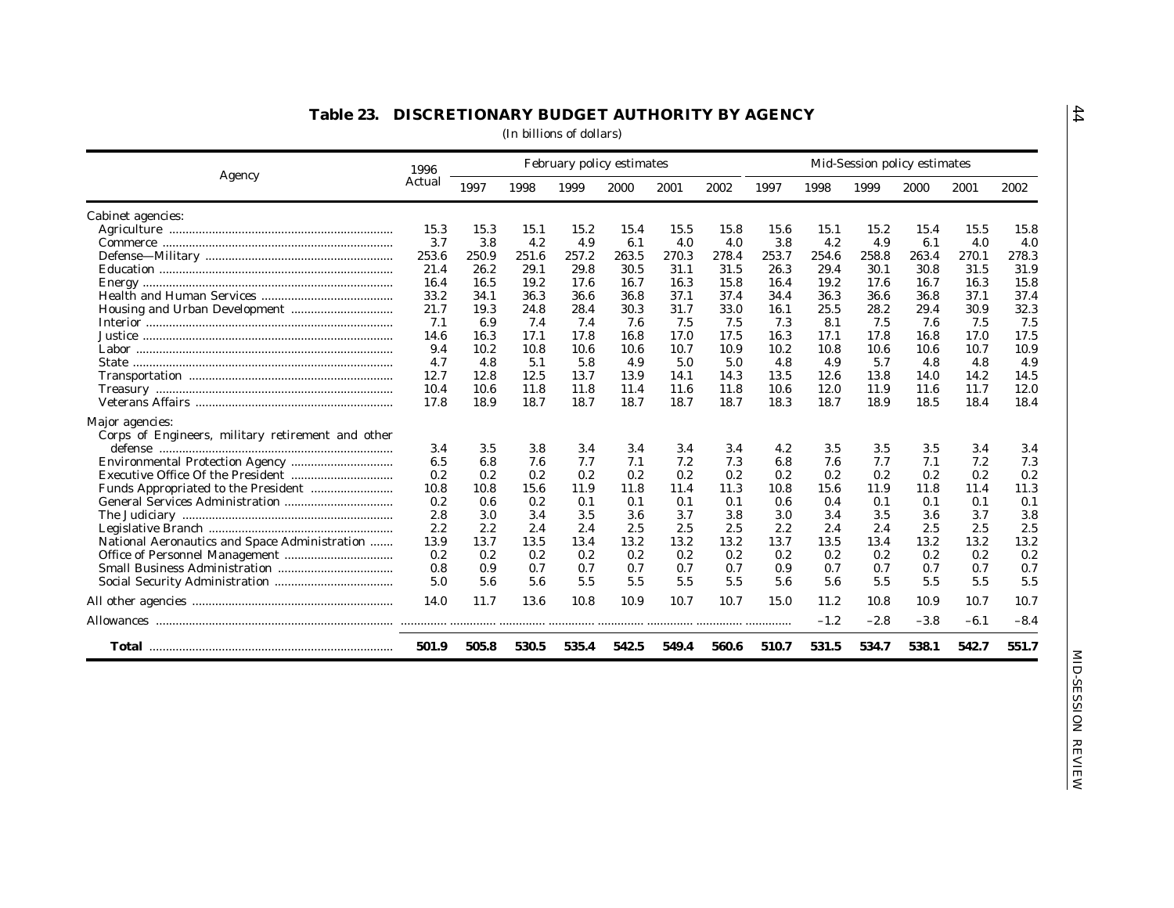| Agency                                                               | 1996   | February policy estimates |            |       |            |            |       | Mid-Session policy estimates |        |        |        |        |        |
|----------------------------------------------------------------------|--------|---------------------------|------------|-------|------------|------------|-------|------------------------------|--------|--------|--------|--------|--------|
|                                                                      | Actual | 1997                      | 1998       | 1999  | 2000       | 2001       | 2002  | 1997                         | 1998   | 1999   | 2000   | 2001   | 2002   |
| Cabinet agencies:                                                    |        |                           |            |       |            |            |       |                              |        |        |        |        |        |
|                                                                      | 15.3   | 15.3                      | 15.1       | 15.2  | 15.4       | 15.5       | 15.8  | 15.6                         | 15.1   | 15.2   | 15.4   | 15.5   | 15.8   |
|                                                                      | 3.7    | 3.8                       | 4.2        | 4.9   | 6.1        | 4.0        | 4.0   | 3.8                          | 4.2    | 4.9    | 6.1    | 4.0    | 4.0    |
|                                                                      | 253.6  | 250.9                     | 251.6      | 257.2 | 263.5      | 270.3      | 278.4 | 253.7                        | 254.6  | 258.8  | 263.4  | 270.1  | 278.3  |
|                                                                      | 21.4   | 26.2                      | 29.1       | 29.8  | 30.5       | 31.1       | 31.5  | 26.3                         | 29.4   | 30.1   | 30.8   | 31.5   | 31.9   |
|                                                                      | 16.4   | 16.5                      | 19.2       | 17.6  | 16.7       | 16.3       | 15.8  | 16.4                         | 19.2   | 17.6   | 16.7   | 16.3   | 15.8   |
|                                                                      | 33.2   | 34.1                      | 36.3       | 36.6  | 36.8       | 37.1       | 37.4  | 34.4                         | 36.3   | 36.6   | 36.8   | 37.1   | 37.4   |
|                                                                      | 21.7   | 19.3                      | 24.8       | 28.4  | 30.3       | 31.7       | 33.0  | 16.1                         | 25.5   | 28.2   | 29.4   | 30.9   | 32.3   |
|                                                                      | 7.1    | 6.9                       | 7.4        | 7.4   | 7.6        | 7.5        | 7.5   | 7.3                          | 8.1    | 7.5    | 7.6    | 7.5    | 7.5    |
|                                                                      | 14.6   | 16.3                      | 17.1       | 17.8  | 16.8       | 17.0       | 17.5  | 16.3                         | 17.1   | 17.8   | 16.8   | 17.0   | 17.5   |
|                                                                      | 9.4    | 10.2                      | 10.8       | 10.6  | 10.6       | 10.7       | 10.9  | 10.2                         | 10.8   | 10.6   | 10.6   | 10.7   | 10.9   |
|                                                                      | 4.7    | 4.8                       | 5.1        | 5.8   | 4.9        | 5.0        | 5.0   | 4.8                          | 4.9    | 5.7    | 4.8    | 4.8    | 4.9    |
|                                                                      | 12.7   | 12.8                      | 12.5       | 13.7  | 13.9       | 14.1       | 14.3  | 13.5                         | 12.6   | 13.8   | 14.0   | 14.2   | 14.5   |
|                                                                      | 10.4   | 10.6                      | 11.8       | 11.8  | 11.4       | 11.6       | 11.8  | 10.6                         | 12.0   | 11.9   | 11.6   | 11.7   | 12.0   |
|                                                                      | 17.8   | 18.9                      | 18.7       | 18.7  | 18.7       | 18.7       | 18.7  | 18.3                         | 18.7   | 18.9   | 18.5   | 18.4   | 18.4   |
| Major agencies:<br>Corps of Engineers, military retirement and other |        |                           |            |       |            |            |       |                              |        |        |        |        |        |
|                                                                      | 3.4    | 3.5                       |            |       |            |            | 3.4   | 4.2                          | 3.5    |        | 3.5    |        | 3.4    |
|                                                                      |        |                           | 3.8<br>7.6 | 3.4   | 3.4<br>7.1 | 3.4<br>7.2 |       | 6.8                          |        | 3.5    |        | 3.4    | 7.3    |
|                                                                      | 6.5    | 6.8                       |            | 7.7   |            |            | 7.3   |                              | 7.6    | 7.7    | 7.1    | 7.2    |        |
|                                                                      | 0.2    | 0.2                       | 0.2        | 0.2   | 0.2        | 0.2        | 0.2   | 0.2                          | 0.2    | 0.2    | 0.2    | 0.2    | 0.2    |
|                                                                      | 10.8   | 10.8                      | 15.6       | 11.9  | 11.8       | 11.4       | 11.3  | 10.8                         | 15.6   | 11.9   | 11.8   | 11.4   | 11.3   |
|                                                                      | 0.2    | 0.6                       | 0.2        | 0.1   | 0.1        | 0.1        | 0.1   | 0.6                          | 0.4    | 0.1    | 0.1    | 0.1    | 0.1    |
|                                                                      | 2.8    | 3.0                       | 3.4        | 3.5   | 3.6        | 3.7        | 3.8   | 3.0                          | 3.4    | 3.5    | 3.6    | 3.7    | 3.8    |
|                                                                      | 2.2    | 2.2                       | 2.4        | 2.4   | 2.5        | 2.5        | 2.5   | 2.2                          | 2.4    | 2.4    | 2.5    | 2.5    | 2.5    |
| National Aeronautics and Space Administration                        | 13.9   | 13.7                      | 13.5       | 13.4  | 13.2       | 13.2       | 13.2  | 13.7                         | 13.5   | 13.4   | 13.2   | 13.2   | 13.2   |
|                                                                      | 0.2    | 0.2                       | 0.2        | 0.2   | 0.2        | 0.2        | 0.2   | 0.2                          | 0.2    | 0.2    | 0.2    | 0.2    | 0.2    |
|                                                                      | 0.8    | 0.9                       | 0.7        | 0.7   | 0.7        | 0.7        | 0.7   | 0.9                          | 0.7    | 0.7    | 0.7    | 0.7    | 0.7    |
|                                                                      | 5.0    | 5.6                       | 5.6        | 5.5   | 5.5        | 5.5        | 5.5   | 5.6                          | 5.6    | 5.5    | 5.5    | 5.5    | 5.5    |
|                                                                      | 14.0   | 11.7                      | 13.6       | 10.8  | 10.9       | 10.7       | 10.7  | 15.0                         | 11.2   | 10.8   | 10.9   | 10.7   | 10.7   |
|                                                                      |        |                           |            |       |            |            |       |                              | $-1.2$ | $-2.8$ | $-3.8$ | $-6.1$ | $-8.4$ |
|                                                                      | 501.9  | 505.8                     | 530.5      | 535.4 | 542.5      | 549.4      | 560.6 | 510.7                        | 531.5  | 534.7  | 538.1  | 542.7  | 551.7  |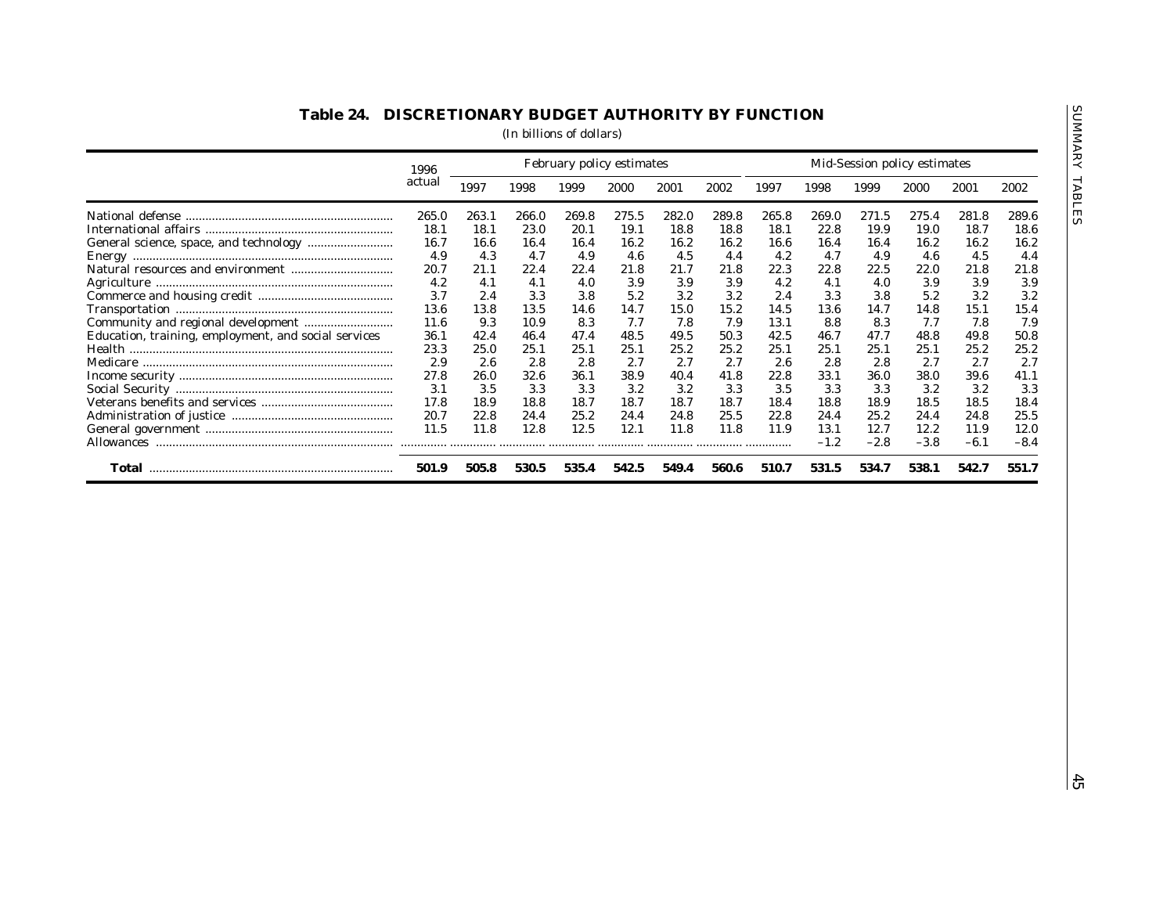| Education, training, employment, and social services | 1996<br>actual<br>265.0<br>18.1<br>16.7<br>4.9<br>20.7<br>4.2<br>3.7<br>13.6 | 1997<br>263.1<br>18.1<br>16.6<br>4.3<br>21.1 | 1998<br>266.0<br>23.0<br>16.4 | 1999<br>269.8<br>20.1 | 2000<br>275.5<br>19.1 | 2001<br>282.0 | 2002<br>289.8 | 1997  | 1998   | 1999   | 2000   | 2001   | 2002   |
|------------------------------------------------------|------------------------------------------------------------------------------|----------------------------------------------|-------------------------------|-----------------------|-----------------------|---------------|---------------|-------|--------|--------|--------|--------|--------|
|                                                      |                                                                              |                                              |                               |                       |                       |               |               |       |        |        |        |        |        |
|                                                      |                                                                              |                                              |                               |                       |                       |               |               | 265.8 | 269.0  | 271.5  | 275.4  | 281.8  | 289.6  |
|                                                      |                                                                              |                                              |                               |                       |                       | 18.8          | 18.8          | 18.1  | 22.8   | 19.9   | 19.0   | 18.7   | 18.6   |
|                                                      |                                                                              |                                              |                               | 16.4                  | 16.2                  | 16.2          | 16.2          | 16.6  | 16.4   | 16.4   | 16.2   | 16.2   | 16.2   |
|                                                      |                                                                              |                                              | 4.7                           | 4.9                   | 4.6                   | 4.5           | 4.4           | 4.2   | 4.7    | 4.9    | 4.6    | 4.5    | 4.4    |
|                                                      |                                                                              |                                              | 22.4                          | 22.4                  | 21.8                  | 21.7          | 21.8          | 22.3  | 22.8   | 22.5   | 22.0   | 21.8   | 21.8   |
|                                                      |                                                                              | 4.1                                          | 4.1                           | 4.0                   | 3.9                   | 3.9           | 3.9           | 4.2   | 4.1    | 4.0    | 3.9    | 3.9    | 3.9    |
|                                                      |                                                                              | 2.4                                          | 3.3                           | 3.8                   | 5.2                   | 3.2           | 3.2           | 2.4   | 3.3    | 3.8    | 5.2    | 3.2    | 3.2    |
|                                                      |                                                                              | 13.8                                         | 13.5                          | 14.6                  | 14.7                  | 15.0          | 15.2          | 14.5  | 13.6   | 14.7   | 14.8   | 15.1   | 15.4   |
|                                                      | 11.6                                                                         | 9.3                                          | 10.9                          | 8.3                   | 7.7                   | 7.8           | 7.9           | 13.1  | 8.8    | 8.3    | 7.7    | 7.8    | 7.9    |
|                                                      | 36.1                                                                         | 42.4                                         | 46.4                          | 47.4                  | 48.5                  | 49.5          | 50.3          | 42.5  | 46.7   | 47.7   | 48.8   | 49.8   | 50.8   |
|                                                      | 23.3                                                                         | 25.0                                         | 25.1                          | 25.1                  | 25.1                  |               | 25.2          | 25.1  | 25.1   | 25.1   | 25.1   | 25.2   |        |
|                                                      |                                                                              |                                              |                               |                       |                       | 25.2          |               |       |        |        |        |        | 25.2   |
|                                                      | 2.9                                                                          | 2.6                                          | 2.8                           | 2.8                   | 2.7                   | 2.7           | 2.7           | 2.6   | 2.8    | 2.8    | 2.7    | 2.7    | 2.7    |
|                                                      | 27.8                                                                         | 26.0                                         | 32.6                          | 36.1                  | 38.9                  | 40.4          | 41.8          | 22.8  | 33.1   | 36.0   | 38.0   | 39.6   | 41.1   |
|                                                      | 3.1                                                                          | 3.5                                          | 3.3                           | 3.3                   | 3.2                   | 3.2           | 3.3           | 3.5   | 3.3    | 3.3    | 3.2    | 3.2    | 3.3    |
|                                                      | 17.8                                                                         | 18.9                                         | 18.8                          | 18.7                  | 18.7                  | 18.7          | 18.7          | 18.4  | 18.8   | 18.9   | 18.5   | 18.5   | 18.4   |
|                                                      | 20.7                                                                         | 22.8                                         | 24.4                          | 25.2                  | 24.4                  | 24.8          | 25.5          | 22.8  | 24.4   | 25.2   | 24.4   | 24.8   | 25.5   |
|                                                      | 11.5                                                                         | 11.8                                         | 12.8                          | 12.5                  | 12.1                  | 11.8          | 11.8          | 11.9  | 13.1   | 12.7   | 12.2   | 11.9   | 12.0   |
|                                                      | .                                                                            |                                              | .                             |                       |                       |               |               | .     | $-1.2$ | $-2.8$ | $-3.8$ | $-6.1$ | $-8.4$ |
|                                                      | 501.9                                                                        | 505.8                                        | 530.5                         | 535.4                 | 542.5                 | 549.4         | 560.6         | 510.7 | 531.5  | 534.7  | 538.1  | 542.7  | 551.7  |
|                                                      |                                                                              |                                              |                               |                       |                       |               |               |       |        |        |        |        |        |